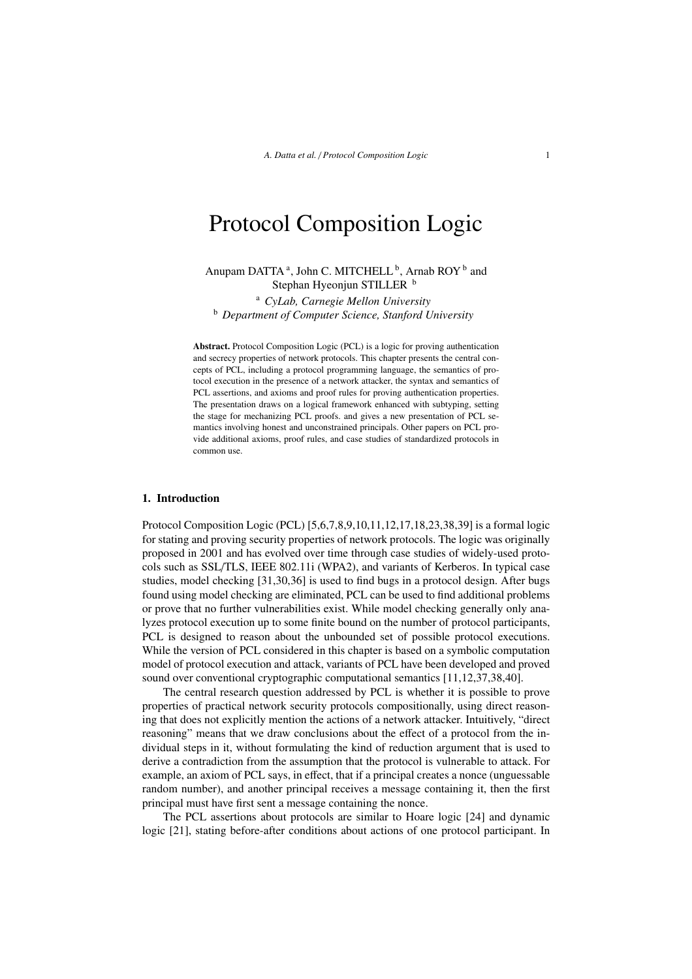# Protocol Composition Logic

Anupam DATTA<sup>a</sup>, John C. MITCHELL<sup>b</sup>, Arnab ROY<sup>b</sup> and Stephan Hyeonjun STILLER b

<sup>a</sup> *CyLab, Carnegie Mellon University* <sup>b</sup> *Department of Computer Science, Stanford University*

Abstract. Protocol Composition Logic (PCL) is a logic for proving authentication and secrecy properties of network protocols. This chapter presents the central concepts of PCL, including a protocol programming language, the semantics of protocol execution in the presence of a network attacker, the syntax and semantics of PCL assertions, and axioms and proof rules for proving authentication properties. The presentation draws on a logical framework enhanced with subtyping, setting the stage for mechanizing PCL proofs. and gives a new presentation of PCL semantics involving honest and unconstrained principals. Other papers on PCL provide additional axioms, proof rules, and case studies of standardized protocols in common use.

### 1. Introduction

Protocol Composition Logic (PCL) [5,6,7,8,9,10,11,12,17,18,23,38,39] is a formal logic for stating and proving security properties of network protocols. The logic was originally proposed in 2001 and has evolved over time through case studies of widely-used protocols such as SSL/TLS, IEEE 802.11i (WPA2), and variants of Kerberos. In typical case studies, model checking [31,30,36] is used to find bugs in a protocol design. After bugs found using model checking are eliminated, PCL can be used to find additional problems or prove that no further vulnerabilities exist. While model checking generally only analyzes protocol execution up to some finite bound on the number of protocol participants, PCL is designed to reason about the unbounded set of possible protocol executions. While the version of PCL considered in this chapter is based on a symbolic computation model of protocol execution and attack, variants of PCL have been developed and proved sound over conventional cryptographic computational semantics [11,12,37,38,40].

The central research question addressed by PCL is whether it is possible to prove properties of practical network security protocols compositionally, using direct reasoning that does not explicitly mention the actions of a network attacker. Intuitively, "direct reasoning" means that we draw conclusions about the effect of a protocol from the individual steps in it, without formulating the kind of reduction argument that is used to derive a contradiction from the assumption that the protocol is vulnerable to attack. For example, an axiom of PCL says, in effect, that if a principal creates a nonce (unguessable random number), and another principal receives a message containing it, then the first principal must have first sent a message containing the nonce.

The PCL assertions about protocols are similar to Hoare logic [24] and dynamic logic [21], stating before-after conditions about actions of one protocol participant. In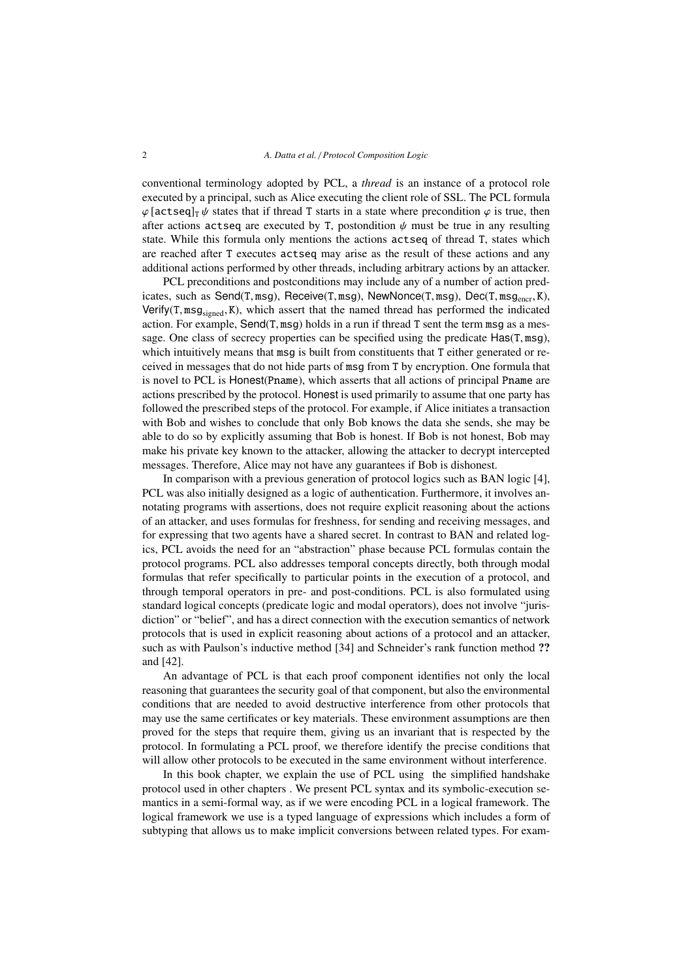conventional terminology adopted by PCL, a *thread* is an instance of a protocol role executed by a principal, such as Alice executing the client role of SSL. The PCL formula  $\varphi$  [actseq]<sub>T</sub>  $\psi$  states that if thread T starts in a state where precondition  $\varphi$  is true, then after actions actseq are executed by T, postondition  $\psi$  must be true in any resulting state. While this formula only mentions the actions actseq of thread T, states which are reached after T executes actseq may arise as the result of these actions and any additional actions performed by other threads, including arbitrary actions by an attacker.

PCL preconditions and postconditions may include any of a number of action predicates, such as  $Send(T, msg)$ , Receive(T, msg), NewNonce(T, msg), Dec(T, msg<sub>encr</sub>, K), Verify( $T$ , msg<sub>signed</sub>,  $K$ ), which assert that the named thread has performed the indicated action. For example, Send(T, msg) holds in a run if thread <sup>T</sup> sent the term msg as a message. One class of secrecy properties can be specified using the predicate  $Has(T, msg)$ , which intuitively means that msq is built from constituents that T either generated or received in messages that do not hide parts of msg from T by encryption. One formula that is novel to PCL is Honest(Pname), which asserts that all actions of principal Pname are actions prescribed by the protocol. Honest is used primarily to assume that one party has followed the prescribed steps of the protocol. For example, if Alice initiates a transaction with Bob and wishes to conclude that only Bob knows the data she sends, she may be able to do so by explicitly assuming that Bob is honest. If Bob is not honest, Bob may make his private key known to the attacker, allowing the attacker to decrypt intercepted messages. Therefore, Alice may not have any guarantees if Bob is dishonest.

In comparison with a previous generation of protocol logics such as BAN logic [4], PCL was also initially designed as a logic of authentication. Furthermore, it involves annotating programs with assertions, does not require explicit reasoning about the actions of an attacker, and uses formulas for freshness, for sending and receiving messages, and for expressing that two agents have a shared secret. In contrast to BAN and related logics, PCL avoids the need for an "abstraction" phase because PCL formulas contain the protocol programs. PCL also addresses temporal concepts directly, both through modal formulas that refer specifically to particular points in the execution of a protocol, and through temporal operators in pre- and post-conditions. PCL is also formulated using standard logical concepts (predicate logic and modal operators), does not involve "jurisdiction" or "belief", and has a direct connection with the execution semantics of network protocols that is used in explicit reasoning about actions of a protocol and an attacker, such as with Paulson's inductive method [34] and Schneider's rank function method ?? and [42].

An advantage of PCL is that each proof component identifies not only the local reasoning that guarantees the security goal of that component, but also the environmental conditions that are needed to avoid destructive interference from other protocols that may use the same certificates or key materials. These environment assumptions are then proved for the steps that require them, giving us an invariant that is respected by the protocol. In formulating a PCL proof, we therefore identify the precise conditions that will allow other protocols to be executed in the same environment without interference.

In this book chapter, we explain the use of PCL using the simplified handshake protocol used in other chapters . We present PCL syntax and its symbolic-execution semantics in a semi-formal way, as if we were encoding PCL in a logical framework. The logical framework we use is a typed language of expressions which includes a form of subtyping that allows us to make implicit conversions between related types. For exam-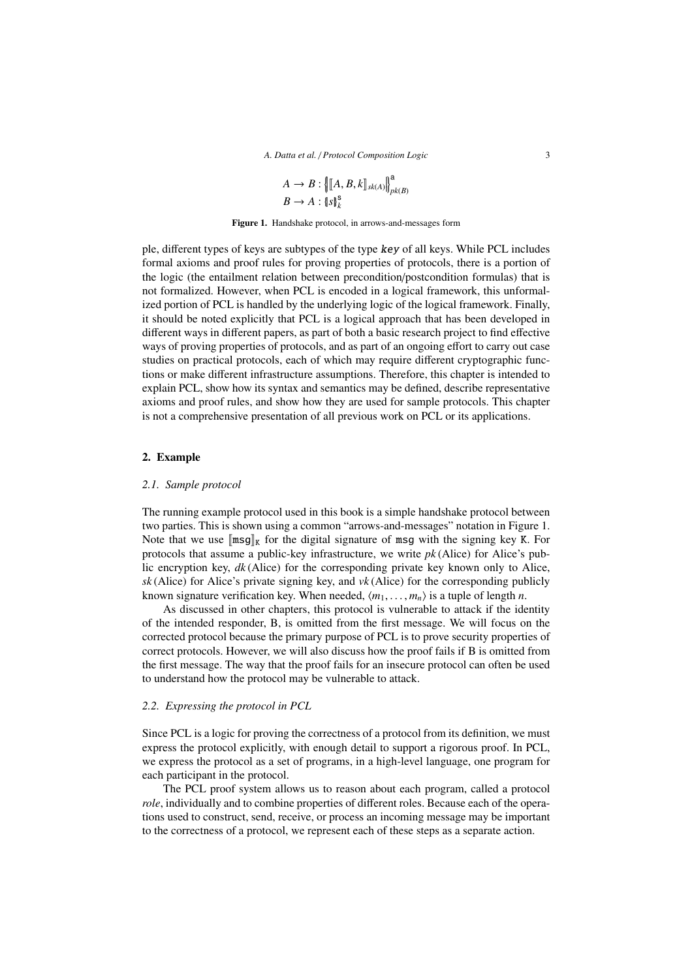$$
A \to B: \left\{ [[A, B, k]]_{sk(A)} \right\}_{pk(B)}^{\alpha}
$$
  

$$
B \to A: \left\{ s \right\}_{k}^{\mathsf{S}}
$$

Figure 1. Handshake protocol, in arrows-and-messages form

ple, different types of keys are subtypes of the type key of all keys. While PCL includes formal axioms and proof rules for proving properties of protocols, there is a portion of the logic (the entailment relation between precondition/postcondition formulas) that is not formalized. However, when PCL is encoded in a logical framework, this unformalized portion of PCL is handled by the underlying logic of the logical framework. Finally, it should be noted explicitly that PCL is a logical approach that has been developed in different ways in different papers, as part of both a basic research project to find effective ways of proving properties of protocols, and as part of an ongoing effort to carry out case studies on practical protocols, each of which may require different cryptographic functions or make different infrastructure assumptions. Therefore, this chapter is intended to explain PCL, show how its syntax and semantics may be defined, describe representative axioms and proof rules, and show how they are used for sample protocols. This chapter is not a comprehensive presentation of all previous work on PCL or its applications.

#### 2. Example

## *2.1. Sample protocol*

The running example protocol used in this book is a simple handshake protocol between two parties. This is shown using a common "arrows-and-messages" notation in Figure 1. Note that we use  $[\![\mathfrak{msg}]\!]_K$  for the digital signature of msg with the signing key K. For protocols that assume a public-key infrastructure, we write *pk* (Alice) for Alice's public encryption key, *dk* (Alice) for the corresponding private key known only to Alice, *sk* (Alice) for Alice's private signing key, and *vk* (Alice) for the corresponding publicly known signature verification key. When needed,  $\langle m_1, \ldots, m_n \rangle$  is a tuple of length *n*.

As discussed in other chapters, this protocol is vulnerable to attack if the identity of the intended responder, B, is omitted from the first message. We will focus on the corrected protocol because the primary purpose of PCL is to prove security properties of correct protocols. However, we will also discuss how the proof fails if B is omitted from the first message. The way that the proof fails for an insecure protocol can often be used to understand how the protocol may be vulnerable to attack.

# *2.2. Expressing the protocol in PCL*

Since PCL is a logic for proving the correctness of a protocol from its definition, we must express the protocol explicitly, with enough detail to support a rigorous proof. In PCL, we express the protocol as a set of programs, in a high-level language, one program for each participant in the protocol.

The PCL proof system allows us to reason about each program, called a protocol *role*, individually and to combine properties of different roles. Because each of the operations used to construct, send, receive, or process an incoming message may be important to the correctness of a protocol, we represent each of these steps as a separate action.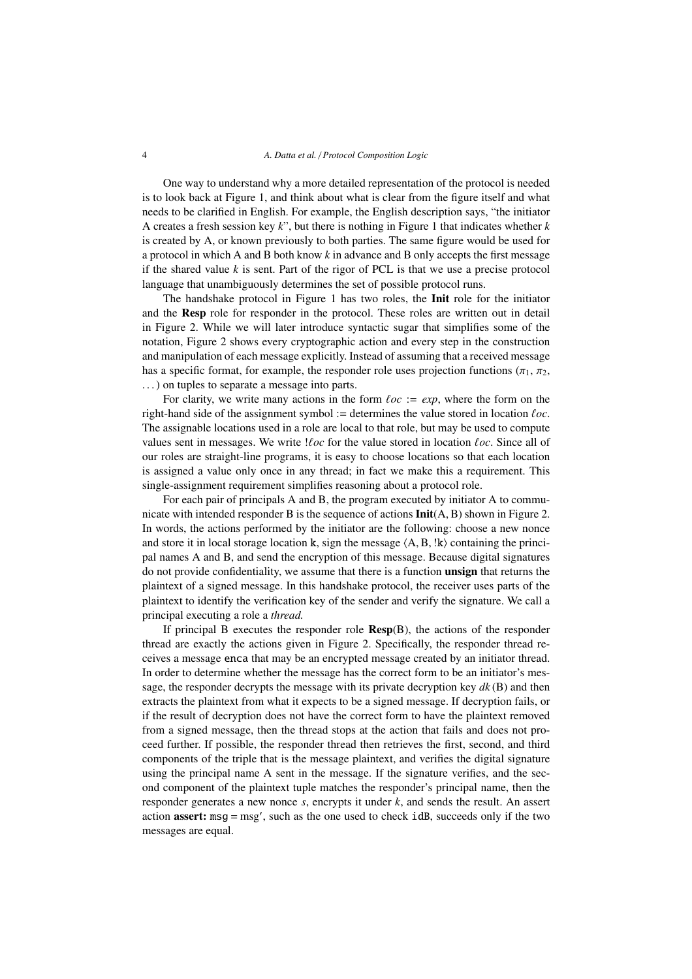One way to understand why a more detailed representation of the protocol is needed is to look back at Figure 1, and think about what is clear from the figure itself and what needs to be clarified in English. For example, the English description says, "the initiator A creates a fresh session key *k*", but there is nothing in Figure 1 that indicates whether *k* is created by A, or known previously to both parties. The same figure would be used for a protocol in which A and B both know *k* in advance and B only accepts the first message if the shared value *k* is sent. Part of the rigor of PCL is that we use a precise protocol language that unambiguously determines the set of possible protocol runs.

The handshake protocol in Figure 1 has two roles, the Init role for the initiator and the Resp role for responder in the protocol. These roles are written out in detail in Figure 2. While we will later introduce syntactic sugar that simplifies some of the notation, Figure 2 shows every cryptographic action and every step in the construction and manipulation of each message explicitly. Instead of assuming that a received message has a specific format, for example, the responder role uses projection functions ( $\pi_1$ ,  $\pi_2$ , . . . ) on tuples to separate a message into parts.

For clarity, we write many actions in the form  $\ell$ *oc* := *exp*, where the form on the right-hand side of the assignment symbol := determines the value stored in location  $\ell$ oc. The assignable locations used in a role are local to that role, but may be used to compute values sent in messages. We write  $'i\ell$  for the value stored in location  $\ell$ oc. Since all of our roles are straight-line programs, it is easy to choose locations so that each location is assigned a value only once in any thread; in fact we make this a requirement. This single-assignment requirement simplifies reasoning about a protocol role.

For each pair of principals A and B, the program executed by initiator A to communicate with intended responder B is the sequence of actions  $Init(A, B)$  shown in Figure 2. In words, the actions performed by the initiator are the following: choose a new nonce and store it in local storage location k, sign the message  $\langle A, B, \cdot | k \rangle$  containing the principal names A and B, and send the encryption of this message. Because digital signatures do not provide confidentiality, we assume that there is a function unsign that returns the plaintext of a signed message. In this handshake protocol, the receiver uses parts of the plaintext to identify the verification key of the sender and verify the signature. We call a principal executing a role a *thread.*

If principal B executes the responder role  $\text{Resp}(B)$ , the actions of the responder thread are exactly the actions given in Figure 2. Specifically, the responder thread receives a message enca that may be an encrypted message created by an initiator thread. In order to determine whether the message has the correct form to be an initiator's message, the responder decrypts the message with its private decryption key  $dk(B)$  and then extracts the plaintext from what it expects to be a signed message. If decryption fails, or if the result of decryption does not have the correct form to have the plaintext removed from a signed message, then the thread stops at the action that fails and does not proceed further. If possible, the responder thread then retrieves the first, second, and third components of the triple that is the message plaintext, and verifies the digital signature using the principal name A sent in the message. If the signature verifies, and the second component of the plaintext tuple matches the responder's principal name, then the responder generates a new nonce *s*, encrypts it under *k*, and sends the result. An assert action **assert:**  $msg = msg'$ , such as the one used to check idB, succeeds only if the two messages are equal.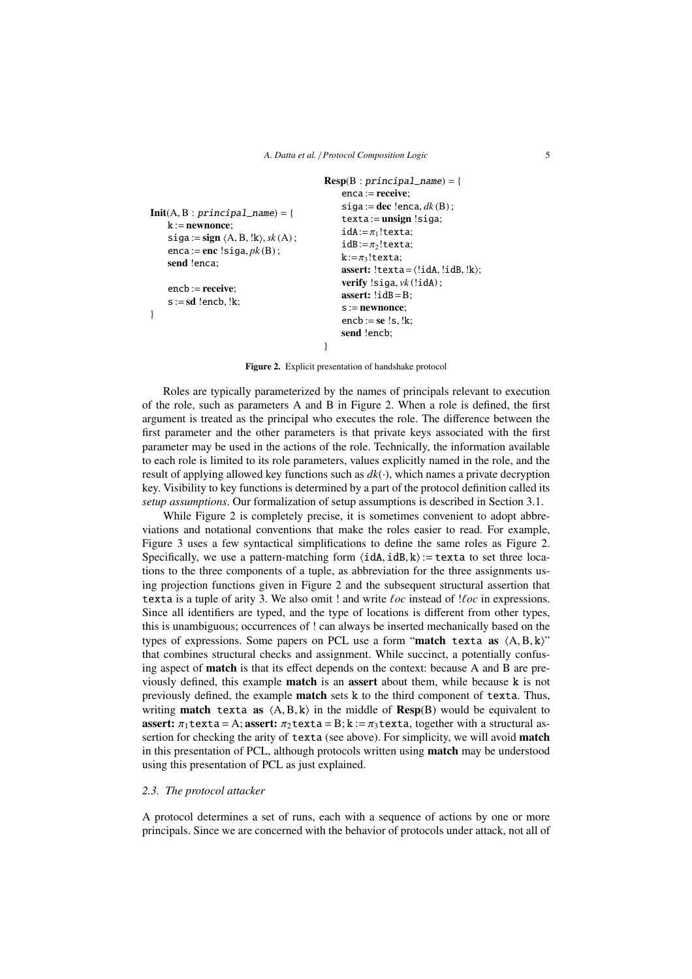```
Init(A, B : principal_name) = \{k := newnonce;
    siga := sign \langle A, B, !k \rangle, sk(A);
    enca := enc !siga, pk(B);
    send !enca;
    encb := receive;
    s := sd !encb, !k;
}

                                              enca := receive;
                                              siga := dec !enca, dk (B);
                                              texta := unsign !siga;
                                              idA:=\pi_1!texta;
                                              idB:=\pi_2!textk:=\pi_3!texta;
                                              assert: !\text{texta}=\langle !\text{idA}, !\text{idB}, !\text{k}\rangle;verify !siga, vk (!idA);
                                              assert: !idB=B;
                                              s := newnonce:
                                              encb := se !s, !k:
                                              send !encb;
```
Figure 2. Explicit presentation of handshake protocol

}

Roles are typically parameterized by the names of principals relevant to execution of the role, such as parameters A and B in Figure 2. When a role is defined, the first argument is treated as the principal who executes the role. The difference between the first parameter and the other parameters is that private keys associated with the first parameter may be used in the actions of the role. Technically, the information available to each role is limited to its role parameters, values explicitly named in the role, and the result of applying allowed key functions such as  $dk(\cdot)$ , which names a private decryption key. Visibility to key functions is determined by a part of the protocol definition called its *setup assumptions*. Our formalization of setup assumptions is described in Section 3.1.

While Figure 2 is completely precise, it is sometimes convenient to adopt abbreviations and notational conventions that make the roles easier to read. For example, Figure 3 uses a few syntactical simplifications to define the same roles as Figure 2. Specifically, we use a pattern-matching form  $\langle$ **idA**,  $idB$ ,  $k$ ) := texta to set three locations to the three components of a tuple, as abbreviation for the three assignments using projection functions given in Figure 2 and the subsequent structural assertion that texta is a tuple of arity 3. We also omit ! and write  $\ell$ oc instead of  $\ell$ oc in expressions. Since all identifiers are typed, and the type of locations is different from other types, this is unambiguous; occurrences of ! can always be inserted mechanically based on the types of expressions. Some papers on PCL use a form "match texta as  $\langle A, B, k \rangle$ " that combines structural checks and assignment. While succinct, a potentially confusing aspect of match is that its effect depends on the context: because A and B are previously defined, this example match is an assert about them, while because k is not previously defined, the example match sets k to the third component of texta. Thus, writing **match** texta as  $\langle A, B, k \rangle$  in the middle of **Resp**(B) would be equivalent to assert:  $\pi_1$ texta = A; assert:  $\pi_2$ texta = B; k :=  $\pi_3$ texta, together with a structural assertion for checking the arity of texta (see above). For simplicity, we will avoid match in this presentation of PCL, although protocols written using match may be understood using this presentation of PCL as just explained.

#### *2.3. The protocol attacker*

A protocol determines a set of runs, each with a sequence of actions by one or more principals. Since we are concerned with the behavior of protocols under attack, not all of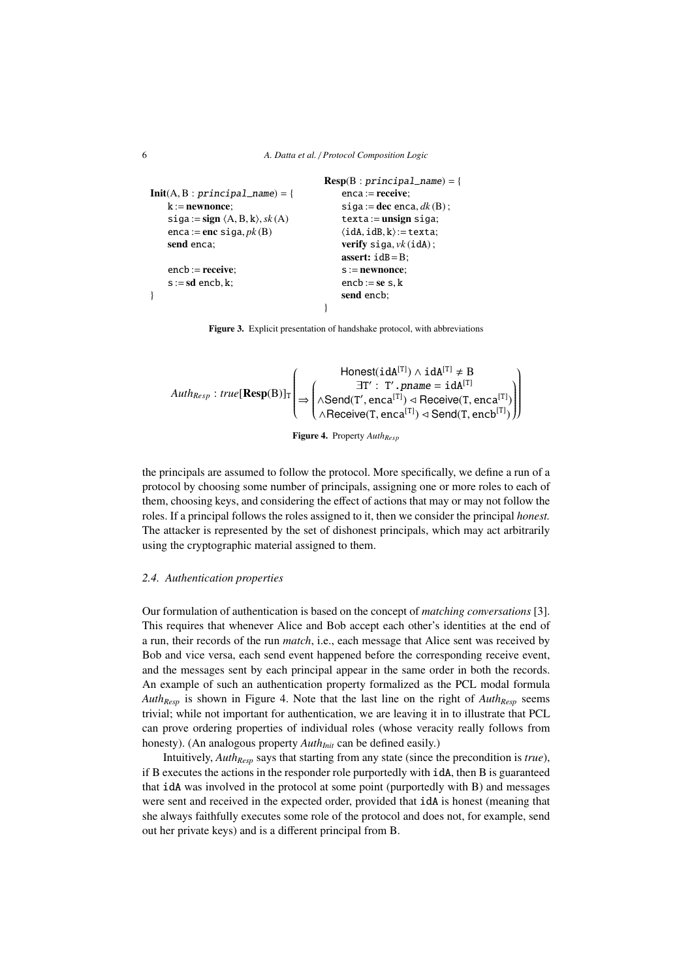```
Init(A, B : principal_name) = \{k := newnonce;
   siga := sign \langle A, B, k \rangle, sk(A)enca := enc siga, pk (B)
   send enca;
   encb := receive;
   s := sd encb, k;
}

                                          enca := receive;
                                          siga := dec enca, dk (B);
                                          texta :=unsign siga;
                                          \langleidA, idB, k\rangle:=texta;
                                          verify siga, vk (idA) ;
                                          assert: idB = B;
                                           s := newnonce;
                                           encb := se s, ksend encb;
                                      }
```
Figure 3. Explicit presentation of handshake protocol, with abbreviations

$$
Auth_{Resp} : true[\text{Resp}(B)]_T \left( \begin{matrix} Homest(idA^{[T]}) \land idA^{[T]} \neq B \\ \exists T' : T'. \text{ \textit{pname}} = idA^{[T]} \\ \land Send(T', enca^{[T]}) \lhd Receive(T, enca^{[T]}) \end{matrix} \right)
$$
\n
$$
Henceive(T, enca^{[T]}) \left( \begin{matrix} Homest(idA^{[T]}) \land idA^{[T]} \neq B \\ \land Receive(T, enca^{[T]}) \lhd Send(T, encb^{[T]}) \end{matrix} \right)
$$

Figure 4. Property *AuthResp*

the principals are assumed to follow the protocol. More specifically, we define a run of a protocol by choosing some number of principals, assigning one or more roles to each of them, choosing keys, and considering the effect of actions that may or may not follow the roles. If a principal follows the roles assigned to it, then we consider the principal *honest.* The attacker is represented by the set of dishonest principals, which may act arbitrarily using the cryptographic material assigned to them.

## *2.4. Authentication properties*

Our formulation of authentication is based on the concept of *matching conversations* [3]. This requires that whenever Alice and Bob accept each other's identities at the end of a run, their records of the run *match*, i.e., each message that Alice sent was received by Bob and vice versa, each send event happened before the corresponding receive event, and the messages sent by each principal appear in the same order in both the records. An example of such an authentication property formalized as the PCL modal formula *AuthResp* is shown in Figure 4. Note that the last line on the right of *AuthResp* seems trivial; while not important for authentication, we are leaving it in to illustrate that PCL can prove ordering properties of individual roles (whose veracity really follows from honesty). (An analogous property *AuthInit* can be defined easily.)

Intuitively, *AuthResp* says that starting from any state (since the precondition is *true*), if B executes the actions in the responder role purportedly with idA, then B is guaranteed that idA was involved in the protocol at some point (purportedly with B) and messages were sent and received in the expected order, provided that idA is honest (meaning that she always faithfully executes some role of the protocol and does not, for example, send out her private keys) and is a different principal from B.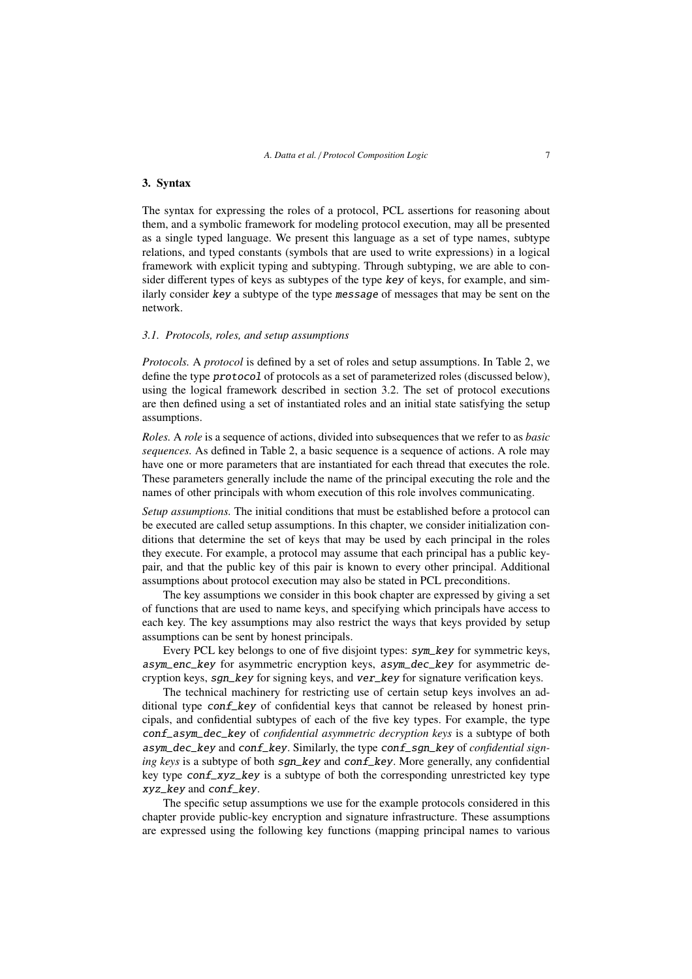# 3. Syntax

The syntax for expressing the roles of a protocol, PCL assertions for reasoning about them, and a symbolic framework for modeling protocol execution, may all be presented as a single typed language. We present this language as a set of type names, subtype relations, and typed constants (symbols that are used to write expressions) in a logical framework with explicit typing and subtyping. Through subtyping, we are able to consider different types of keys as subtypes of the type key of keys, for example, and similarly consider key a subtype of the type message of messages that may be sent on the network.

## *3.1. Protocols, roles, and setup assumptions*

*Protocols.* A *protocol* is defined by a set of roles and setup assumptions. In Table 2, we define the type protocol of protocols as a set of parameterized roles (discussed below), using the logical framework described in section 3.2. The set of protocol executions are then defined using a set of instantiated roles and an initial state satisfying the setup assumptions.

*Roles.* A *role* is a sequence of actions, divided into subsequences that we refer to as *basic sequences.* As defined in Table 2, a basic sequence is a sequence of actions. A role may have one or more parameters that are instantiated for each thread that executes the role. These parameters generally include the name of the principal executing the role and the names of other principals with whom execution of this role involves communicating.

*Setup assumptions.* The initial conditions that must be established before a protocol can be executed are called setup assumptions. In this chapter, we consider initialization conditions that determine the set of keys that may be used by each principal in the roles they execute. For example, a protocol may assume that each principal has a public keypair, and that the public key of this pair is known to every other principal. Additional assumptions about protocol execution may also be stated in PCL preconditions.

The key assumptions we consider in this book chapter are expressed by giving a set of functions that are used to name keys, and specifying which principals have access to each key. The key assumptions may also restrict the ways that keys provided by setup assumptions can be sent by honest principals.

Every PCL key belongs to one of five disjoint types: sym\_key for symmetric keys, asym\_enc\_key for asymmetric encryption keys, asym\_dec\_key for asymmetric decryption keys, sgn\_key for signing keys, and ver\_key for signature verification keys.

The technical machinery for restricting use of certain setup keys involves an additional type  $conf\_key$  of confidential keys that cannot be released by honest principals, and confidential subtypes of each of the five key types. For example, the type conf\_asym\_dec\_key of *confidential asymmetric decryption keys* is a subtype of both asym\_dec\_key and conf\_key. Similarly, the type conf\_sgn\_key of *confidential signing keys* is a subtype of both sgn\_key and conf\_key. More generally, any confidential key type conf\_xyz\_key is a subtype of both the corresponding unrestricted key type xyz\_key and conf\_key.

The specific setup assumptions we use for the example protocols considered in this chapter provide public-key encryption and signature infrastructure. These assumptions are expressed using the following key functions (mapping principal names to various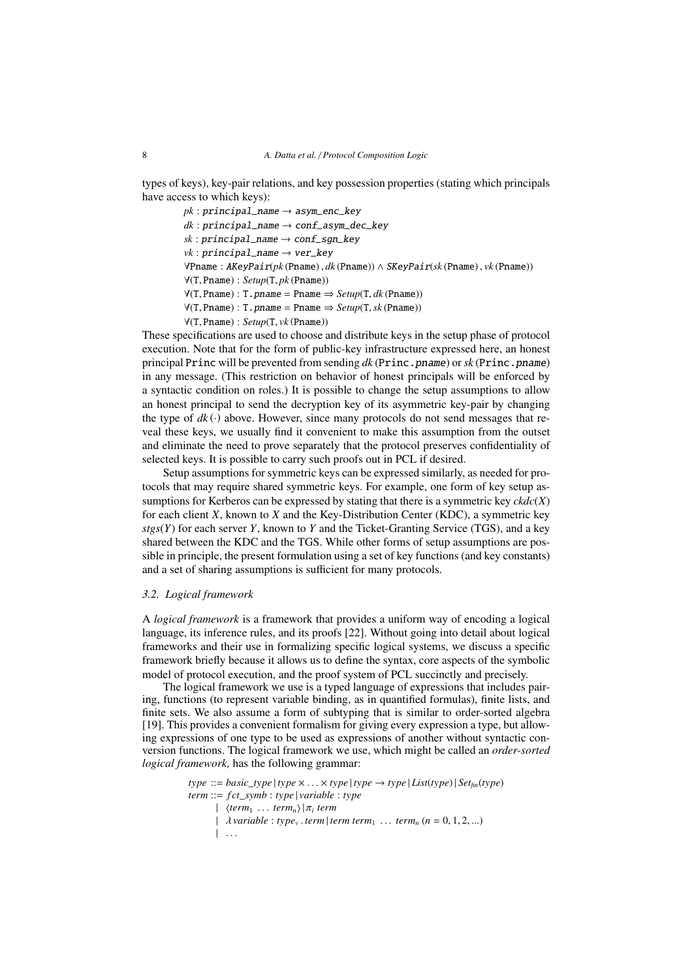types of keys), key-pair relations, and key possession properties (stating which principals have access to which keys):

> $pk: principal\_name \rightarrow asym\_enc\_kev$  $dk: principal\_name \rightarrow conf\_asym\_dec\_key$  $sk: principal_name \rightarrow conf\_sgn\_key$  $vk: principal_name \rightarrow ver\_key$ <sup>∀</sup>Pname : AKeyPair(*pk* (Pname) , *dk* (Pname)) <sup>∧</sup> SKeyPair(*sk* (Pname) , *vk* (Pname)) <sup>∀</sup>(T, Pname) : *Setup*(T, *pk* (Pname)) <sup>∀</sup>(T, Pname) : <sup>T</sup>.pname <sup>=</sup> Pname <sup>⇒</sup> *Setup*(T, *dk* (Pname)) <sup>∀</sup>(T, Pname) : <sup>T</sup>.pname <sup>=</sup> Pname <sup>⇒</sup> *Setup*(T,*sk* (Pname)) <sup>∀</sup>(T, Pname) : *Setup*(T, *vk* (Pname))

These specifications are used to choose and distribute keys in the setup phase of protocol execution. Note that for the form of public-key infrastructure expressed here, an honest principal Princ will be prevented from sending *dk* (Princ.pname) or*sk* (Princ.pname) in any message. (This restriction on behavior of honest principals will be enforced by a syntactic condition on roles.) It is possible to change the setup assumptions to allow an honest principal to send the decryption key of its asymmetric key-pair by changing the type of  $dk()$  above. However, since many protocols do not send messages that reveal these keys, we usually find it convenient to make this assumption from the outset and eliminate the need to prove separately that the protocol preserves confidentiality of selected keys. It is possible to carry such proofs out in PCL if desired.

Setup assumptions for symmetric keys can be expressed similarly, as needed for protocols that may require shared symmetric keys. For example, one form of key setup assumptions for Kerberos can be expressed by stating that there is a symmetric key *ckdc*(*X*) for each client *X*, known to *X* and the Key-Distribution Center (KDC), a symmetric key  $stgs(Y)$  for each server *Y*, known to *Y* and the Ticket-Granting Service (TGS), and a key shared between the KDC and the TGS. While other forms of setup assumptions are possible in principle, the present formulation using a set of key functions (and key constants) and a set of sharing assumptions is sufficient for many protocols.

## *3.2. Logical framework*

A *logical framework* is a framework that provides a uniform way of encoding a logical language, its inference rules, and its proofs [22]. Without going into detail about logical frameworks and their use in formalizing specific logical systems, we discuss a specific framework briefly because it allows us to define the syntax, core aspects of the symbolic model of protocol execution, and the proof system of PCL succinctly and precisely.

The logical framework we use is a typed language of expressions that includes pairing, functions (to represent variable binding, as in quantified formulas), finite lists, and finite sets. We also assume a form of subtyping that is similar to order-sorted algebra [19]. This provides a convenient formalism for giving every expression a type, but allowing expressions of one type to be used as expressions of another without syntactic conversion functions. The logical framework we use, which might be called an *order-sorted logical framework,* has the following grammar:

```
type ::= basic\_type | type \times \ldots \times type | type \rightarrow type | List-type) | Set_{fin}(type)term ::= f ct_symb : type | variable : type
             \begin{bmatrix} \langle \text{term}_1 \dots \text{term}_n \rangle | \pi_i \text{ term} \\ \text{if } \text{variable} \cdot \text{true} \quad \text{term} \end{bmatrix}| λ variable : typev
. term | term term1 . . . termn (n = 0, 1, 2, ...)
            \| \cdot \cdot \cdot \cdot \|
```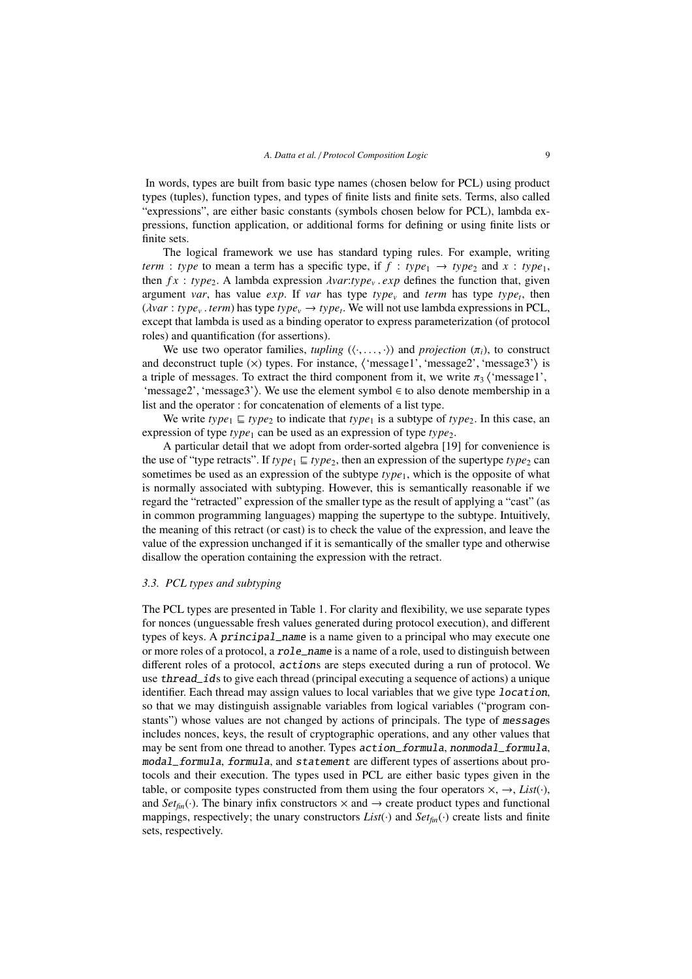In words, types are built from basic type names (chosen below for PCL) using product types (tuples), function types, and types of finite lists and finite sets. Terms, also called "expressions", are either basic constants (symbols chosen below for PCL), lambda expressions, function application, or additional forms for defining or using finite lists or finite sets.

The logical framework we use has standard typing rules. For example, writing *term* : *type* to mean a term has a specific type, if  $f : type_1 \rightarrow type_2$  and  $x : type_1$ , then  $fx$ : *type*<sub>2</sub>. A lambda expression  $\lambda var: type$ <sub>*y*</sub> . *exp* defines the function that, given argument *var*, has value *exp*. If *var* has type *type<sup>v</sup>* and *term* has type *type<sup>t</sup>* , then  $(\lambda var : type_v : term)$  has type  $type_v \rightarrow type_t$ . We will not use lambda expressions in PCL, except that lambda is used as a hinding operator to express parameterization (of protocol) except that lambda is used as a binding operator to express parameterization (of protocol roles) and quantification (for assertions).

We use two operator families, *tupling*  $(\langle \cdot, \ldots, \cdot \rangle)$  and *projection*  $(\pi_i)$ , to construct and deconstruct tuple  $(x)$  types. For instance,  $\langle$  'message1', 'message2', 'message3' $\rangle$  is<br>a triple of messages. To extract the third component from it, we write  $\pi_2$  ('message1' a triple of messages. To extract the third component from it, we write  $\pi_3$  ('message1', 'message3'). We use the element symbol  $\epsilon$  to also denote membership in 'message2', 'message3' . We use the element symbol ∈ to also denote membership in a list and the operator : for concatenation of elements of a list type.

We write *type*<sub>1</sub>  $\sqsubseteq$  *type*<sub>2</sub> to indicate that *type*<sub>1</sub> is a subtype of *type*<sub>2</sub>. In this case, an expression of type  $type_1$  can be used as an expression of type  $type_2$ .

A particular detail that we adopt from order-sorted algebra [19] for convenience is the use of "type retracts". If  $type_1 \sqsubseteq type_2$ , then an expression of the supertype  $type_2$  can sometimes be used as an expression of the subtype  $type_1$ , which is the opposite of what is normally associated with subtyping. However, this is semantically reasonable if we regard the "retracted" expression of the smaller type as the result of applying a "cast" (as in common programming languages) mapping the supertype to the subtype. Intuitively, the meaning of this retract (or cast) is to check the value of the expression, and leave the value of the expression unchanged if it is semantically of the smaller type and otherwise disallow the operation containing the expression with the retract.

## *3.3. PCL types and subtyping*

The PCL types are presented in Table 1. For clarity and flexibility, we use separate types for nonces (unguessable fresh values generated during protocol execution), and different types of keys. A principal\_name is a name given to a principal who may execute one or more roles of a protocol, a role\_name is a name of a role, used to distinguish between different roles of a protocol, actions are steps executed during a run of protocol. We use thread\_ids to give each thread (principal executing a sequence of actions) a unique identifier. Each thread may assign values to local variables that we give type location, so that we may distinguish assignable variables from logical variables ("program constants") whose values are not changed by actions of principals. The type of messages includes nonces, keys, the result of cryptographic operations, and any other values that may be sent from one thread to another. Types action\_formula, nonmodal\_formula, modal\_formula, formula, and statement are different types of assertions about protocols and their execution. The types used in PCL are either basic types given in the table, or composite types constructed from them using the four operators  $\times$ ,  $\rightarrow$ , *List*(·), and  $Set_{fin}(\cdot)$ . The binary infix constructors  $\times$  and  $\rightarrow$  create product types and functional mappings, respectively; the unary constructors  $List(\cdot)$  and  $Set_{fin}(\cdot)$  create lists and finite sets, respectively.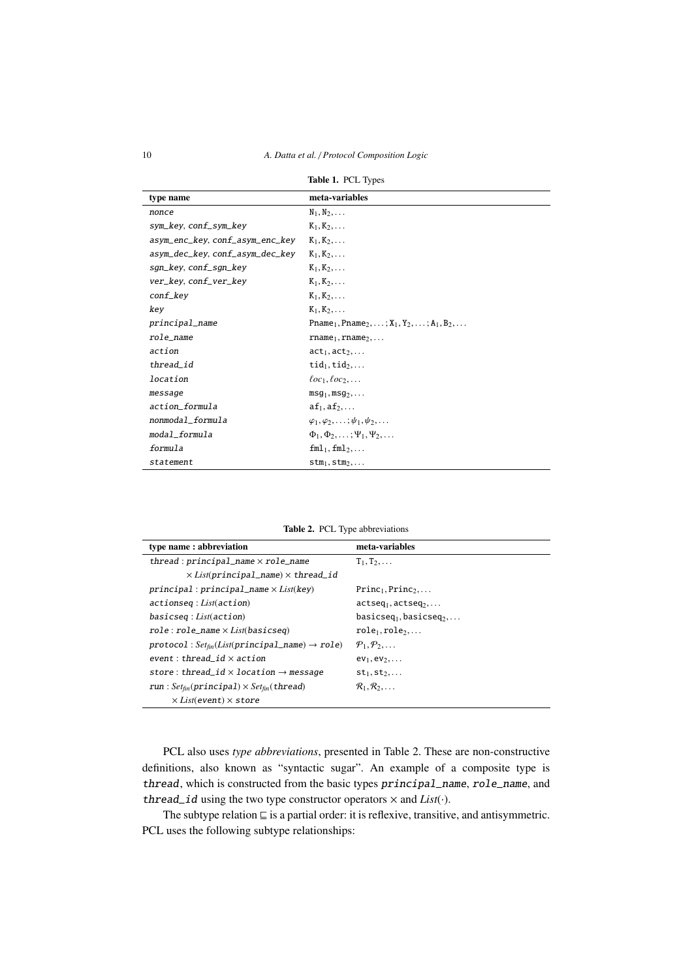|                                | <b>Table 1. PCL Types</b>                                                        |
|--------------------------------|----------------------------------------------------------------------------------|
| type name                      | meta-variables                                                                   |
| nonce                          | $N_1, N_2, \ldots$                                                               |
| sym_key, conf_sym_key          | $K_1, K_2, \ldots$                                                               |
| asym_enc_key,conf_asym_enc_key | $K_1, K_2, \ldots$                                                               |
| asym_dec_key,conf_asym_dec_key | $K_1, K_2, \ldots$                                                               |
| sgn_key, conf_sgn_key          | $K_1, K_2, \ldots$                                                               |
| ver_key, conf_ver_key          | $K_1, K_2, \ldots$                                                               |
| conf_key                       | $K_1, K_2, \ldots$                                                               |
| key                            | $K_1, K_2, \ldots$                                                               |
| principal_name                 | Pname <sub>1</sub> , Pname <sub>2</sub> , ; $X_1, Y_2, \ldots; A_1, B_2, \ldots$ |
| role name                      | $rname_1, rname_2, \ldots$                                                       |
| action                         | act <sub>1</sub> , act <sub>2</sub> ,                                            |
| thread_id                      | $tid_1, tid_2,$                                                                  |
| location                       | $\ell$ oc <sub>1</sub> , $\ell$ oc <sub>2</sub> ,                                |
| message                        | $msq_1, msq_2, \ldots$                                                           |
| action formula                 | $af_1, af_2, \ldots$                                                             |
| nonmodal_formula               | $\varphi_1, \varphi_2, \ldots; \psi_1, \psi_2, \ldots$                           |
| modal_formula                  | $\Phi_1, \Phi_2, \ldots; \Psi_1, \Psi_2, \ldots$                                 |
| formula                        | $fml_1, fml_2, \ldots$                                                           |
| statement                      | $stm_1, Stm_2, \ldots$                                                           |

Table 2. PCL Type abbreviations

| type name: abbreviation                                       | meta-variables                         |
|---------------------------------------------------------------|----------------------------------------|
| $thread: principal_name \times role_name$                     | $T_1, T_2, \ldots$                     |
| $\times$ List(principal_name) $\times$ thread_id              |                                        |
| $principal : principal\_name \times List(key)$                | $Princ_1, Princ_2, \ldots$             |
| actionseg: List(action)                                       | $actseq1, actseq2,$                    |
| basicseq: List(action)                                        | $basis_{1}, basis_{2}, \ldots$         |
| $role: role_name \times List(basicseq)$                       | $role_1, role_2, \ldots$               |
| $protocol : Set_{fin}(List(principal_name) \rightarrow role)$ | $\mathcal{P}_1, \mathcal{P}_2, \ldots$ |
| event: thread $id \times action$                              | $ev_1, ev_2, \ldots$                   |
| store: thread_id $\times$ location $\rightarrow$ message      | $st_1, st_2, \ldots$                   |
| run: $Set_{fin}(principal) \times Set_{fin}(thread)$          | $\mathcal{R}_1, \mathcal{R}_2, \ldots$ |
| $\times$ List(event) $\times$ store                           |                                        |
|                                                               |                                        |

PCL also uses *type abbreviations*, presented in Table 2. These are non-constructive definitions, also known as "syntactic sugar". An example of a composite type is thread, which is constructed from the basic types principal\_name, role\_name, and thread\_id using the two type constructor operators  $\times$  and *List*( $\cdot$ ).

The subtype relation  $\sqsubseteq$  is a partial order: it is reflexive, transitive, and antisymmetric. PCL uses the following subtype relationships: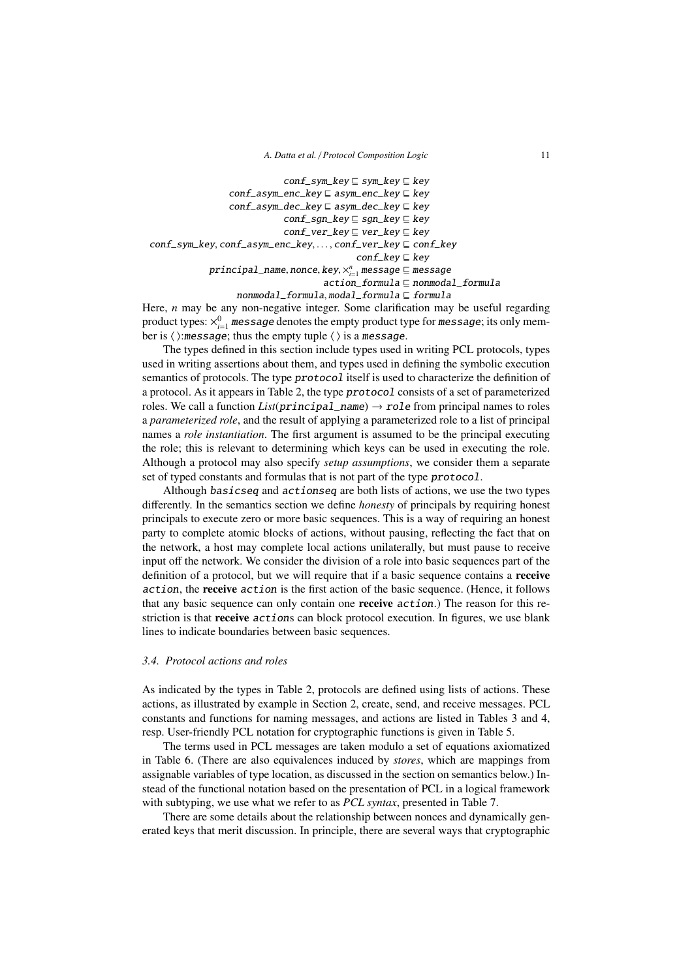```
conf\_sym\_key \sqsubseteq sym\_key \sqsubseteq keyconf\_asym\_enc\_key \sqsubseteq asym\_enc\_key \sqsubseteq keyconf\_asym\_dec\_key \sqsubseteq asym\_dec\_key \sqsubseteq keyconf\_sgn\_key \sqsubseteq sgn\_key \sqsubseteq keyconf\_ver\_key \sqsubseteq ver\_key \sqsubseteq keyconf\_sym\_key, conf\_asym\_enc\_key, \ldots, conf\_ver\_key \sqsubseteq conf\_keyconf\_key \sqsubseteq keyprincipal_name, nonce, key, x_{i=1}^n message \sqsubseteq message
                                                  action_{formula} \sqsubseteq nonmodal_{formula}nonmodal\_formula, modal\_formula \subseteq formula
```
Here, *n* may be any non-negative integer. Some clarification may be useful regarding product types:  $\boldsymbol{\times}_{i=1}^0$  me*ssage* denotes the empty product type for me*ssage*; its only member is  $\langle$  : message; thus the empty tuple  $\langle \rangle$  is a message.

The types defined in this section include types used in writing PCL protocols, types used in writing assertions about them, and types used in defining the symbolic execution semantics of protocols. The type protocol itself is used to characterize the definition of a protocol. As it appears in Table 2, the type protocol consists of a set of parameterized roles. We call a function *List*( $principal_name$ )  $\rightarrow$  role from principal names to roles a *parameterized role*, and the result of applying a parameterized role to a list of principal names a *role instantiation*. The first argument is assumed to be the principal executing the role; this is relevant to determining which keys can be used in executing the role. Although a protocol may also specify *setup assumptions*, we consider them a separate set of typed constants and formulas that is not part of the type protocol.

Although basicseq and actionseq are both lists of actions, we use the two types differently. In the semantics section we define *honesty* of principals by requiring honest principals to execute zero or more basic sequences. This is a way of requiring an honest party to complete atomic blocks of actions, without pausing, reflecting the fact that on the network, a host may complete local actions unilaterally, but must pause to receive input off the network. We consider the division of a role into basic sequences part of the definition of a protocol, but we will require that if a basic sequence contains a receive action, the receive action is the first action of the basic sequence. (Hence, it follows that any basic sequence can only contain one receive action.) The reason for this restriction is that receive actions can block protocol execution. In figures, we use blank lines to indicate boundaries between basic sequences.

#### *3.4. Protocol actions and roles*

As indicated by the types in Table 2, protocols are defined using lists of actions. These actions, as illustrated by example in Section 2, create, send, and receive messages. PCL constants and functions for naming messages, and actions are listed in Tables 3 and 4, resp. User-friendly PCL notation for cryptographic functions is given in Table 5.

The terms used in PCL messages are taken modulo a set of equations axiomatized in Table 6. (There are also equivalences induced by *stores*, which are mappings from assignable variables of type location, as discussed in the section on semantics below.) Instead of the functional notation based on the presentation of PCL in a logical framework with subtyping, we use what we refer to as *PCL syntax*, presented in Table 7.

There are some details about the relationship between nonces and dynamically generated keys that merit discussion. In principle, there are several ways that cryptographic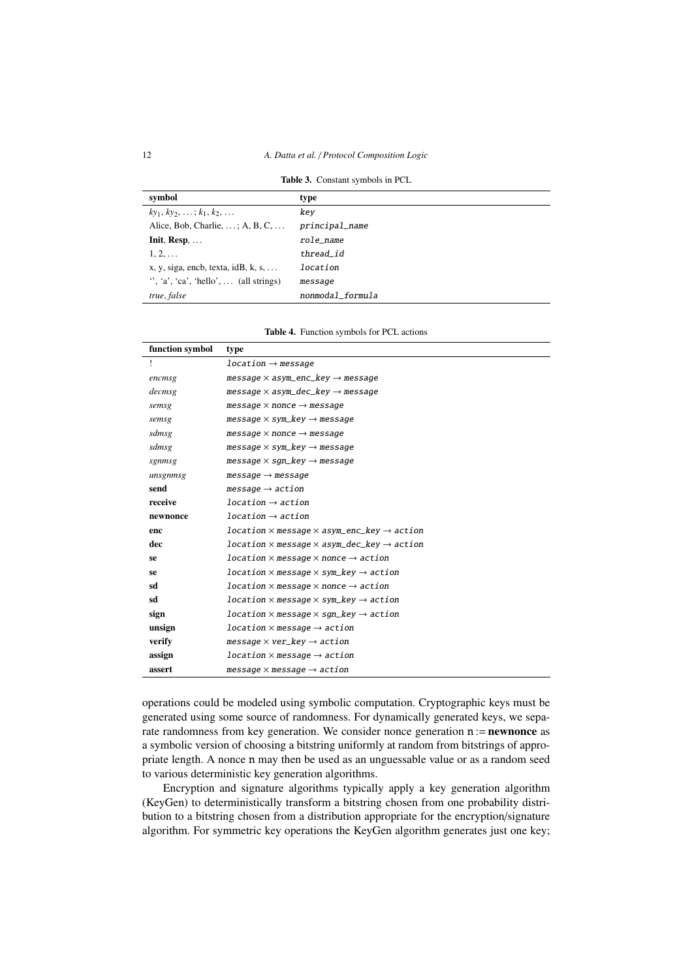12 *A. Datta et al.* / *Protocol Composition Logic*

|  |  | <b>Table 3.</b> Constant symbols in PCL |  |
|--|--|-----------------------------------------|--|
|--|--|-----------------------------------------|--|

| symbol                                          | type             |
|-------------------------------------------------|------------------|
| $ky_1, ky_2, \ldots; k_1, k_2, \ldots$          | key              |
| Alice, Bob, Charlie, $\dots$ ; A, B, C, $\dots$ | principal_name   |
| Init, $Resp, \ldots$                            | role_name        |
| $1, 2, \ldots$                                  | thread id        |
| $x, y, siga, encb, texta, idB, k, s, $          | location         |
| ", 'a', 'ca', 'hello',  (all strings)           | message          |
| true, false                                     | nonmodal_formula |

|  | <b>Table 4.</b> Function symbols for PCL actions |  |  |  |  |
|--|--------------------------------------------------|--|--|--|--|
|--|--------------------------------------------------|--|--|--|--|

| function symbol | type                                                               |
|-----------------|--------------------------------------------------------------------|
| Ţ               | $location \rightarrow message$                                     |
| encmsg          | $message \times asym\_enc\_key \rightarrow message$                |
| decmsg          | $message \times asym\_dec\_key \rightarrow message$                |
| semsg           | message $\times$ nonce $\rightarrow$ message                       |
| semsg           | $message \times sym\_key \rightarrow message$                      |
| sdmsg           | message $\times$ nonce $\rightarrow$ message                       |
| sdmsg           | $message \times sym\_key \rightarrow message$                      |
| sgnmsg          | $message \times sgn\_key \rightarrow message$                      |
| unsgnmsg        | $message \rightarrow message$                                      |
| send            | message $\rightarrow$ action                                       |
| receive         | $location \rightarrow action$                                      |
| newnonce        | $location \rightarrow action$                                      |
| enc             | $location \times message \times asym\_enc\_key \rightarrow action$ |
| dec             | $location \times message \times asym\_dec\_key \rightarrow action$ |
| se              | $location \times message \times nonce \rightarrow action$          |
| se              | $location \times message \times sym\_key \rightarrow action$       |
| sd              | $location \times message \times nonce \rightarrow action$          |
| sd              | $location \times message \times sym\_key \rightarrow action$       |
| sign            | $location \times message \times sgn\_key \rightarrow action$       |
| unsign          | $location \times message \rightarrow action$                       |
| verify          | message $\times$ ver_key $\rightarrow$ action                      |
| assign          | $location \times message \rightarrow action$                       |
| assert          | $message \times message \rightarrow action$                        |

operations could be modeled using symbolic computation. Cryptographic keys must be generated using some source of randomness. For dynamically generated keys, we separate randomness from key generation. We consider nonce generation  $n :=$  newnonce as a symbolic version of choosing a bitstring uniformly at random from bitstrings of appropriate length. A nonce n may then be used as an unguessable value or as a random seed to various deterministic key generation algorithms.

Encryption and signature algorithms typically apply a key generation algorithm (KeyGen) to deterministically transform a bitstring chosen from one probability distribution to a bitstring chosen from a distribution appropriate for the encryption/signature algorithm. For symmetric key operations the KeyGen algorithm generates just one key;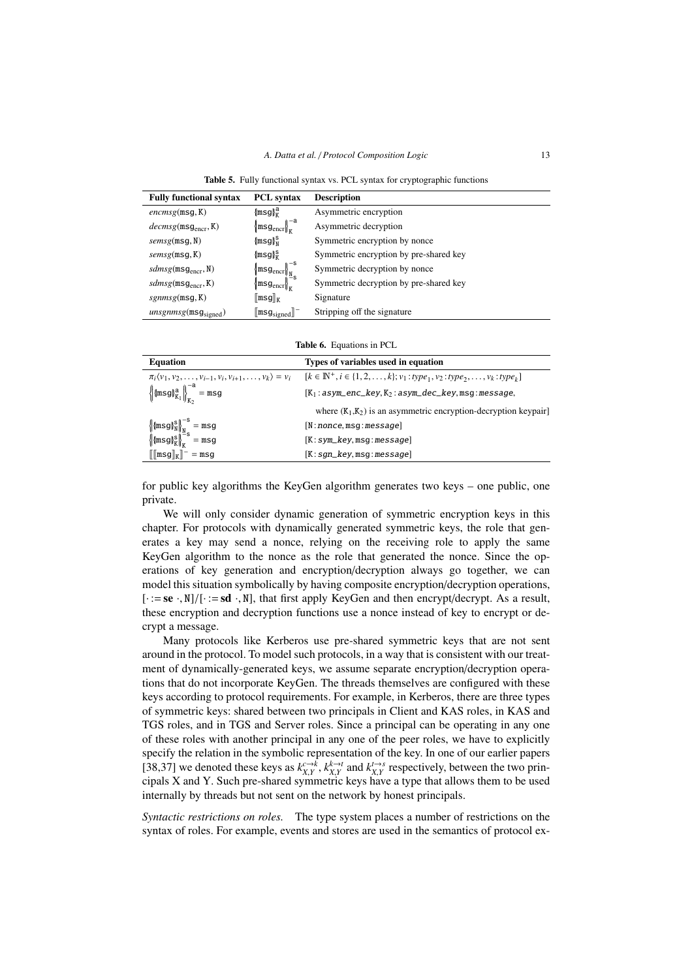Table 5. Fully functional syntax vs. PCL syntax for cryptographic functions

| <b>Fully functional syntax</b>         | <b>PCL</b> syntax                                           | <b>Description</b>                     |
|----------------------------------------|-------------------------------------------------------------|----------------------------------------|
| encmsg(msg,K)                          | $\left\{ \text{msg} \right\}_{\text{r}}^{\text{a}}$         | Asymmetric encryption                  |
| $decmsg(msg_{\text{encr}}, K)$         | $\left\{ \text{msg}_{\text{encr}} \right\}_{\text{K}}^{-a}$ | Asymmetric decryption                  |
| $\mathit{semsg}(\text{msg}, \text{N})$ | $\left\{ \text{msg} \right\}_{N}^{\text{S}}$                | Symmetric encryption by nonce          |
| semsg(msg, K)                          | $\left\{ \text{msg} \right\}_{\text{Y}}^{\text{S}}$         | Symmetric encryption by pre-shared key |
| sdmsg(msg <sub>ener</sub> , N)         | $\left\{ \text{msg}_{\text{encr}} \right\}_{N}^{-s}$        | Symmetric decryption by nonce          |
| $sdmsg(msg_{\text{encr}}, K)$          | $\left\{ \text{msg}_{\text{encr}} \right\}_{\text{r}}$      | Symmetric decryption by pre-shared key |
| sgnmsg(msg, K)                         | $[\![\mathfrak{msg}]\!]_{\mathrm{K}}$                       | Signature                              |
| $unsgnmsg(msg_{signed})$               | $\lfloor msg_{\text{signed}} \rfloor$ <sup>-</sup>          | Stripping off the signature            |

|  | <b>Table 6.</b> Equations in PCL |  |
|--|----------------------------------|--|
|--|----------------------------------|--|

| <b>Equation</b>                                                                                                                                          | Types of variables used in equation                                                     |
|----------------------------------------------------------------------------------------------------------------------------------------------------------|-----------------------------------------------------------------------------------------|
| $\pi_i \langle v_1, v_2, \ldots, v_{i-1}, v_i, v_{i+1}, \ldots, v_k \rangle = v_i$                                                                       | $[k \in \mathbb{N}^+, i \in \{1, 2, , k\}; v_1 : type_1, v_2 : type_2, , v_k : type_k]$ |
| $\left\{\ \text{msg}\ _{K_1}^a\right\}_{K_2}^{-a} = \text{msg}$                                                                                          | $[K_1:asym\_enc\_key, K_2:asym\_dec\_key, msg:message,$                                 |
|                                                                                                                                                          | where $(K_1, K_2)$ is an asymmetric encryption-decryption keypair                       |
|                                                                                                                                                          | [N:nonce, msg: message]                                                                 |
| $\left\{\begin{matrix} \left\{msg\right\}_{N}^{s}\right\}_{N}^{-s} = msg\\ \left\{\left\{msg\right\}_{K}^{s}\right\}_{K}^{-s} = msg \end{matrix}\right.$ | $[K:sym\_key, msg:message]$                                                             |
| $[[[msg]_K]^- = msg$                                                                                                                                     | $[K:sgn\_key, msg:message]$                                                             |

for public key algorithms the KeyGen algorithm generates two keys – one public, one private.

We will only consider dynamic generation of symmetric encryption keys in this chapter. For protocols with dynamically generated symmetric keys, the role that generates a key may send a nonce, relying on the receiving role to apply the same KeyGen algorithm to the nonce as the role that generated the nonce. Since the operations of key generation and encryption/decryption always go together, we can model this situation symbolically by having composite encryption/decryption operations,  $[\cdot := \mathbf{se} \cdot, N]/[\cdot := \mathbf{sd} \cdot, N]$ , that first apply KeyGen and then encrypt/decrypt. As a result, these encryption and decryption functions use a nonce instead of key to encrypt or decrypt a message.

Many protocols like Kerberos use pre-shared symmetric keys that are not sent around in the protocol. To model such protocols, in a way that is consistent with our treatment of dynamically-generated keys, we assume separate encryption/decryption operations that do not incorporate KeyGen. The threads themselves are configured with these keys according to protocol requirements. For example, in Kerberos, there are three types of symmetric keys: shared between two principals in Client and KAS roles, in KAS and TGS roles, and in TGS and Server roles. Since a principal can be operating in any one of these roles with another principal in any one of the peer roles, we have to explicitly specify the relation in the symbolic representation of the key. In one of our earlier papers [38,37] we denoted these keys as  $k_{XY}^{\leftrightarrow k}$ ,  $k_{XY}^{\leftrightarrow k}$  and  $k_{XY}^{\leftrightarrow s}$  respectively, between the two prin- $\chi_{X,Y}$   $\chi_{X,Y}$  and  $\chi_{X,Y}$  and  $\chi_{X,Y}$  respectively, between the two principals X and Y. Such pre-shared symmetric keys have a type that allows them to be used internally by threads but not sent on the network by honest principals.

*Syntactic restrictions on roles.* The type system places a number of restrictions on the syntax of roles. For example, events and stores are used in the semantics of protocol ex-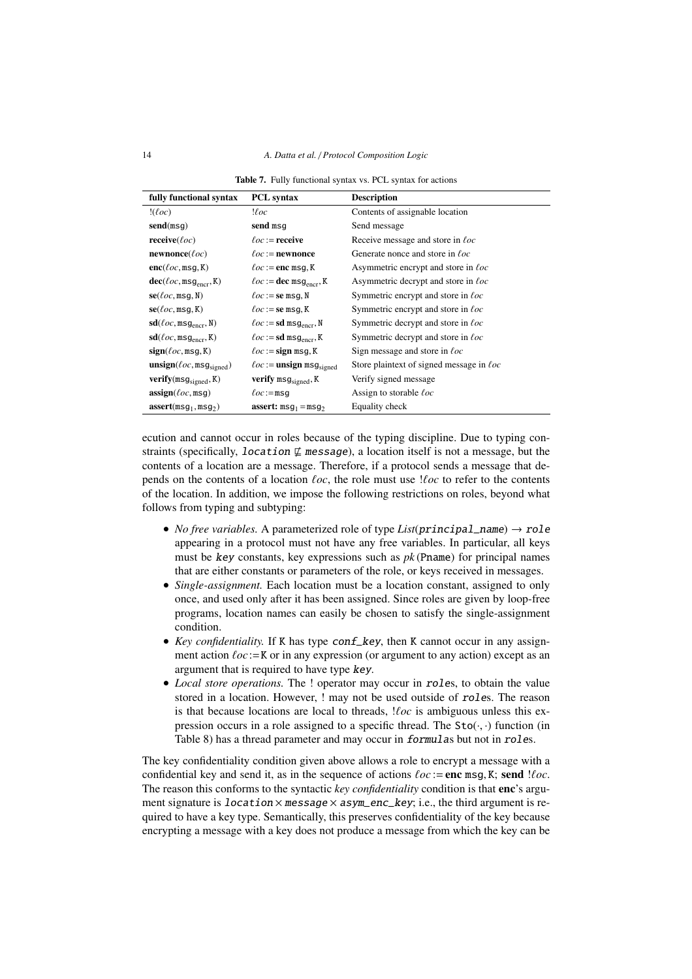|  | <b>Table 7.</b> Fully functional syntax vs. PCL syntax for actions |  |  |  |
|--|--------------------------------------------------------------------|--|--|--|
|  |                                                                    |  |  |  |

| fully functional syntax                                    | <b>PCL</b> syntax                                | <b>Description</b>                        |
|------------------------------------------------------------|--------------------------------------------------|-------------------------------------------|
| $!(\ell \circ c)$                                          | !loc                                             | Contents of assignable location           |
| send(msg)                                                  | send msg                                         | Send message                              |
| receive $(\ell \circ c)$                                   | $\ell$ <i>oc</i> := <b>receive</b>               | Receive message and store in <i>foc</i>   |
| $newnone(\ell oc)$                                         | $\ell$ <i>oc</i> := <b>newnonce</b>              | Generate nonce and store in <i>loc</i>    |
| $enc(\ell o c, \text{msg}, K)$                             | $\ell$ <i>oc</i> := <b>enc</b> msq, K            | Asymmetric encrypt and store in $\ell$ oc |
| $dec(\ell o c, \text{msg}_{\text{encr}}, K)$               | $\ell$ oc := <b>dec</b> msg <sub>encr</sub> , K  | Asymmetric decrypt and store in $\ell$ oc |
| $se(\ell \circ c, \text{msg}, \text{N})$                   | $\ell$ oc := se msg, N                           | Symmetric encrypt and store in $\ell$ oc  |
| $se(\ell \circ c, \text{msg}, K)$                          | $\ell$ oc := se msq, K                           | Symmetric encrypt and store in $\ell$ oc  |
| $sd(\ell \text{oc}, \text{msg}_{\text{encr}}, \mathbb{N})$ | $\ell$ oc := sd msg <sub>encr</sub> , N          | Symmetric decrypt and store in $\ell$ oc  |
| $sd(\ell \text{oc}, \text{msg}_{\text{enc}}, K)$           | $\ell$ oc := sd msg <sub>encr</sub> , K          | Symmetric decrypt and store in $\ell$ oc  |
| $sign(\ell o c, msg, K)$                                   | $\ell$ oc := sign msg, K                         | Sign message and store in loc             |
| $\text{unsign}(\ell o \text{C}, \text{msg}_\text{signed})$ | $\ell$ oc := <b>unsign</b> msg <sub>signed</sub> | Store plaintext of signed message in loc  |
| $verify(msg_{signed}, K)$                                  | <b>verify</b> msg <sub>signed</sub> , $K$        | Verify signed message                     |
| $\text{assign}(\ell o \text{c}, \text{msg})$               | $\ell$ oc:=msq                                   | Assign to storable $\ell$ oc              |
| $assert(msg_1, msg_2)$                                     | assert: $msg_1 = msg_2$                          | Equality check                            |

ecution and cannot occur in roles because of the typing discipline. Due to typing constraints (specifically, *location*  $\nsubseteq$  message), a location itself is not a message, but the contents of a location are a message. Therefore, if a protocol sends a message that depends on the contents of a location  $\ell$ *oc*, the role must use  $\ell$ *oc* to refer to the contents of the location. In addition, we impose the following restrictions on roles, beyond what follows from typing and subtyping:

- *No free variables.* A parameterized role of type *List*( $\text{principal\_name}$ )  $\rightarrow$  role appearing in a protocol must not have any free variables. In particular, all keys must be key constants, key expressions such as *pk* (Pname) for principal names that are either constants or parameters of the role, or keys received in messages.
- *Single-assignment.* Each location must be a location constant, assigned to only once, and used only after it has been assigned. Since roles are given by loop-free programs, location names can easily be chosen to satisfy the single-assignment condition.
- *Key confidentiality*. If K has type conf\_key, then K cannot occur in any assignment action  $\ell$ *oc* :=K or in any expression (or argument to any action) except as an argument that is required to have type key.
- *Local store operations*. The ! operator may occur in roles, to obtain the value stored in a location. However, ! may not be used outside of roles. The reason is that because locations are local to threads,  $!\ell$  *oc* is ambiguous unless this expression occurs in a role assigned to a specific thread. The  $Sto(\cdot, \cdot)$  function (in Table 8) has a thread parameter and may occur in formulas but not in roles.

The key confidentiality condition given above allows a role to encrypt a message with a confidential key and send it, as in the sequence of actions  $\ell$ *oc* := enc msg, K; send  $\ell$ *oc*. The reason this conforms to the syntactic *key confidentiality* condition is that enc's argument signature is  $location \times message \times asym\_enc\_key$ ; i.e., the third argument is required to have a key type. Semantically, this preserves confidentiality of the key because encrypting a message with a key does not produce a message from which the key can be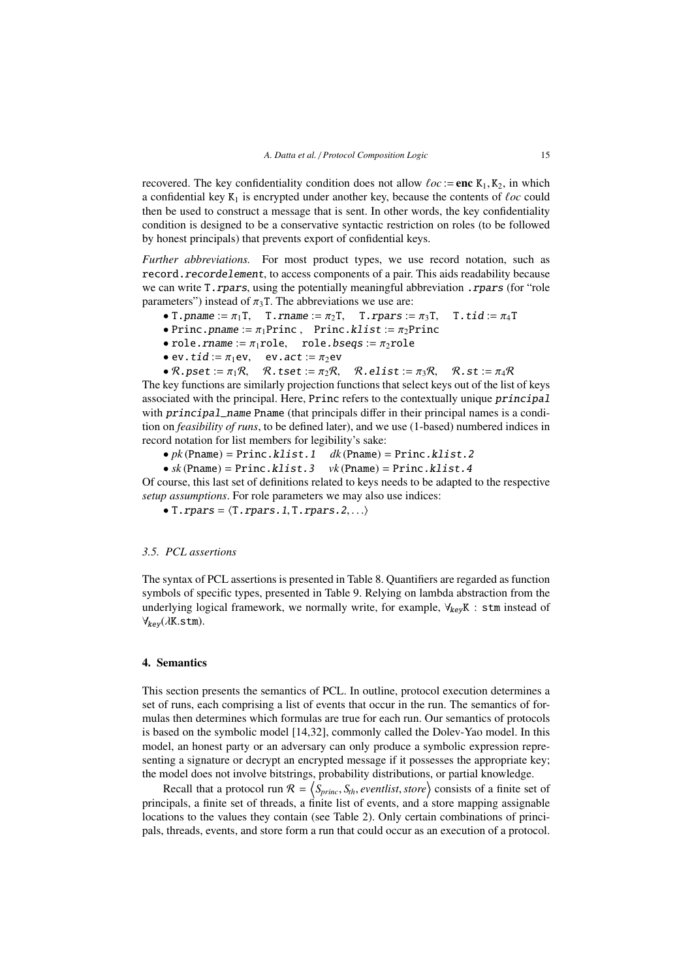recovered. The key confidentiality condition does not allow  $\ell$ *oc* := **enc** K<sub>1</sub>, K<sub>2</sub>, in which a confidential key  $K_1$  is encrypted under another key, because the contents of  $\ell$ oc could then be used to construct a message that is sent. In other words, the key confidentiality condition is designed to be a conservative syntactic restriction on roles (to be followed by honest principals) that prevents export of confidential keys.

*Further abbreviations.* For most product types, we use record notation, such as record.recordelement, to access components of a pair. This aids readability because we can write T. rpars, using the potentially meaningful abbreviation . rpars (for "role parameters") instead of  $\pi_3$ T. The abbreviations we use are:

- T.pname :=  $\pi_1$ T, T.rname :=  $\pi_2$ T, T.rpars :=  $\pi_3$ T, T.tid :=  $\pi_4$ T
- Princ.pname :=  $\pi_1$ Princ, Princ.klist :=  $\pi_2$ Princ
- role.rname :=  $\pi_1$ role, role.bseqs :=  $\pi_2$ role
- ev.tid :=  $\pi_1$ ev, ev.act :=  $\pi_2$ ev<br>•  $R. pset := \pi_1 R$ ,  $R. tset := \pi_2 R$ ,
- R.pset :=  $\pi_1 \mathcal{R}$ , R.tset :=  $\pi_2 \mathcal{R}$ , R.elist :=  $\pi_3 \mathcal{R}$ , R.st :=  $\pi_4 \mathcal{R}$ <br>The key functions are similarly projection functions that select keys out of the list of keys

associated with the principal. Here, Princ refers to the contextually unique principal with *principal\_name* Pname (that principals differ in their principal names is a condition on *feasibility of runs*, to be defined later), and we use (1-based) numbered indices in record notation for list members for legibility's sake:

- *pk* (Pname) = Princ.klist.1 *dk* (Pname) = Princ.klist.2
- $sk$  (Pname) = Princ.klist.3  $vk$  (Pname) = Princ.klist.4

Of course, this last set of definitions related to keys needs to be adapted to the respective *setup assumptions*. For role parameters we may also use indices:

• T.rpars =  $\langle$ T.rpars.1, T.rpars.2, ... $\rangle$ 

# *3.5. PCL assertions*

The syntax of PCL assertions is presented in Table 8. Quantifiers are regarded as function symbols of specific types, presented in Table 9. Relying on lambda abstraction from the underlying logical framework, we normally write, for example,  $\forall_{key} K :$  stm instead of  $\forall_{key}(\lambda K.stm)$ .

## 4. Semantics

This section presents the semantics of PCL. In outline, protocol execution determines a set of runs, each comprising a list of events that occur in the run. The semantics of formulas then determines which formulas are true for each run. Our semantics of protocols is based on the symbolic model [14,32], commonly called the Dolev-Yao model. In this model, an honest party or an adversary can only produce a symbolic expression representing a signature or decrypt an encrypted message if it possesses the appropriate key; the model does not involve bitstrings, probability distributions, or partial knowledge.

Recall that a protocol run  $\mathcal{R} = \langle S_{princ}, S_{th}, \text{eventist}, \text{store} \rangle$  consists of a finite set of threads a finite list of events and a store manning assignable principals, a finite set of threads, a finite list of events, and a store mapping assignable locations to the values they contain (see Table 2). Only certain combinations of principals, threads, events, and store form a run that could occur as an execution of a protocol.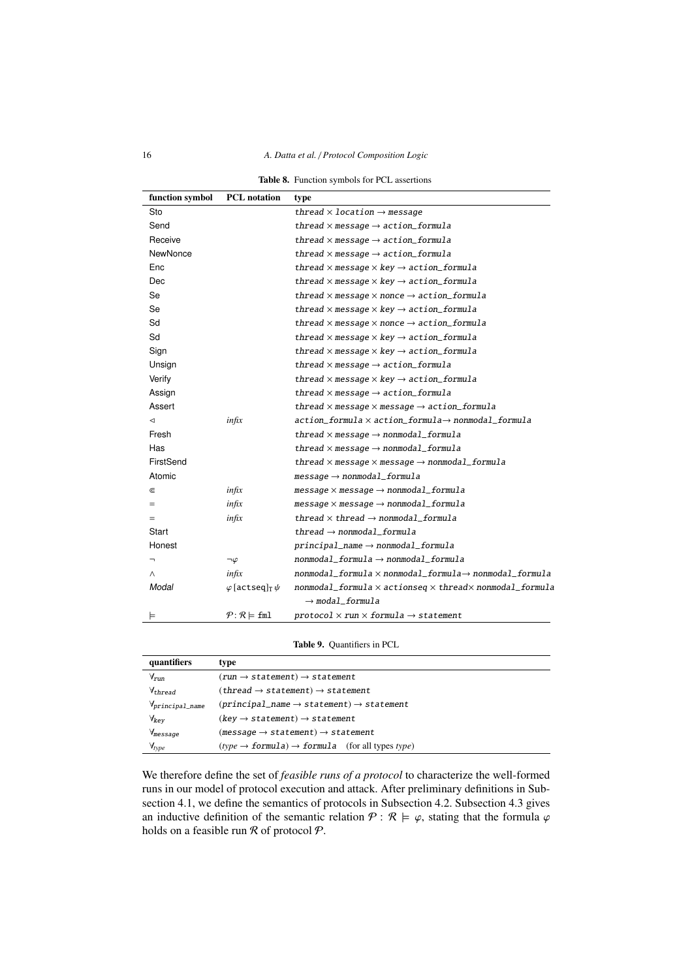16 *A. Datta et al.* / *Protocol Composition Logic*

|  |  |  | Table 8. Function symbols for PCL assertions |
|--|--|--|----------------------------------------------|
|--|--|--|----------------------------------------------|

| function symbol | <b>PCL</b> notation                    | type                                                                                                            |
|-----------------|----------------------------------------|-----------------------------------------------------------------------------------------------------------------|
| Sto             |                                        | thread $\times$ location $\rightarrow$ message                                                                  |
| Send            |                                        | thread $\times$ message $\rightarrow$ action_formula                                                            |
| Receive         |                                        | thread $\times$ message $\rightarrow$ action_formula                                                            |
| NewNonce        |                                        | thread $\times$ message $\rightarrow$ action_formula                                                            |
| Enc             |                                        | thread $\times$ message $\times$ key $\rightarrow$ action_formula                                               |
| Dec             |                                        | thread $\times$ message $\times$ key $\rightarrow$ action_formula                                               |
| Se              |                                        | thread $\times$ message $\times$ nonce $\rightarrow$ action_formula                                             |
| Se              |                                        | thread $\times$ message $\times$ key $\rightarrow$ action_formula                                               |
| Sd              |                                        | thread $\times$ message $\times$ nonce $\rightarrow$ action_formula                                             |
| Sd              |                                        | thread $\times$ message $\times$ key $\rightarrow$ action_formula                                               |
| Sign            |                                        | thread $\times$ message $\times$ key $\rightarrow$ action_formula                                               |
| Unsign          |                                        | thread $\times$ message $\rightarrow$ action_formula                                                            |
| Verify          |                                        | thread $\times$ message $\times$ key $\rightarrow$ action_formula                                               |
| Assign          |                                        | thread $\times$ message $\rightarrow$ action_formula                                                            |
| Assert          |                                        | thread $\times$ message $\times$ message $\rightarrow$ action_formula                                           |
| ◁               | $inf_{x}$                              | $action_{formula} \times action_{formula} \rightarrow nonmodal_{formula}$                                       |
| Fresh           |                                        | thread $\times$ message $\rightarrow$ nonmodal_formula                                                          |
| Has             |                                        | thread $\times$ message $\rightarrow$ nonmodal_formula                                                          |
| FirstSend       |                                        | thread $\times$ message $\times$ message $\rightarrow$ nonmodal_formula                                         |
| Atomic          |                                        | $message \rightarrow nonmodal\_formula$                                                                         |
| ⋐               | $inf_{x}$                              | $message \times message \rightarrow nonmodal\_formula$                                                          |
| $=$             | $\inf x$                               | $message \times message \rightarrow nonmodal\_formula$                                                          |
| $=$             | infix                                  | thread $\times$ thread $\rightarrow$ nonmodal formula                                                           |
| Start           |                                        | thread $\rightarrow$ nonmodal formula                                                                           |
| Honest          |                                        | $principal_name \rightarrow nonmodal\_formula$                                                                  |
| Ē               | $\neg \varphi$                         | $nonmodal\_formula \rightarrow nonmodal\_formula$                                                               |
| Λ               | infix                                  | $nonmodal\_formula \times nonmodal\_formula \rightarrow nonmodal\_formula$                                      |
| Modal           | $\varphi$ [actseq] <sub>T</sub> $\psi$ | $\mathit{nonmodal\_formula} \times \mathit{actionseq} \times \mathit{thread} \times \mathit{nonmodal\_formula}$ |
|                 |                                        | $\rightarrow$ modal formula                                                                                     |
| ⊨               | $P: \mathcal{R} \models \text{fml}$    | $protocol \times run \times formula \rightarrow statement$                                                      |

# Table 9. Quantifiers in PCL

| quantifiers              | tvpe                                                                  |  |  |  |  |
|--------------------------|-----------------------------------------------------------------------|--|--|--|--|
| $\forall_{run}$          | $(run \rightarrow statement) \rightarrow statement$                   |  |  |  |  |
| $V_{thread}$             | $(thread \rightarrow statement) \rightarrow statement$                |  |  |  |  |
| $\forall$ principal_name | $(principal_name \rightarrow statement) \rightarrow statement$        |  |  |  |  |
| $\forall_{\text{kev}}$   | $(key \rightarrow statement) \rightarrow statement$                   |  |  |  |  |
| $\forall$ message        | $(message \rightarrow statement) \rightarrow statement$               |  |  |  |  |
| $\forall_{type}$         | $(type \rightarrow formula) \rightarrow formula$ (for all types type) |  |  |  |  |

We therefore define the set of *feasible runs of a protocol* to characterize the well-formed runs in our model of protocol execution and attack. After preliminary definitions in Subsection 4.1, we define the semantics of protocols in Subsection 4.2. Subsection 4.3 gives an inductive definition of the semantic relation  $P : \mathcal{R} \models \varphi$ , stating that the formula  $\varphi$ holds on a feasible run  $\mathcal R$  of protocol  $\mathcal P$ .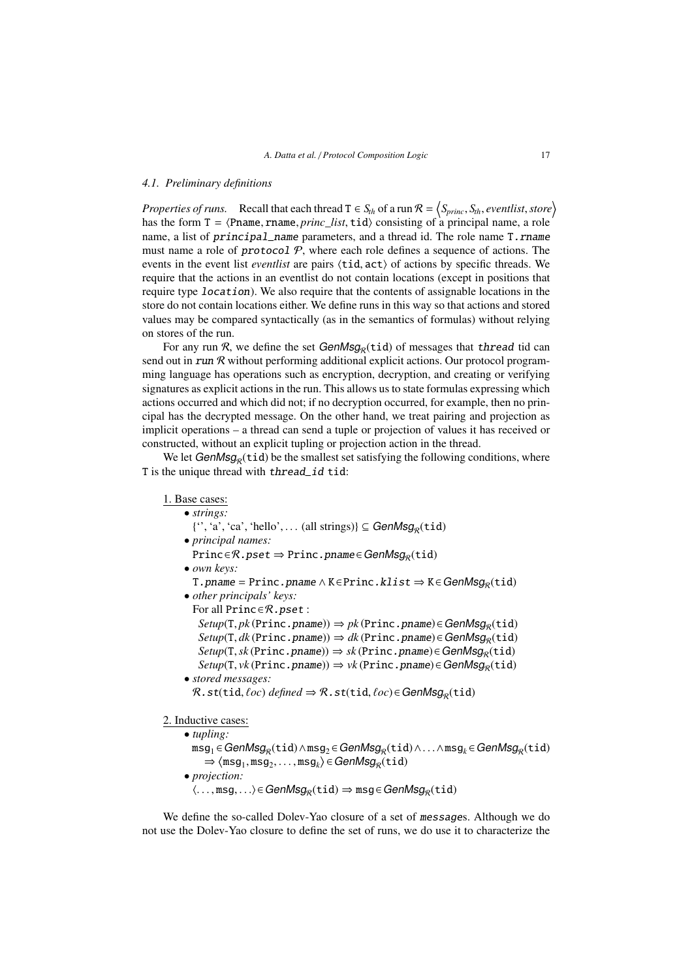#### *4.1. Preliminary definitions*

*Properties of runs.* Recall that each thread  $T \in S_{th}$  of a run  $\mathcal{R} = \langle S_{princ}, S_{th},$  *eventlist, store* $\rangle$  has the form  $T - \langle Pname, rname, \text{ prime} \rangle$  *list*  $\text{tid} \rangle$  consisting of a principal name, a role has the form  $T = \langle$ Pname, rname, *princ\_list*, tid $\rangle$  consisting of a principal name, a role name, a list of *principal\_name* parameters, and a thread id. The role name T. rname must name a role of protocol  $P$ , where each role defines a sequence of actions. The events in the event list *eventlist* are pairs  $\langle$ tid, act $\rangle$  of actions by specific threads. We require that the actions in an eventlist do not contain locations (except in positions that require type location). We also require that the contents of assignable locations in the store do not contain locations either. We define runs in this way so that actions and stored values may be compared syntactically (as in the semantics of formulas) without relying on stores of the run.

For any run R, we define the set  $GenMSg_R(tid)$  of messages that  $thread$  tid can send out in  $run \, R$  without performing additional explicit actions. Our protocol programming language has operations such as encryption, decryption, and creating or verifying signatures as explicit actions in the run. This allows us to state formulas expressing which actions occurred and which did not; if no decryption occurred, for example, then no principal has the decrypted message. On the other hand, we treat pairing and projection as implicit operations – a thread can send a tuple or projection of values it has received or constructed, without an explicit tupling or projection action in the thread.

We let  $\emph{GenMsg}_{\mathcal{R}}(\texttt{tid})$  be the smallest set satisfying the following conditions, where T is the unique thread with thread\_id tid:

#### 1. Base cases:

- *strings:*
- $\{``', 'a', 'ca', 'hello', \dots \text{ (all strings)}\} \subseteq GenMSg_R(\text{tid})$
- *principal names:*
- $\texttt{Princ} \! \in \! \mathcal{R}$ .pset  $\Rightarrow$   $\texttt{Princ}$ .pname∈ $\texttt{GenMSg}_{\mathcal{R}}(\texttt{tid})$ • *own keys:*
- T.pname = Princ.pname ∧ K∈Princ.klist  $\Rightarrow$  K∈ $GenMSg_{\mathcal{R}}(\texttt{tid})$
- *other principals' keys:*
- For all Princ∈R.pset :

 $Setup(T, pk (Prime. pname)) \Rightarrow pk (Prime. pname) ∈ GenMsg<sub>R</sub>(tid)$ <br>Setup(T dk(Princ.pname))  $\rightarrow dk$ (Princ.pname)∈GenMsg<sub>-</sub>(tid)  $Setup(T, dk (Prime. pname)) \Rightarrow dk (Prime. pname) \in GenMsg_R(tid)$ <br>Setup(T, sk(Princ, pname)) ⇒ sk(Princ, pname)∈GenMsq.(tid)  $Setup(T, sk (Princ.pname)) \Rightarrow sk (Princ.pname) \in GenMsg_R(tid)$ <br>Setup(T, vk(Princ.pname)) → *vk*(Princ.pname)∈GenMsq.(tid)  $Setup(T, vk (Princ.pname)) \Rightarrow vk (Princ.pname) \in GenMsg_R(tid)$ 

• *stored messages:*

```
\mathcal{R}. st(tid, \elloc) defined \Rightarrow \mathcal{R}. st(tid, \elloc)∈Gen\mathsf{MSg}_{\mathcal{R}}(tid)
```
2. Inductive cases:

• *tupling:* msg<sub>1</sub> ∈ GenMsg<sub>R</sub>(tid)∧msg<sub>2</sub> ∈ GenMsg<sub>R</sub>(tid)∧...∧msg<sub>k</sub> ∈ GenMsg<sub>R</sub>(tid)<br>→ (msg. msg. msg. ∈ GenMsg.(tid)  $\Rightarrow$   $\langle \text{msg}_1, \text{msg}_2, \dots, \text{msg}_k \rangle \in GenMsg_R(\text{tid})$ • *projection:*  $\langle \dots, \texttt{msg}, \dots \rangle \in GenMSg_R(\texttt{tid}) \Rightarrow \texttt{msg} \in GenMSg_R(\texttt{tid})$ 

We define the so-called Dolev-Yao closure of a set of messages. Although we do not use the Dolev-Yao closure to define the set of runs, we do use it to characterize the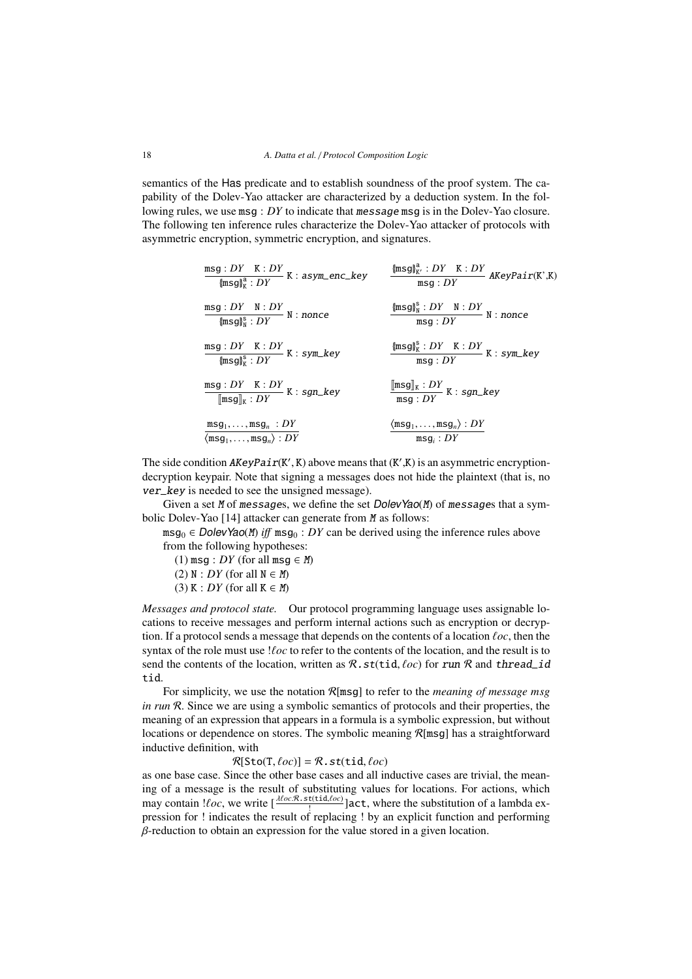semantics of the Has predicate and to establish soundness of the proof system. The capability of the Dolev-Yao attacker are characterized by a deduction system. In the following rules, we use msg : *DY* to indicate that message msg is in the Dolev-Yao closure. The following ten inference rules characterize the Dolev-Yao attacker of protocols with asymmetric encryption, symmetric encryption, and signatures.

| $msg:DY$ $K:DY$<br>$\frac{1}{\left\{ \text{msg} \right\}^{\text{a}}_{\text{K}} : DY}$ K: asym_enc_key | ${msgl}_{K'}^a: DY$ K: DY<br>$\overline{\text{msg}: DY}}$ AKeyPair(K',K)                                               |
|-------------------------------------------------------------------------------------------------------|------------------------------------------------------------------------------------------------------------------------|
| $\frac{\text{msg}: DY \quad \text{N}: DY}}{\text{msg} \frac{\text{N}}{\text{N}: DY}}$ N : nonce       | $\frac{\left\{ \text{msg} \right\}_{N}^{\text{S}} : DY \quad \text{N} : DY}{\text{msg} : DY} \text{ N} : \text{nonce}$ |
| $\frac{\text{msg}: DY \ K: DY}{\left\{ \text{msg} \right\}_K^8: DY} K: sym\_key$                      | $\frac{\ \text{msg}\ _K^s: DY \quad K: DY}{\text{msg}: DY} \quad K: sym\_key$                                          |
| $\frac{\text{msg}: DY \quad K: DY}{\ \text{msg}\ _{K}: DY} \quad K: sgn\_key$                         | $\frac{\llbracket \mathfrak{msg} \rrbracket_K : DY}{\mathfrak{msg} : DY}$ K : sgn_key                                  |
| $msg_1,\ldots,msg_n:DY$<br>$\langle msg_1, \ldots, msg_n \rangle : \overline{DY}$                     | $\langle \mathfrak{msg}_1,\ldots,\mathfrak{msg}_n\rangle: DY$<br>$msg_i: DY$                                           |

The side condition  $AKeyPair(K', K)$  above means that  $(K', K)$  is an asymmetric encryption-<br>decryption keypair. Note that signing a messages does not hide the plaintext (that is, no decryption keypair. Note that signing a messages does not hide the plaintext (that is, no ver\_key is needed to see the unsigned message).

Given a set M of messages, we define the set  $DolevYaO(M)$  of messages that a symbolic Dolev-Yao [14] attacker can generate from M as follows:

 $\text{msg}_0 \in \text{DoleV}$  *Yao*(*M*) *iff*  $\text{msg}_0 : DY$  can be derived using the inference rules above from the following hypotheses:

(1) msg :  $DY$  (for all msg  $\in M$ )

 $(2)$  N : *DY* (for all N  $\in M$ )

 $(3)$  K : *DY* (for all  $K \in M$ )

*Messages and protocol state.* Our protocol programming language uses assignable locations to receive messages and perform internal actions such as encryption or decryption. If a protocol sends a message that depends on the contents of a location `*oc*, then the syntax of the role must use *! foc* to refer to the contents of the location, and the result is to send the contents of the location, written as  $\mathcal{R}$ . st(tid,  $\ell$ *oc*) for run  $\mathcal{R}$  and thread\_id tid.

For simplicity, we use the notation R[msg] to refer to the *meaning of message msg in run*  $\mathcal{R}$ . Since we are using a symbolic semantics of protocols and their properties, the meaning of an expression that appears in a formula is a symbolic expression, but without locations or dependence on stores. The symbolic meaning R[msg] has a straightforward inductive definition, with

 $R[Sto(T, loc)] = R.st(tid, loc)$ 

as one base case. Since the other base cases and all inductive cases are trivial, the meaning of a message is the result of substituting values for locations. For actions, which may contain  $!\ell$ *oc*, we write  $\left[\frac{\lambda\ell_{OC}R\text{.st}(\text{tid},\ell_{OC})}{\Gamma} \right]$  act, where the substitution of a lambda expression for ! indicates the result of replacing ! by an explicit function and performing β-reduction to obtain an expression for the value stored in a given location.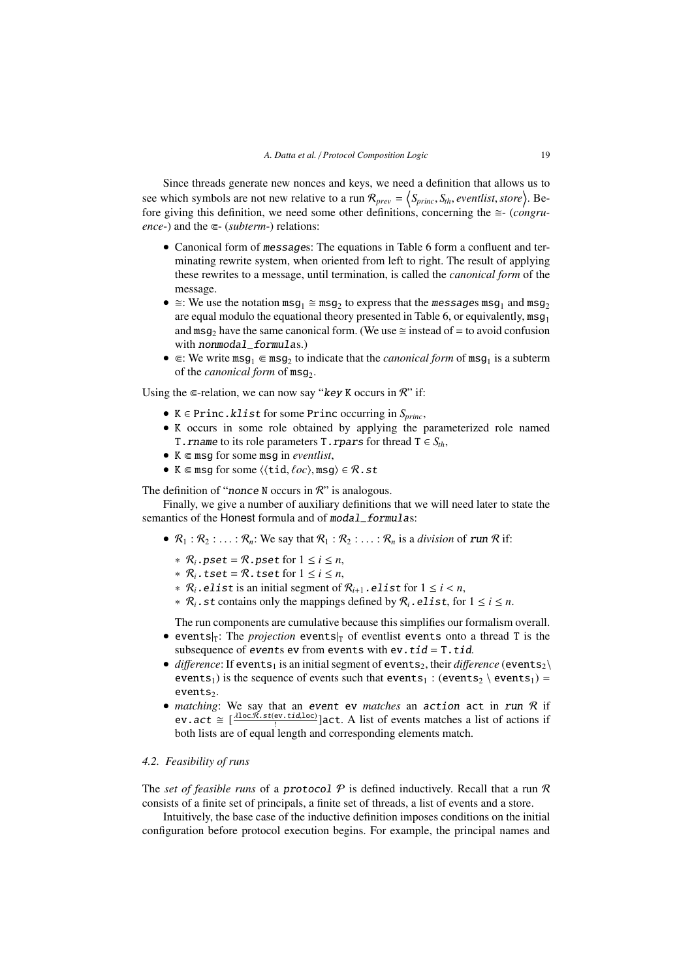Since threads generate new nonces and keys, we need a definition that allows us to see which symbols are not new relative to a run  $\mathcal{R}_{prev} = \langle S_{princ}, S_{th}, eventlist, store \rangle$ . Be-<br>fore giving this definition, we need some other definitions, concerning the  $\approx$  (congrufore giving this definition, we need some other definitions, concerning the  $\cong$  (*congruence*-) and the  $\epsilon$ - (*subterm*-) relations:

- Canonical form of messages: The equations in Table 6 form a confluent and terminating rewrite system, when oriented from left to right. The result of applying these rewrites to a message, until termination, is called the *canonical form* of the message.
- $\cong$ : We use the notation msg<sub>1</sub>  $\cong$  msg<sub>2</sub> to express that the *messages* msg<sub>1</sub> and msg<sub>2</sub> are equal modulo the equational theory presented in Table 6, or equivalently, msq. and msg<sub>2</sub> have the same canonical form. (We use  $\cong$  instead of  $=$  to avoid confusion with nonmodal\_formulas.)
- $\in$ : We write  $\text{msg}_1 \in \text{msg}_2$  to indicate that the *canonical form* of  $\text{msg}_1$  is a subterm of the *canonical form* of  $\text{msg}_2$ .

Using the  $\in$ -relation, we can now say "key K occurs in  $\mathcal{R}$ " if:

- K ∈ Princ.klist for some Princ occurring in *Sprinc*,
- K occurs in some role obtained by applying the parameterized role named T. rname to its role parameters T. rpars for thread  $T \in S_{th}$ ,
- $K \in \text{msg}$  for some msg in *eventlist*,
- K  $\in$  msg for some  $\langle \langle \text{tid}, \ell o \rangle \rangle$ , msg $\rangle \in \mathcal{R}$ . st

The definition of "nonce N occurs in  $\mathcal{R}$ " is analogous.

Finally, we give a number of auxiliary definitions that we will need later to state the semantics of the Honest formula and of modal\_formulas:

- $\mathcal{R}_1 : \mathcal{R}_2 : \ldots : \mathcal{R}_n$ : We say that  $\mathcal{R}_1 : \mathcal{R}_2 : \ldots : \mathcal{R}_n$  is a *division* of **run**  $\mathcal{R}$  if:
	- ∗ R*i*.pset = R.pset for 1 ≤ *i* ≤ *n*,
	- ∗ R*i*.tset = R.tset for 1 ≤ *i* ≤ *n*,
	- <sup>∗</sup> <sup>R</sup>*i*.elist is an initial segment of <sup>R</sup>*<sup>i</sup>*+1.elist for 1 <sup>≤</sup> *<sup>i</sup>* < *<sup>n</sup>*,
	- ∗  $\mathcal{R}_i$ *.* st contains only the mappings defined by  $\mathcal{R}_i$ *.* elist, for  $1 \le i \le n$ .

The run components are cumulative because this simplifies our formalism overall.

- events $|_T$ : The *projection* events $|_T$  of eventlist events onto a thread T is the subsequence of events ev from events with ev.tid = T.tid.
- *difference*: If events<sub>1</sub> is an initial segment of events<sub>2</sub>, their *difference* (events<sub>2</sub>) events<sub>1</sub>) is the sequence of events such that events<sub>1</sub> : (events<sub>2</sub> \ events<sub>1</sub>) = events<sub>2</sub>.
- *matching*: We say that an event ev *matches* an action act in run R if ev.act  $\cong \left[\frac{\text{aloc.}\Re\text{.st}(ev.tid,loc)}{!}\right]$  act. A list of events matches a list of actions if both lists are of equal length and corresponding elements match.

## *4.2. Feasibility of runs*

The *set of feasible runs* of a protocol  $P$  is defined inductively. Recall that a run  $R$ consists of a finite set of principals, a finite set of threads, a list of events and a store.

Intuitively, the base case of the inductive definition imposes conditions on the initial configuration before protocol execution begins. For example, the principal names and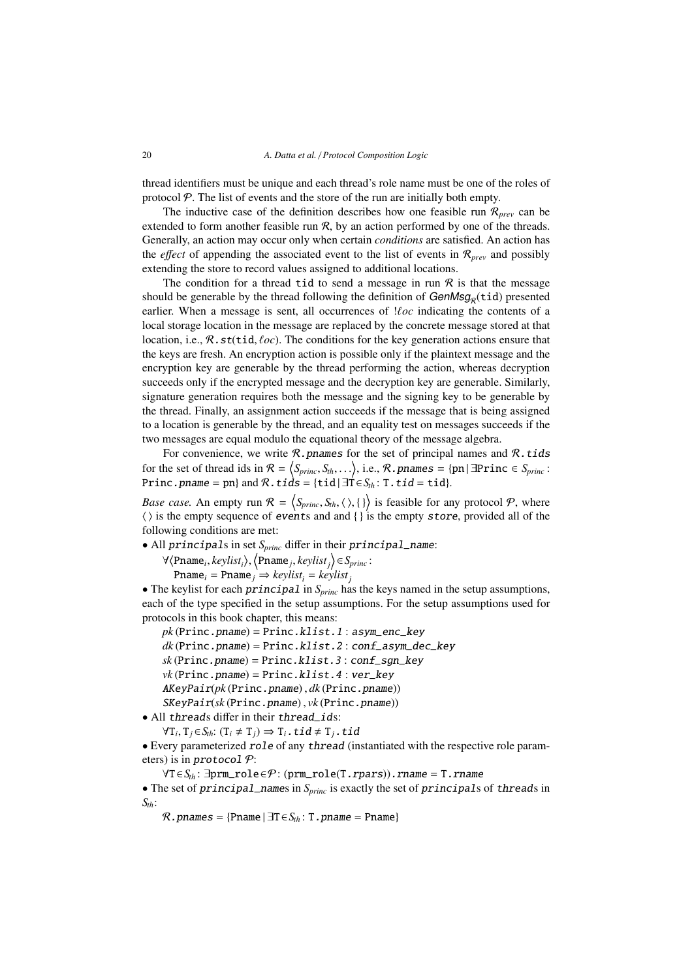thread identifiers must be unique and each thread's role name must be one of the roles of protocol  $P$ . The list of events and the store of the run are initially both empty.

The inductive case of the definition describes how one feasible run  $\mathcal{R}_{prev}$  can be extended to form another feasible run  $R$ , by an action performed by one of the threads. Generally, an action may occur only when certain *conditions* are satisfied. An action has the *effect* of appending the associated event to the list of events in  $\mathcal{R}_{prev}$  and possibly extending the store to record values assigned to additional locations.

The condition for a thread tid to send a message in run  $\mathcal R$  is that the message should be generable by the thread following the definition of  $GenMSg_R(\text{tid})$  presented earlier. When a message is sent, all occurrences of *!toc* indicating the contents of a local storage location in the message are replaced by the concrete message stored at that location, i.e.,  $\mathcal{R}$ . st(tid,  $\ell$ *oc*). The conditions for the key generation actions ensure that the keys are fresh. An encryption action is possible only if the plaintext message and the encryption key are generable by the thread performing the action, whereas decryption succeeds only if the encrypted message and the decryption key are generable. Similarly, signature generation requires both the message and the signing key to be generable by the thread. Finally, an assignment action succeeds if the message that is being assigned to a location is generable by the thread, and an equality test on messages succeeds if the two messages are equal modulo the equational theory of the message algebra.

For convenience, we write  $\mathcal{R}$  pnames for the set of principal names and  $\mathcal{R}$  tids for the set of thread ids in  $\mathcal{R} = \langle S_{princ}, S_{th}, \ldots \rangle$ , i.e.,  $\mathcal{R}$ *. pnames* = {pn | ∃Princ ∈  $S_{princ}$  :<br>Princ, pname = pn) and  $\mathcal{R}$ , *tids* = {tid} ∃T∈ S .: T, *tid* = tid} Princ.*pname* = pn} and  $\mathcal{R}.tids = {tid | \exists T \in S_{th}: T.tid = tid}.$ 

*Base case.* An empty run  $\mathcal{R} = \langle S_{princ}, S_{th}, \langle \rangle, \{\} \rangle$  is feasible for any protocol  $\mathcal{P}$ , where  $\langle \rangle$  is the empty sequence of **events** and and  $\{ \}$  is the empty store, provided all of the  $\langle \rangle$  is the empty sequence of events and and  $\{ \}$  is the empty store, provided all of the following conditions are met:

• All principals in set *Sprinc* differ in their principal\_name:

 $\forall \langle \text{Pname}_i, keylist_i \rangle, \langle \text{Pname}_j, keylist_j \rangle \in S_{princ} :$ <br>Pname<sub>i</sub> = Pname<sub>i</sub> ⇒ keylist = keylist  $\text{Pname}_{i} = \text{Pname}_{j} \Rightarrow \text{keylist}_{i} = \text{keylist}_{j}$ 

• The keylist for each *principal* in  $S_{princ}$  has the keys named in the setup assumptions, each of the type specified in the setup assumptions. For the setup assumptions used for protocols in this book chapter, this means:

 $pk$ (Princ.pname) = Princ.klist.1: asym\_enc\_key  $dk$  (Princ.pname) = Princ.klist.2 : conf asym\_dec\_key  $sk$ (Princ.pname) = Princ.klist.3:  $conf\_sgn\_key$  $vk$  (Princ.pname) = Princ.klist.4 : ver\_key AKeyPair(*pk* (Princ.pname) , *dk* (Princ.pname)) SKeyPair(*sk* (Princ.pname) , *vk* (Princ.pname)) • All threads differ in their thread\_ids:

 $\forall T_i, T_j \in S_{th}: (T_i ≠ T_j) \Rightarrow T_i$ .tid  $≠ T_j$ .tid ,  $T_j$ • Every parameterized role of any thread (instantiated with the respective role parameters) is in protocol  $P$ :

```
∀T∈Sth : ∃prm_role∈P: (prm_role(T.rpars)).rname = T.rname
```
• The set of *principal\_names* in  $S_{princ}$  is exactly the set of *principals* of *threads* in *Sth*:

 $\mathcal{R}$ .pnames = {Pname |  $\exists$ T $\in$ *S*<sub>*th*</sub> : T.pname = Pname}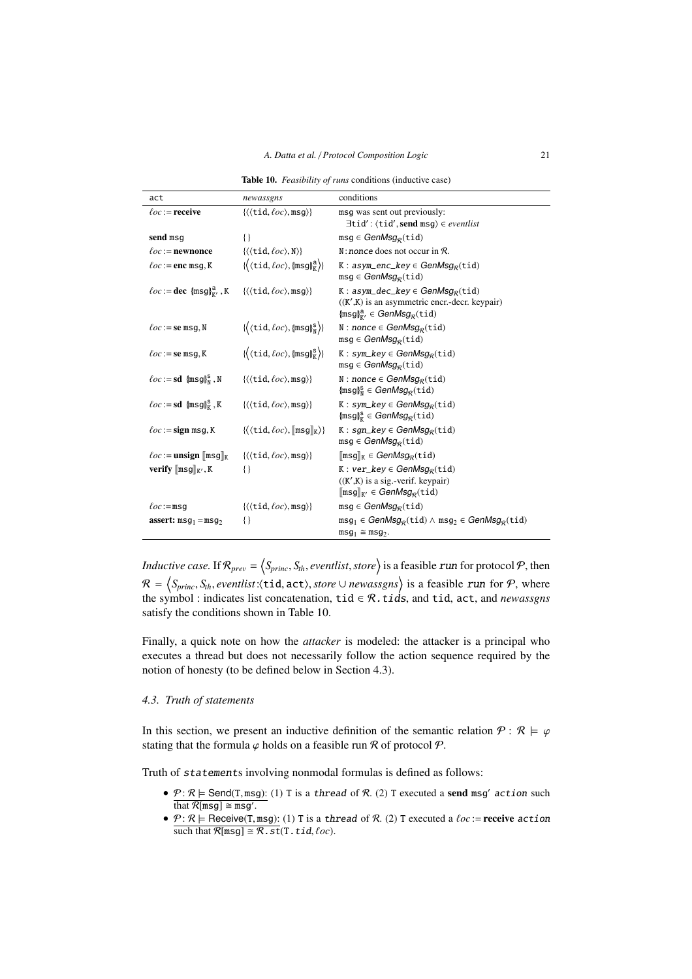Table 10. *Feasibility of runs* conditions (inductive case)

| act                                                                           | newassgns                                                                    | conditions                                                                                                                                                                        |
|-------------------------------------------------------------------------------|------------------------------------------------------------------------------|-----------------------------------------------------------------------------------------------------------------------------------------------------------------------------------|
| $\ell o c := \textbf{receive}$                                                | $\{\langle \langle \text{tid}, \ell o \rangle, \text{msg} \rangle\}$         | msg was sent out previously:<br>$\exists$ tid': $\langle$ tid', send msg $\rangle \in eventlist$                                                                                  |
| send msg                                                                      | $\{\}$                                                                       | $msg \in GenMsg_{\mathcal{R}}(\text{tid})$                                                                                                                                        |
| $\ell$ oc := newnonce                                                         | $\{\langle \langle \text{tid}, \ell o c \rangle, \mathbb{N} \rangle\}$       | $N:$ nonce does not occur in $R$ .                                                                                                                                                |
| $\ell$ oc := enc msg, K                                                       | $\{\langle \text{tid}, \ell o c \rangle, \{\text{msg}\}_K^a \rangle\}$       | K: asym_enc_key $\in$ GenMsg <sub>R</sub> (tid)<br>$msg \in GenMsg_{R}(tid)$                                                                                                      |
| $\ell$ oc := <b>dec</b> $\{\text{msg}\}_{K}^{\alpha}$ , K                     | $\{\langle \langle \text{tid}, \elloc \rangle, \text{msg} \rangle\}$         | K: asym_dec_key $\in$ GenMsg <sub>®</sub> (tid)<br>$((K', K)$ is an asymmetric encr.-decr. keypair)<br>$\{\text{msg}\}^{\text{a}}_{\kappa'} \in GenMsg_{\mathcal{R}}(\text{tid})$ |
| $\ell$ oc := se msg, N                                                        | $\{\langle \text{tid}, \ell o c \rangle, \{\text{msg}\}_N^S \rangle\}$       | N : nonce $\in$ GenMsg <sub>R</sub> (tid)<br>$msg \in GenMsg_{R}(tid)$                                                                                                            |
| $\ell$ oc := se msg, K                                                        | $\{\langle \text{tid}, \ell o c \rangle, \{\text{msgl}_K^s \rangle\}$        | K: sym_key $\in$ GenMsg <sub>R</sub> (tid)<br>$msg \in GenMsg_{R}(tid)$                                                                                                           |
| $\ell o c := \mathbf{sd} \; \{ \mathbf{msg} \}^{\mathbf{S}}_{\mathbf{N}}$ , N | $\{\langle \langle \text{tid}, \elloc \rangle, \text{msg} \rangle\}$         | N: nonce $\in$ GenMsg <sub><math>R</math></sub> (tid)<br>$\{\text{msg}\}_N^S \in GenMsg_R(\text{tid})$                                                                            |
| $\ell o c := \mathbf{sd} \; \{ \mathbf{msg} \}_{\mathbf{K}}^{\mathbf{S}}$ , K | $\{\langle \langle \text{tid}, \ell o c \rangle, \text{msg} \rangle\}$       | K: sym_key $\in$ GenMsg <sub>®</sub> (tid)<br>$\{\text{msg}\}_K^s \in GenMSg_R(tid)$                                                                                              |
| $\ell$ oc := sign msg, K                                                      | $\{\langle \langle \text{tid}, \ell o c \rangle, [\text{msg}]_{K} \rangle\}$ | K: sgn_key $\in$ GenMsg <sub>R</sub> (tid)<br>$\mathtt{msg}\in \mathsf{GenMSg}_{\mathcal{R}}(\mathtt{tid})$                                                                       |
| $\ell$ oc := <b>unsign</b> $[\text{msg}]_K$                                   | $\{\langle \langle \text{tid}, \elloc \rangle, \text{msg} \rangle\}$         | $[\![\mathfrak{msg}]\!]_K \in GenMSg_R(\texttt{tid})$                                                                                                                             |
| <b>verify</b> $[\text{msg}]_{K}$ , K                                          | $\{\}$                                                                       | $K : ver\_key \in GenMsg_R(tid)$<br>$((K', K)$ is a sig.-verif. keypair)<br>$[\![\mathfrak{msg}]\!]_{K'} \in GenMSg_R(\texttt{tid})$                                              |
| $\ell$ oc:=msg                                                                | $\{\langle \langle \text{tid}, \elloc \rangle, \text{msg} \rangle\}$         | $msg \in GenMsg_R(tid)$                                                                                                                                                           |
| <b>assert:</b> $msg_1 = msg_2$                                                | $\{\}$                                                                       | $msg_1 \in GenMsg_R(tid) \wedge msg_2 \in GenMsg_R(tid)$<br>$msg_1 \cong msg_2.$                                                                                                  |

*Inductive case.* If  $\mathcal{R}_{prev} = \langle S_{princ}, S_{th}, eventlist, store \rangle$  is a feasible run for protocol  $\mathcal{P}$ , then  $\mathcal{R} = \langle S_{princ}, S_{th},$  *eventlist*: $\langle \text{tid}, \text{act}\rangle$ *, store* ∪ *newassgns* $\rangle$  is a feasible run for P, where the symbol : indicates list concatenation, tid ∈ R.tids, and tid, act, and *newassgns* satisfy the conditions shown in Table 10.

Finally, a quick note on how the *attacker* is modeled: the attacker is a principal who executes a thread but does not necessarily follow the action sequence required by the notion of honesty (to be defined below in Section 4.3).

#### *4.3. Truth of statements*

In this section, we present an inductive definition of the semantic relation  $P : \mathcal{R} \models \varphi$ stating that the formula  $\varphi$  holds on a feasible run  $\Re$  of protocol  $\varphi$ .

Truth of statements involving nonmodal formulas is defined as follows:

- $P: \mathcal{R} \models \mathsf{Send}(T, msg): (1) T is a thread of \mathcal{R}. (2) T executed a send msg' action such$ that  $\mathcal{R}[\text{msg}] \cong \text{msg}'.$
- $P: \mathcal{R} \models \text{Receive}(T, msg): (1) T is a thread of \mathcal{R}. (2) T executed a *loc* := receive action$ such that  $\mathcal{R}[\text{msg}] \cong \mathcal{R}.\text{st}(T.tid, \text{loc}).$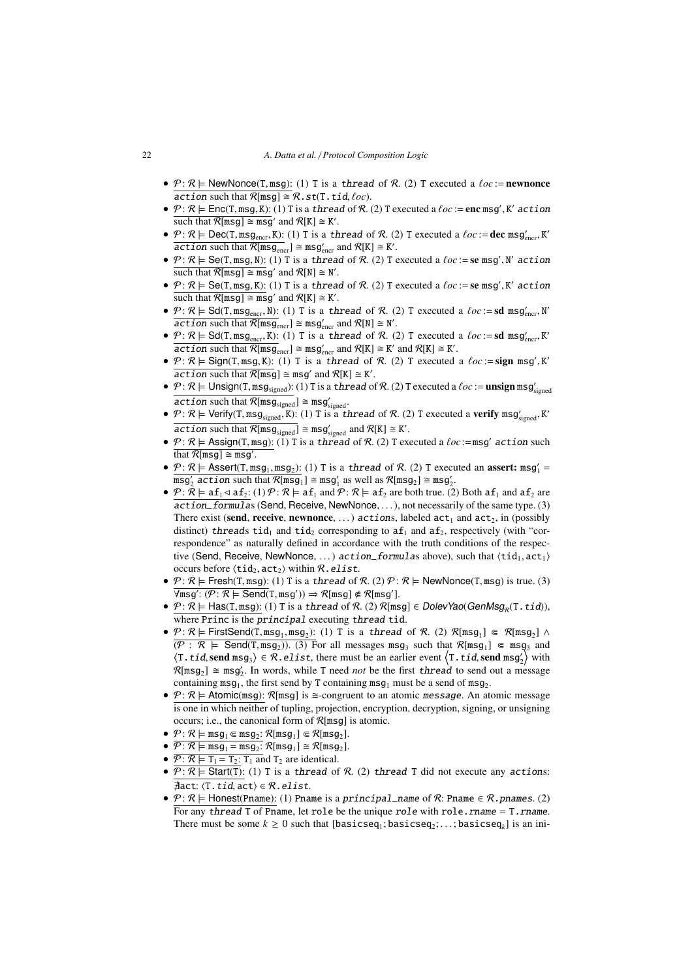#### 22 *A. Datta et al.* / *Protocol Composition Logic*

- $P: \mathcal{R} \models \text{NewNone}(T, msg): (1) T is a thread of \mathcal{R}. (2) T executed a *loc* := **newnone**$ action such that  $\mathcal{R}[\text{msg}] \cong \mathcal{R}$ . st(T. tid,  $\ell$ *oc*).
- $P: \mathcal{R} \models \text{Enc}(T, msg, K): (1) \text{ T is a thread of } \mathcal{R}. (2) \text{ T executed a } \text{loc} := \text{enc msg'}, K' \text{ action}$ <br>such that  $\mathcal{R}[\text{mes}]\cong \text{mes}'$  and  $\mathcal{R}[K] \cong K'$ such that  $\mathcal{R}[\text{msg}] \cong \text{msg}'$  and  $\mathcal{R}[K] \cong K'.$
- $P: \mathcal{R} \models \text{Dec}(T, \text{msg}_{\text{enc}}, K): (1) \text{ T is a thread of } \mathcal{R}. (2) \text{ T executed a } \text{loc} := \text{dec msg}_{\text{enc}}, K'$ <br>
ention such that  $\mathcal{R} \text{mes} = 1 \approx \text{mes}$  and  $\mathcal{R} \text{tr1} \approx \text{F}'$  $\overline{\text{action such that } \mathcal{R}[\text{msg}_{\text{encr}}] \cong \text{msg}_{\text{encr}}}$  and  $\mathcal{R}[K] \cong K'.$
- $P: \mathcal{R} \models \mathsf{Se}(\mathsf{T}, \mathsf{msg}, \mathsf{N})$ : (1) T is a thread of  $\mathcal{R}$ . (2) T executed a  $\ell oc := \mathsf{se} \mathsf{msg}'$ , N' action such that  $\mathcal{R}[\mathsf{msg}] \cong \mathsf{msg}'$  and  $\mathcal{R}[\mathsf{N}] \cong \mathsf{N}'$ such that  $\mathcal{R}[\text{msg}] \cong \text{msg}'$  and  $\mathcal{R}[N] \cong N'$ .
- $P: \mathcal{R} \models \mathsf{Se}(T, \text{msg}, K):$  (1) T is a thread of  $\mathcal{R}$ . (2) T executed a  $\ell oc := \text{se msg}', K'$  action such that  $\mathcal{R}[\text{msg}] \cong \text{msg}'$  and  $\mathcal{R}[K] \cong K'$ such that  $\mathcal{R}[\text{msg}] \cong \text{msg}'$  and  $\mathcal{R}[K] \cong K'.$
- $P: \mathcal{R} \models \text{Sd}(T, \text{msg}_{\text{encr}}, N)$ : (1) T is a thread of R. (2) T executed a  $\ell oc := \text{sd msg}'_{\text{encr}}, N'$ <br>action such that  $\mathcal{R} \text{Imsg} \atop 0 \leq N' \leq \text{mod } \mathcal{R}[N] \simeq N'$  $\overline{\text{action such that } \mathcal{R}[\text{msg}_{\text{encr}}] \cong \text{msg}_{\text{encr}}' \text{ and } \mathcal{R}[N] \cong N'.$
- $P: \mathcal{R} \models \text{Sd}(T, \text{msg}_{\text{encr}}, K)$ : (1) T is a thread of R. (2) T executed a  $\ell$  oc := sd msg<sub>encr</sub>, K'<br>action such that  $\mathcal{R} \text{Im} \text{sa}$   $\ell$  and  $\mathcal{R} \text{Im} \text{Im} \cong \text{K'}$  and  $\mathcal{R} \text{Im} \text{Im} \cong \text{K'}$  $\overline{action} \text{ such that } \mathcal{R}[\text{msg}_\text{encr}] \cong \text{msg}_\text{encr}' \text{ and } \mathcal{R}[K] \cong K' \text{ and } \mathcal{R}[K] \cong K'.$
- $P: \mathcal{R} \models \text{Sign}(T, \text{msg}, K):$  (1) T is a thread of  $\mathcal{R}$ . (2) T executed a  $\ell oc := \text{sign msg'}, K'$ <br>action such that  $\mathcal{R} \text{Im} \text{val} \geq \text{Re}(S')$  and  $\mathcal{R} \text{val} \geq \text{Re}(S')$  $\overline{\text{action such that } \mathcal{R}[\text{msg}]} \cong \text{msg}'$  and  $\mathcal{R}[K] \cong K'.$
- $P: \mathcal{R} \models \mathsf{Unsign}(T, \mathsf{msg}_{\mathsf{signed}}): (1) \text{ T is a thread of } \mathcal{R}. (2) \text{ T executed a } \mathit{loc} := \mathsf{unsign\,msg}'_{\mathsf{signed}}$  $\overline{\text{action}}$  such that  $\mathcal{R}[\text{msg}_{\text{signed}}] \cong \text{msg}_{\text{signed}}'.$
- $P: \mathcal{R} \models \text{Verify}(T, \text{msg}_\text{signed}, K): (1) \text{ T is a thread of } \mathcal{R}. (2) \text{ T executed a verify msg}'_\text{signed}, K'$  $\overline{\text{action such that } \mathcal{R}[\text{msg}_{\text{signed}}]} \cong \text{msg}_{\text{signed}}' \text{ and } \mathcal{R}[K] \cong K'.$
- $P: \mathcal{R} \models \text{Assign}(T, msg): (1)$  T is a thread of  $\mathcal{R}.$  (2) T executed a  $\ell oc := msg'$  action such that  $\mathcal{R}[\text{msg}] \cong \text{msg}'.$
- $P: \mathcal{R} \models \text{assert}(T, \text{msg}_1, \text{msg}_2):$  (1) T is a thread of R. (2) T executed an assert: msg'<sub>1</sub> =  $\frac{1}{2}$  msg'<sub>2</sub> as well as  $\mathcal{R}[\text{msg}_1] \approx \text{msg}_1$  as  $\mathcal{R}[\text{msg}_2] \approx \text{msg}_1$  $\overline{\text{msg}_2'}$  action such that  $\mathcal{R}[\text{msg}_1] \cong \text{msg}_1'$  as well as  $\mathcal{R}[\text{msg}_2] \cong \text{msg}_2'.$
- $P: \mathcal{R} \models af_1 \triangleleft af_2$ : (1)  $P: \mathcal{R} \models af_1$  and  $P: \mathcal{R} \models af_2$  are both true. (2) Both  $af_1$  and  $af_2$  are  $action\_formula$  (Send, Receive, NewNonce, ...), not necessarily of the same type. (3) There exist (send, receive, newnonce, ...) actions, labeled  $act_1$  and  $act_2$ , in (possibly distinct) threads tid<sub>1</sub> and tid<sub>2</sub> corresponding to  $af_1$  and  $af_2$ , respectively (with "correspondence" as naturally defined in accordance with the truth conditions of the respective (Send, Receive, NewNonce, ...) action\_formulas above), such that  $\langle tid_1, act_1 \rangle$ occurs before  $\langle$ tid<sub>2</sub>, act<sub>2</sub> $\rangle$  within  $R$ .elist.
- $P: \mathcal{R} \models \text{Fresh}(T, msg): (1) T is a thread of \mathcal{R}. (2) \mathcal{P}: \mathcal{R} \models \text{NewNone}(T, msg) is true. (3)$  $\overline{\forall \text{msg}' : (\mathcal{P} : \mathcal{R} \models \text{Send}(T, msg'))} \Rightarrow \mathcal{R}[\text{msg}] \notin \mathcal{R}[\text{msg}']$ .<br> $\mathcal{P} : \mathcal{R} \models \text{Hse}(T \text{ msg}) : (1)$  T is a thread of  $\mathcal{R} \subseteq (2)$   $\mathcal{R}[\text{msg}]$
- $P: \mathcal{R} \models \text{Has}(T, \text{msg}):$  (1) T is a thread of  $\mathcal{R}.$  (2)  $\mathcal{R}[\text{msg}] \in \text{DolevYao}(\text{GenMsg}_{\mathcal{R}}(T.tid)),$ <br>where Princ is the principal executing thread tid where Princ is the principal executing thread tid.
- $P: \mathcal{R} \models$  FirstSend(T, msg<sub>1</sub>, msg<sub>2</sub>): (1) T is a thread of R. (2)  $\mathcal{R}$ [msg<sub>1</sub>]  $\in \mathcal{R}$ [msg<sub>2</sub>]  $\wedge$ <br> $\overline{\varphi \cdot \varphi}$   $\vdash$  Send(T msg)) (3) For all messages msg, such that  $\mathcal{R}$ [msg ]  $\in \mathcal{R}$  msg, and  $(\overline{P} : \mathcal{R} \models \text{Send}(T, \text{msg}_2))$ . (3) For all messages msg<sub>3</sub> such that  $\mathcal{R}[\text{msg}_1] \Subset \text{msg}_3$  and  $\langle T, \text{tid send mes} \rangle \in \mathcal{R}$  elist there must be an earlier event  $\langle T, \text{tid send mes}' \rangle$  with  $\langle T. t.i.d, send \text{ msg}_3 \rangle \in \mathcal{R}$ . elist, there must be an earlier event  $\langle T. t.i.d, send \text{ msg}_2' \rangle$  with  $\mathcal{R}$ [msq.]  $\approx$  msq'. In words, while T need not be the first thread to send out a message  $\mathcal{R}[\text{msg}_2] \cong \text{msg}_2'$ . In words, while T need *not* be the first thread to send out a message containing  $msg_1$ , the first send by T containing  $msg_1$  must be a send of  $msg_2$ .
- $P: \mathcal{R} \models$  Atomic(msg):  $\mathcal{R}$ [msg] is  $\cong$ -congruent to an atomic message. An atomic message is one in which neither of tupling, projection, encryption, decryption, signing, or unsigning occurs; i.e., the canonical form of R[msg] is atomic.
- $P: \mathcal{R} \models \text{msg}_1 \subseteq \text{msg}_2$ :  $\mathcal{R}[\text{msg}_1] \Subset \mathcal{R}[\text{msg}_2]$ .
- $\overline{\mathcal{P} : \mathcal{R} \models \text{msg}_1 = \text{msg}_2 : \mathcal{R}[\text{msg}_1] \cong \mathcal{R}[\text{msg}_2].}$
- $\overline{\mathcal{P}: \mathcal{R} \models T_1 = T_2: T_1 \text{ and } T_2 \text{ are identical.}}$
- $\overline{\mathcal{P} : \mathcal{R} \models \text{Start}(T)}$ : (1) T is a thread of  $\mathcal{R}$ . (2) thread T did not execute any actions:  $\exists$ act:  $\langle T. tid. act \rangle \in \mathcal{R}.$ elist.
- $P: \mathcal{R} \models$  Honest(Pname): (1) Pname is a principal\_name of  $\mathcal{R}$ : Pname  $\in \mathcal{R}$ . pnames. (2) For any thread  $T$  of Pname, let role be the unique role with role. rname  $T$ . rname. There must be some  $k \geq 0$  such that  $[\text{basicseq}_1; \text{basicseq}_2; \dots; \text{basicseq}_k]$  is an ini-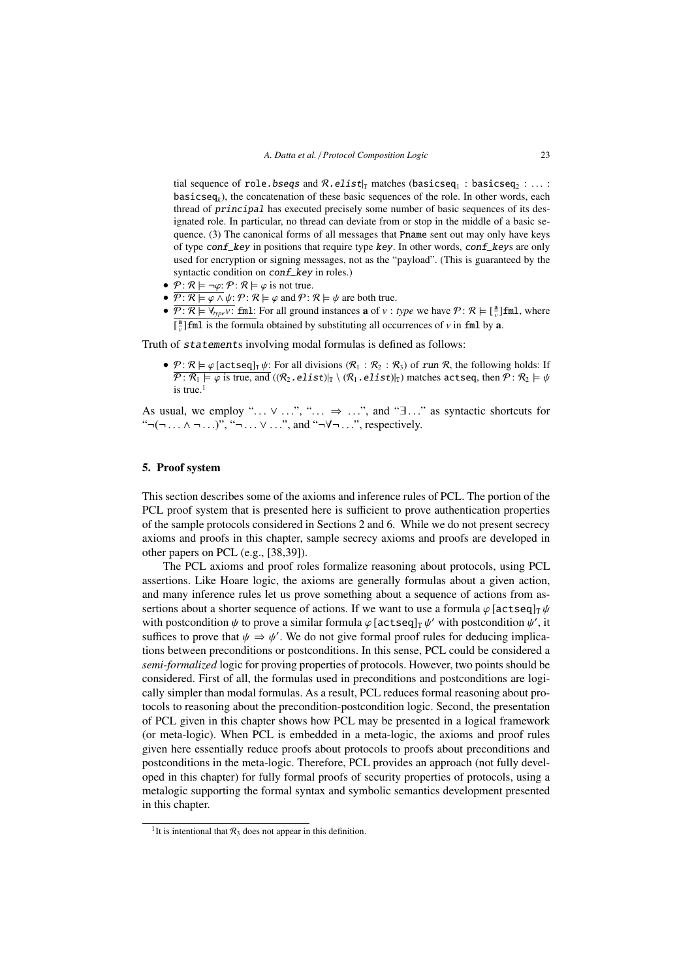tial sequence of role. bseqs and  $\mathcal{R}.$  elist<sub>|T</sub> matches (basicseq<sub>1</sub>: basicseq<sub>2</sub>:...:<br>basicseq, the concatenation of these basic sequences of the role. In other words, each basicseq*<sup>k</sup>* ), the concatenation of these basic sequences of the role. In other words, each thread of principal has executed precisely some number of basic sequences of its designated role. In particular, no thread can deviate from or stop in the middle of a basic sequence. (3) The canonical forms of all messages that Pname sent out may only have keys of type conf\_key in positions that require type key. In other words, conf\_keys are only used for encryption or signing messages, not as the "payload". (This is guaranteed by the syntactic condition on *conf\_key* in roles.)

- $P: \mathcal{R} \models \neg \varphi: \mathcal{P}: \mathcal{R} \models \varphi$  is not true.
- $\overline{\mathcal{P} : \mathcal{R} \models \varphi \land \psi : \mathcal{P} : \mathcal{R} \models \varphi \text{ and } \mathcal{P} : \mathcal{R} \models \psi \text{ are both true.}}$
- $\overline{P: \mathcal{R} \models \forall_{type} v: \text{fm1}:}$  For all ground instances **a** of  $v: type$  we have  $\mathcal{P}: \mathcal{R} \models [\frac{a}{v}] \text{fm1},$  where  $\left[\frac{a}{v}\right]$  fml is the formula obtained by substituting all occurrences of *v* in fml by **a**.

Truth of statements involving modal formulas is defined as follows:

•  $P: \mathcal{R} \models \varphi$  [actseq]<sub>T</sub>  $\psi$ : For all divisions  $(\mathcal{R}_1 : \mathcal{R}_2 : \mathcal{R}_3)$  of run  $\mathcal{R}$ , the following holds: If  $\overline{\mathcal{P}:\mathcal{R}_1 \models \varphi}$  is true, and  $((\mathcal{R}_2.elist)|_T \setminus (\mathcal{R}_1.elist)|_T)$  matches actseq, then  $\mathcal{P}:\mathcal{R}_2 \models \psi$ is true.<sup>1</sup>

As usual, we employ " $\dots$   $\vee$   $\dots$ ", " $\dots \Rightarrow$   $\dots$ ", and " $\exists$ ..." as syntactic shortcuts for "¬(¬ . . .  $\wedge$  ¬ . . .)", "¬ . . .  $\vee$  . . .", and "¬ $\forall$ ¬ . . .", respectively.

# 5. Proof system

This section describes some of the axioms and inference rules of PCL. The portion of the PCL proof system that is presented here is sufficient to prove authentication properties of the sample protocols considered in Sections 2 and 6. While we do not present secrecy axioms and proofs in this chapter, sample secrecy axioms and proofs are developed in other papers on PCL (e.g., [38,39]).

The PCL axioms and proof roles formalize reasoning about protocols, using PCL assertions. Like Hoare logic, the axioms are generally formulas about a given action, and many inference rules let us prove something about a sequence of actions from assertions about a shorter sequence of actions. If we want to use a formula  $\varphi$  [actseq]<sub>T</sub>  $\psi$ with postcondition  $\psi$  to prove a similar formula  $\varphi$  [actseq]<sub>T</sub>  $\psi'$  with postcondition  $\psi'$ , it suffices to prove that  $\psi \to \psi'$ . We do not give formal proof rules for deducing implicasuffices to prove that  $\psi \Rightarrow \psi'$ . We do not give formal proof rules for deducing implica-<br>tions between preconditions or postconditions. In this sense, PCL could be considered a tions between preconditions or postconditions. In this sense, PCL could be considered a *semi-formalized* logic for proving properties of protocols. However, two points should be considered. First of all, the formulas used in preconditions and postconditions are logically simpler than modal formulas. As a result, PCL reduces formal reasoning about protocols to reasoning about the precondition-postcondition logic. Second, the presentation of PCL given in this chapter shows how PCL may be presented in a logical framework (or meta-logic). When PCL is embedded in a meta-logic, the axioms and proof rules given here essentially reduce proofs about protocols to proofs about preconditions and postconditions in the meta-logic. Therefore, PCL provides an approach (not fully developed in this chapter) for fully formal proofs of security properties of protocols, using a metalogic supporting the formal syntax and symbolic semantics development presented in this chapter.

<sup>&</sup>lt;sup>1</sup>It is intentional that  $\mathcal{R}_3$  does not appear in this definition.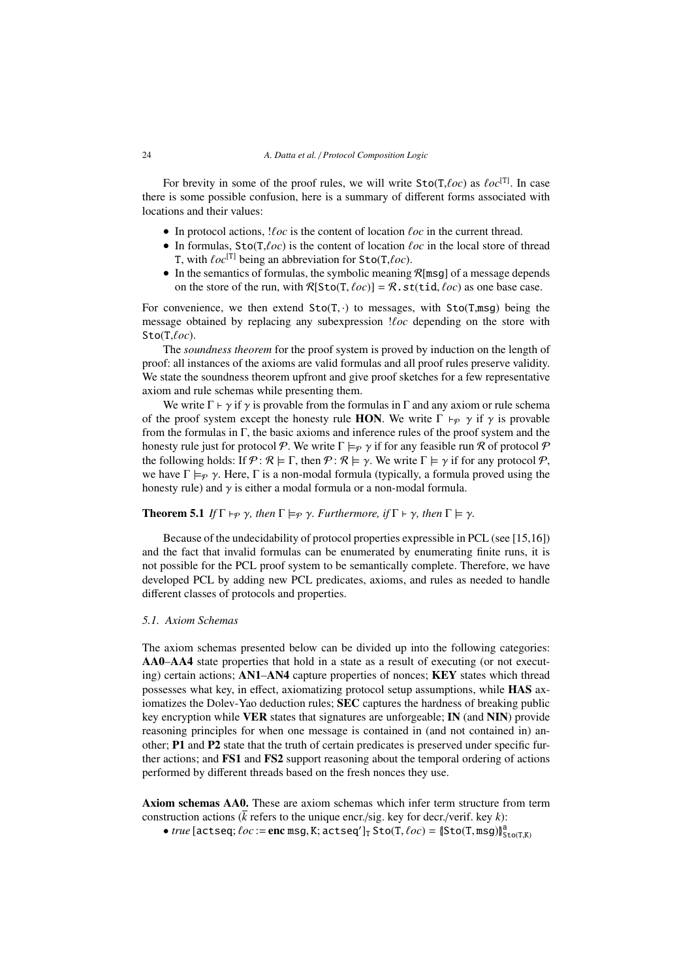For brevity in some of the proof rules, we will write  $Sto(T,\ell oc)$  as  $\ell oc^{[T]}$ . In case there is some possible confusion, here is a summary of different forms associated with locations and their values:

- In protocol actions,  $\ell \circ c$  is the content of location  $\ell \circ c$  in the current thread.
- In formulas,  $Sto(T,\ell oc)$  is the content of location  $\ell oc$  in the local store of thread T, with  $\ell o c^{[T]}$  being an abbreviation for Sto(T, $\ell o c$ ).
- $\bullet$  In the semantics of formulas, the symbolic meaning  $\mathcal{R}$ [msg] of a message depends on the store of the run, with  $R[Sto(T, loc)] = R.st(tid, loc)$  as one base case.

For convenience, we then extend  $Sto(T, \cdot)$  to messages, with  $Sto(T, \text{msg})$  being the message obtained by replacing any subexpression *foc* depending on the store with Sto(T, $\ell$ oc).

The *soundness theorem* for the proof system is proved by induction on the length of proof: all instances of the axioms are valid formulas and all proof rules preserve validity. We state the soundness theorem upfront and give proof sketches for a few representative axiom and rule schemas while presenting them.

We write  $\Gamma \vdash \gamma$  if  $\gamma$  is provable from the formulas in  $\Gamma$  and any axiom or rule schema of the proof system except the honesty rule HON. We write  $\Gamma \vdash_{\varphi} \gamma$  if  $\gamma$  is provable from the formulas in Γ, the basic axioms and inference rules of the proof system and the honesty rule just for protocol  $\mathcal P$ . We write  $\Gamma \models_{\mathcal P} \gamma$  if for any feasible run  $\mathcal R$  of protocol  $\mathcal P$ the following holds: If  $\mathcal{P}$ :  $\mathcal{R} \models \Gamma$ , then  $\mathcal{P}$ :  $\mathcal{R} \models \gamma$ . We write  $\Gamma \models \gamma$  if for any protocol  $\mathcal{P}$ , we have  $\Gamma \models_{\mathcal{P}} \gamma$ . Here,  $\Gamma$  is a non-modal formula (typically, a formula proved using the honesty rule) and  $\gamma$  is either a modal formula or a non-modal formula.

# **Theorem 5.1** *If*  $\Gamma \vdash_{\mathcal{P}} \gamma$ *, then*  $\Gamma \models_{\mathcal{P}} \gamma$ *. Furthermore, if*  $\Gamma \vdash \gamma$ *, then*  $\Gamma \models \gamma$ *.*

Because of the undecidability of protocol properties expressible in PCL (see [15,16]) and the fact that invalid formulas can be enumerated by enumerating finite runs, it is not possible for the PCL proof system to be semantically complete. Therefore, we have developed PCL by adding new PCL predicates, axioms, and rules as needed to handle different classes of protocols and properties.

# *5.1. Axiom Schemas*

The axiom schemas presented below can be divided up into the following categories: AA0–AA4 state properties that hold in a state as a result of executing (or not executing) certain actions; AN1–AN4 capture properties of nonces; KEY states which thread possesses what key, in effect, axiomatizing protocol setup assumptions, while HAS axiomatizes the Dolev-Yao deduction rules; SEC captures the hardness of breaking public key encryption while VER states that signatures are unforgeable; IN (and NIN) provide reasoning principles for when one message is contained in (and not contained in) another; P1 and P2 state that the truth of certain predicates is preserved under specific further actions; and FS1 and FS2 support reasoning about the temporal ordering of actions performed by different threads based on the fresh nonces they use.

Axiom schemas AA0. These are axiom schemas which infer term structure from term construction actions ( $\overline{k}$  refers to the unique encr./sig. key for decr./verif. key  $k$ ):

• *true* [actseq;  $\ell$ *oc* := **enc** msg, K; actseq']<sub>T</sub> Sto(T,  $\ell$ *oc*) = { $\lVert \text{Sto}(T, msg) \rVert_{\text{Sto}(T,K)}^{\text{a}}$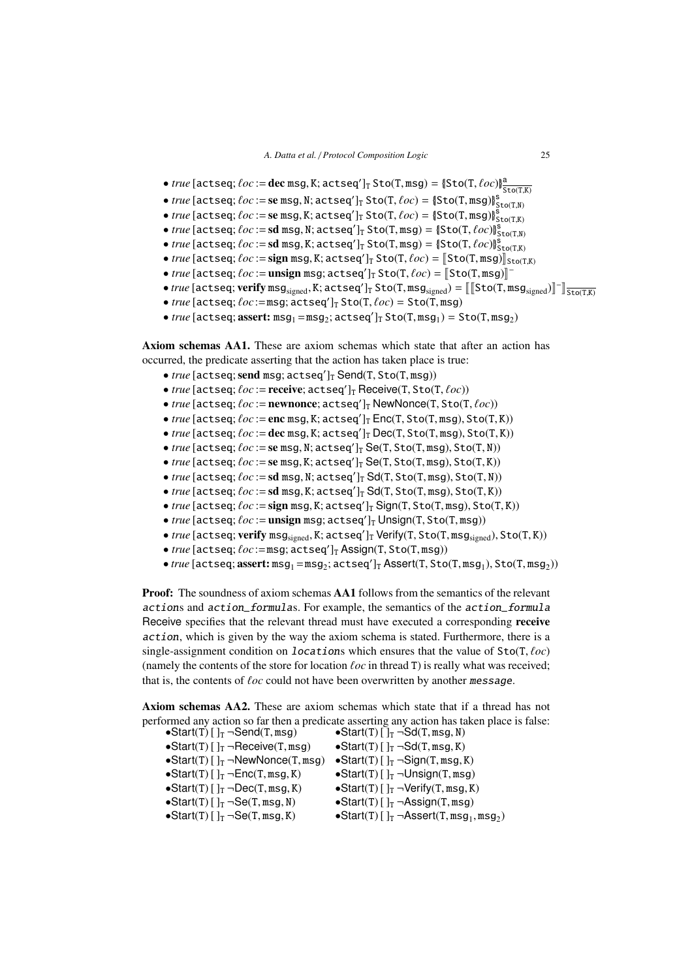- *true* [actseq;  $\ell$ *oc* := **dec** msg, K; actseq']<sub>T</sub> Sto(T, msg) = {|Sto(T,  $\ell$ *oc*)|}a
- $\bullet$  *true* [actseq; *foc* := se msg, N; actseq']<sub>T</sub> Sto(T, *foc*) = {Sto(T, msg)}<sup>S</sup><sub>Sto(T, N)</sub><br>  $\bullet$  *true* [actseq: *foc* := se msg, N; actseq']<sub>T</sub> Sto(T, *foc*) = {Sto(T, msg)}<sup>S</sup><sub>Sto(T, N)</sub>
- *true* [actseq; *toc* := se msg, K; actseq']<sub>T</sub> Sto(1, *toc*) = {|Sto(1, msg)||sto(T,K)<br>• *true* [actseq: *foc* := se msg, K; actseq']<sub>T</sub> Sto(T, *foc*) = {|Sto(T, msg))||sto(T,K)
- *true* [actseq;  $\ell$ *oc* := sd msg, N; actseq']<sub>T</sub> Sto(T, msg) = {|Sto(T,  $\ell$ *oc*)|}s
- *true* [actseq; *toc* := sd msg, N, actseq |T Sto(1, msg) = {|Sto(1, *toc*)||<sub>Sto(T,N</sub>)<br>• *true* [actseq; *foc* := sd msg, K; actseq']<sub>T</sub> Sto(T, msg) = {|Sto(T, *foc*)||S<sub>sto(T,K)</sub><br>• *true* [actseq: *foc* := sign msg, K
- *true* [actseq; *toc* := su msg, k; actseq '<sub>IT</sub> sto(1, msg) =  $\sqrt[3]{\mathsf{sto}(T,\mathcal{RO})}$ <br>• *true* [actseq: *foc* := sign msg, K; actseq']<sub>T</sub> Sto(T, *foc*) =  $[\mathsf{Sto}(T, \mathsf{msg})]_{\mathsf{Sto}(T,\mathsf{K})}$ <br>• *true* [actseq: *foc* := uns
- *true* [actseq;  $\ell$ *oc* := **unsign** msg; actseq']<sub>T</sub> Sto(T,  $\ell$ *oc*) = [Sto(T, msg)]<sup>-</sup><br>• *true* lactseq: **verify** msg  $K$ ; actseq'], Sto(T, msg ) = [[Sto(T, m
- *true* [actseq; verify msg<sub>signed</sub>, K; actseq']<sub>T</sub> Sto(T, msg<sub>signed</sub>) =  $[[\text{Sto}(T, msg_{\text{signed}})]]^ \mathbb{I}\mathsf{Sto}(\mathsf{T},\mathsf{K})$
- *true* [actseq;  $\ell$ *oc* := msg; actseq']<sub>T</sub> Sto(T,  $\ell$ *oc*) = Sto(T, msg)<br>• *true* [actseq: assert; msg = msg : actseq']= Sto(T, msg) = S
- *true* [actseq; assert:  $msg_1 = msg_2$ ;  $actseq'I_T Sto(T, msg_1) = Sto(T, msg_2)$

Axiom schemas AA1. These are axiom schemas which state that after an action has

- occurred, the predicate asserting that the action has taken place is true:
	- *true* [actseq; send msg; actseq']<sub>T</sub> Send(T, Sto(T, msg))<br>• *true* [actseq: *foc* : receive: actseq'] Beceive(T, Sto(
	- *true* [actseq;  $\ell$ *oc* := **receive**; actseq']<sub>T</sub> Receive(T, Sto(T,  $\ell$ *oc*))<br>• *true* [actseq:  $\ell$ *oc* := **newponce**; actseq']= NewNonce(T, Sto(T)
	- *true* [actseq;  $\ell$ *oc* := **newnonce**; actseq']<sub>T</sub> NewNonce(T, Sto(T,  $\ell$ *oc*))<br>• *true* [actseq:  $\ell$ *oc* := **enc** msg  $K$ : actseq']= Enc(T, Sto(T, msg), Sto(T,
	- *true* [actseq;  $\ell$ *oc* := enc msg, K; actseq']<sub>T</sub> Enc(T, Sto(T, msg), Sto(T, K))
	- *true* [actseq;  $\ell$ *oc* := dec msg, K; actseq']<sub>T</sub> Dec(T, Sto(T, msg), Sto(T, K))
	- *true* [actseq;  $\ell$ *oc* := se msg, N; actseq']<sub>T</sub> Se(T, Sto(T, msg), Sto(T, N))
	- *true* [actseq;  $\ell$ *oc* := se msg, K; actseq']<sub>T</sub> Se(T, Sto(T, msg), Sto(T, K))
	- *true* [actseq;  $\ell$ *oc* := sd msg, N; actseq']<sub>T</sub> Sd(T, Sto(T, msg), Sto(T, N))<br>• *true* [actseq:  $\ell$ *oc* := sd msg  $V$ ; actseq'], Sd(T, Sto(T, msg), Sto(T, V))
	- *true* [actseq;  $\ell$ *oc* := sd msg, K; actseq']<sub>T</sub> Sd(T, Sto(T, msg), Sto(T, K))
	- *true* [actseq;  $\ell$ *oc* := sign msg, K; actseq']<sub>T</sub> Sign(T, Sto(T, msg), Sto(T, K))
	- *true* [actseq;  $\ell$ *oc* := **unsign** msg; actseq']<sub>T</sub> Unsign(T, Sto(T, msg))
	- *true* [actseq; verify msg<sub>signed</sub>, K; actseq']<sub>T</sub> Verify(T, Sto(T, msg<sub>signed</sub>), Sto(T, K))
	- *true* [actseq;  $\ell$ *oc* := msg; actseq']<sub>T</sub> Assign(T, Sto(T, msg))
	- *true* [actseq; assert: msg<sub>1</sub> = msg<sub>2</sub>; actseq']<sub>T</sub> Assert(T, Sto(T, msg<sub>1</sub>), Sto(T, msg<sub>2</sub>))

**Proof:** The soundness of axiom schemas **AA1** follows from the semantics of the relevant actions and action\_formulas. For example, the semantics of the action\_formula Receive specifies that the relevant thread must have executed a corresponding **receive** action, which is given by the way the axiom schema is stated. Furthermore, there is a single-assignment condition on *locations* which ensures that the value of  $Sto(T, loc)$ (namely the contents of the store for location  $\ell$ *oc* in thread T) is really what was received; that is, the contents of *foc* could not have been overwritten by another message.

Axiom schemas AA2. These are axiom schemas which state that if a thread has not performed any action so far then a predicate asserting any action has taken place is false:

| • Start(T) $\lceil \cdot \rceil_T$ – Send(T, msg)              | • Start(T) $[T]_T$ – Sd(T, msg, N)                                    |
|----------------------------------------------------------------|-----------------------------------------------------------------------|
| •Start(T) $\lceil \cdot \rceil_T$ –Receive(T, msg)             | • Start(T) $\lceil \cdot \rceil_T$ $\neg$ Sd(T, msg, K)               |
| • Start(T) $\lceil \cdot \rceil_T$ ¬ New Nonce (T, msg)        | • Start(T) $\lceil \cdot \rceil_T$ ¬ Sign(T, msg, K)                  |
| $\bullet$ Start(T) [ ] <sub>T</sub> $\neg$ Enc(T, msg, K)      | • Start(T) $\lceil \cdot \rceil_T$ – Unsign(T, msg)                   |
| $\bullet$ Start(T) $\lceil \cdot \rceil_T \neg Dec(T, msg, K)$ | • Start(T) $\lceil \cdot \rceil_T$ - Verify(T, msg, K)                |
| $\bullet$ Start(T) [ ] <sub>T</sub> $\neg$ Se(T, msg, N)       | • Start(T) $[]_T \neg \text{Assign}(T, msg)$                          |
| • Start(T) $\lceil \cdot \rceil_T \neg$ Se(T, msg, K)          | • Start(T) $[\ ]_T \neg \text{assert}(T, \text{msg}_1, \text{msg}_2)$ |
|                                                                |                                                                       |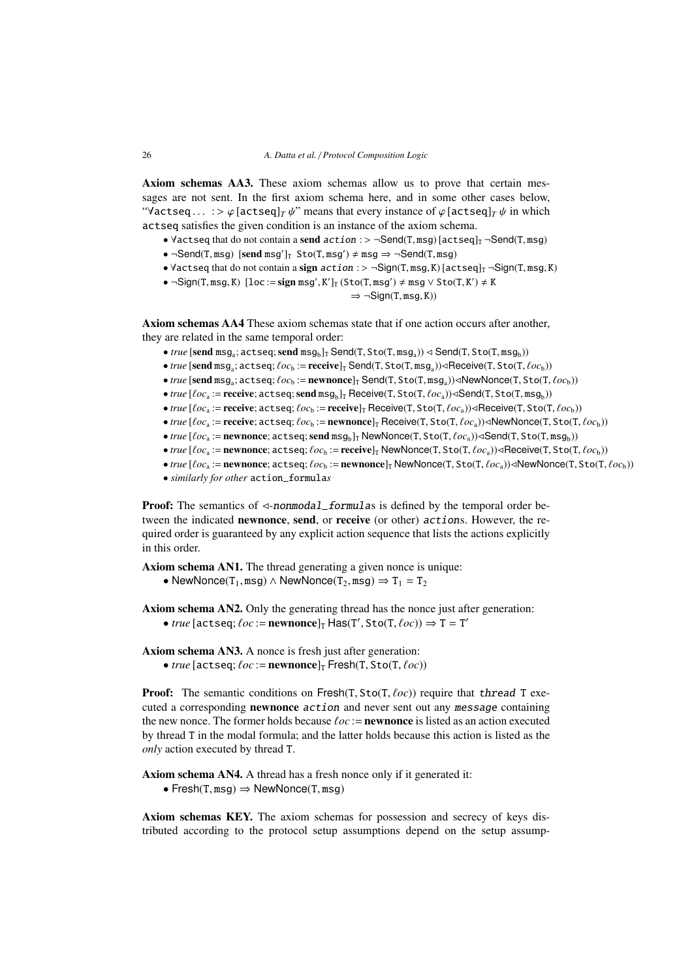Axiom schemas AA3. These axiom schemas allow us to prove that certain messages are not sent. In the first axiom schema here, and in some other cases below, " $\forall$ actseq ... : >  $\varphi$  [actseq] $\psi$ " means that every instance of  $\varphi$  [actseq] $\psi$  in which actseq satisfies the given condition is an instance of the axiom schema.

- $\forall$ actseq that do not contain a send  $action$  : >  $\neg$ Send(T, msg)  $[actseq]_T$   $\neg$ Send(T, msg)
- $\neg Send(T, msg)$  [send msg']<sub>T</sub> Sto(T, msg')  $\neq$  msg  $\Rightarrow \neg Send(T, msg)$
- $\forall$  actseq that do not contain a sign  $action$  :  $>$   $\neg$ Sign(T, msg, K) [actseq]<sub>T</sub>  $\neg$ Sign(T, msg, K)
- $\neg$ Sign(T, msg, K) [loc := sign msg', K']<sub>T</sub> (Sto(T, msg')  $\neq$  msg  $\vee$  Sto(T, K')  $\neq$  K

 $\Rightarrow \neg$ Sign(T, msg, K))

Axiom schemas AA4 These axiom schemas state that if one action occurs after another, they are related in the same temporal order:

- *true* [send msg<sub>a</sub>; actseq; send msg<sub>b</sub>]<sub>I</sub>, Send(T, Sto(T, msg<sub>a</sub>)) < Send(T, Sto(T, msg<sub>b</sub>))<br>
a two [send mgg : actseq: fee : megainal, Send(T, Sto(T, mgg)) < Beopiug(T, Sto(T, U
- *true* [send msg<sub>a</sub>; actseq;  $\ell o c_b$  := **receive**]<sub>T</sub> Send(T, Sto(T, msg<sub>a</sub>)) $\triangleleft$ Receive(T, Sto(T,  $\ell o c_b$ )))<br>
 *true* [send msg : actseq:  $\ell o c_b$  : **permaneal** Send(T, Sto(T, msg))  $\triangle$ lowNepeo(T, Sto(T,
- *true* [send msg<sub>a</sub>; actseq;  $\ell$ *oc*<sub>b</sub> := newnonce]<sub>T</sub> Send(T, Sto(T, msg<sub>a</sub>))<NewNonce(T, Sto(T,  $\ell$ *oc*<sub>b</sub>))
- *true*  $[loc_a := \text{receive}; \text{actseq}; \text{send} \text{msg}_b]_T$  Receive(T, Sto(T,  $loc_a$ )) $\triangleleft \text{Send}(T, \text{Sto}(T, \text{msg}_b))$
- *true*  $[loc_a := \text{receive}; actseq; loc_b := \text{receive}]$ ; Receive(T, Sto(T,  $(loc_a)$ ) Receive(T, Sto(T,  $(loc_b)$ )
- *true*  $[loc_a := \text{receive}; acc_1; loc_b := \text{newnone}]$ ;  $\text{Receive}(T, \text{Sto}(T, \ell oc_a)) \triangleleft \text{NewNone}(T, \text{Sto}(T, \ell oc_b))$
- *true*  $[loc_a := \text{newhonce}; \text{actseq}; \text{send msg}_b]_T$  NewNonce(T, Sto(T,  $(loc_a)$ )  $\triangle Send(T, Sto(T, msg_b))$
- *true*  $[loc_a := \text{newhonce}; \text{actseq}; loc_b := \text{receive}]$ <sub>T</sub> NewNonce(T, Sto(T,  $(loc_a)$ ) $\triangleleft$ Receive(T, Sto(T,  $(loc_b)$ )
- *true*  $[loc_a := \textbf{newnonce}; \text{actseq}; \elloc_b := \textbf{newnonce}|_T \text{NewNone}(T, \text{Sto}(T, \elloc_a)) \triangleleft \text{NewNone}(T, \text{Sto}(T, \elloc_b))$
- *similarly for other* action\_formula*s*

**Proof:** The semantics of  $\triangleleft$ -nonmodal formulas is defined by the temporal order between the indicated newnonce, send, or receive (or other) actions. However, the required order is guaranteed by any explicit action sequence that lists the actions explicitly in this order.

Axiom schema AN1. The thread generating a given nonce is unique:

• NewNonce( $T_1$ , msg) ∧ NewNonce( $T_2$ , msg)  $\Rightarrow$   $T_1 = T_2$ 

Axiom schema AN2. Only the generating thread has the nonce just after generation: • *true* [actseq;  $\ell$ *oc* := **newnonce**]<sub>T</sub> Has(T', Sto(T,  $\ell$ *oc*))  $\Rightarrow$  T = T'

Axiom schema AN3. A nonce is fresh just after generation:

• *true* [actseq;  $\ell$ *oc* := **newnonce**]<sub>T</sub> Fresh(T, Sto(T,  $\ell$ *oc*))

**Proof:** The semantic conditions on Fresh $(T, Sto(T, \ell oc))$  require that thread T executed a corresponding newnonce action and never sent out any message containing the new nonce. The former holds because  $\ell$ *oc* := **newnonce** is listed as an action executed by thread T in the modal formula; and the latter holds because this action is listed as the *only* action executed by thread T.

Axiom schema AN4. A thread has a fresh nonce only if it generated it: • Fresh $(T, msg) \Rightarrow$  NewNonce $(T, msg)$ 

Axiom schemas KEY. The axiom schemas for possession and secrecy of keys distributed according to the protocol setup assumptions depend on the setup assump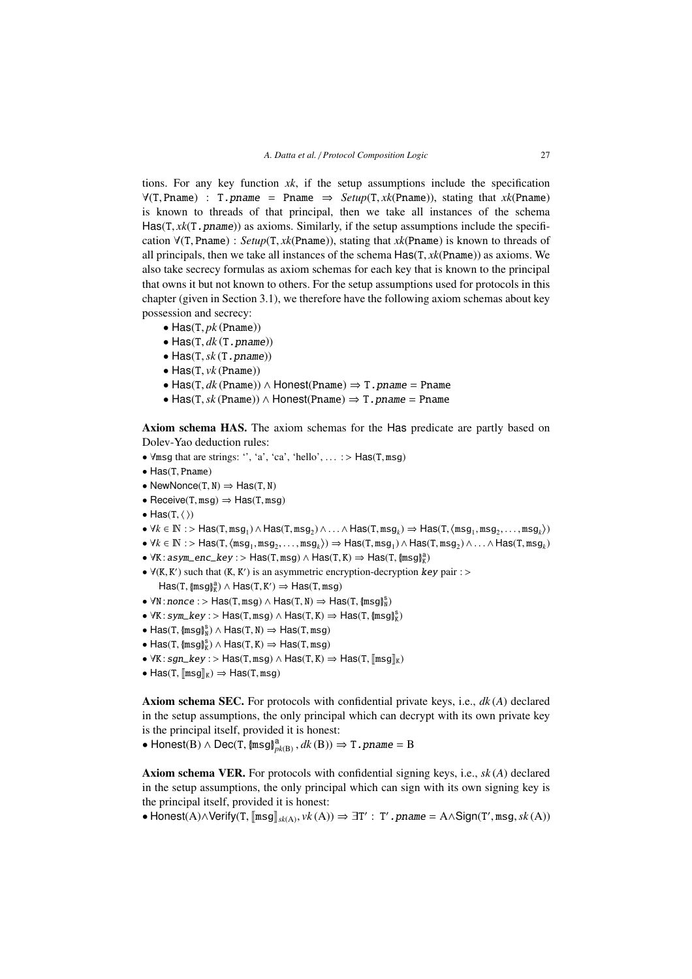tions. For any key function *xk*, if the setup assumptions include the specification <sup>∀</sup>(T, Pname) : <sup>T</sup>.pname <sup>=</sup> Pname <sup>⇒</sup> *Setup*(T, *xk*(Pname)), stating that *xk*(Pname) is known to threads of that principal, then we take all instances of the schema  $\text{Has}(T, x_k(T \cdot \text{pname}))$  as axioms. Similarly, if the setup assumptions include the specification <sup>∀</sup>(T, Pname) : *Setup*(T, *xk*(Pname)), stating that *xk*(Pname) is known to threads of all principals, then we take all instances of the schema Has(T, *xk*(Pname)) as axioms. We also take secrecy formulas as axiom schemas for each key that is known to the principal that owns it but not known to others. For the setup assumptions used for protocols in this chapter (given in Section 3.1), we therefore have the following axiom schemas about key possession and secrecy:

- Has(T, *pk* (Pname))
- $Has(T, dk(T. pname))$
- $\bullet$  Has(T,  $sk$ (T. pname))
- $\bullet$  Has(T,  $vk$  (Pname))
- Has(T, *dk* (Pname)) <sup>∧</sup> Honest(Pname) <sup>⇒</sup> <sup>T</sup>.pname <sup>=</sup> Pname
- Has(T,*sk* (Pname)) <sup>∧</sup> Honest(Pname) <sup>⇒</sup> <sup>T</sup>.pname <sup>=</sup> Pname

Axiom schema HAS. The axiom schemas for the Has predicate are partly based on Dolev-Yao deduction rules:

- $\forall$ msg that are strings: '', 'a', 'ca', 'hello', ... : > Has(T,msg)
- Has(T, Pname)
- NewNonce $(T, N) \Rightarrow Has(T, N)$
- Receive $(T, msg) \Rightarrow Has(T, msg)$
- Has $(T,\langle\ \rangle)$
- $\forall k \in \mathbb{N} :$  > Has(T, msg<sub>1</sub>)  $\land$  Has(T, msg<sub>2</sub>)  $\land \dots \land$  Has(T, msg<sub>k</sub> $\rangle \Rightarrow$  Has(T,  $\langle \text{msg}_1, \text{msg}_2, \dots, \text{msg}_k \rangle$ )
- $\bullet \forall k \in \mathbb{N}: > \text{Has}(T, \langle \text{msg}_1, \text{msg}_2, \dots, \text{msg}_k \rangle) \Rightarrow \text{Has}(T, \text{msg}_1) \land \text{Has}(T, \text{msg}_2) \land \dots \land \text{Has}(T, \text{msg}_k)$
- $\forall K: asym\_enc\_key: > Has(T, msg) \land Has(T, K) \Rightarrow Has(T, {msg}]_R^a$ <br>K  $\lor (K, K')$  and that  $(K, K')$  is an assumption assumption described to the set
- $\forall$ (K, K') such that (K, K') is an asymmetric encryption-decryption key pair : >  $\text{Has}(T, \{\text{msg}\}^{\text{R}}_R) \wedge \text{Has}(T, K') \Rightarrow \text{Has}(T, \text{msg})$
- $\forall N: nonce : > Has(T, msg) \land Has(T, N) \Rightarrow Has(T, \{msg\}\)$
- $\forall K: sym\_key : > Has(T, msg) \land Has(T, K) \Rightarrow Has(T, {msg}]_K^s$
- Has(T,  ${msg}^s$ ) ∧ Has(T, N)  $\Rightarrow$  Has(T, msg)
- Has(T,  $\{\text{msg}_R^s\}$   $\land$  Has(T, K)  $\Rightarrow$  Has(T, msg)
- $\forall K: sgn\_key : > Has(T, msg) \land Has(T, K) \Rightarrow Has(T, [msg]_K)$
- Has(T,  $\left[\text{msg}\right]_K$ )  $\Rightarrow$  Has(T, msg)

Axiom schema SEC. For protocols with confidential private keys, i.e., *dk* (*A*) declared in the setup assumptions, the only principal which can decrypt with its own private key is the principal itself, provided it is honest:

• Honest(B)  $\land$  Dec(T,  $\{\text{msg}\}_{pk(B)}^{\text{a}}$ ,  $dk(B)) \Rightarrow$  T. pname = B

Axiom schema VER. For protocols with confidential signing keys, i.e., *sk* (*A*) declared in the setup assumptions, the only principal which can sign with its own signing key is the principal itself, provided it is honest:

• Honest(A)∧Verify(T,  $[\text{msg}]_{sk(A)}, vk(A))$   $\Rightarrow$  ∃T': T'. *pname* = A∧Sign(T', msg, sk(A))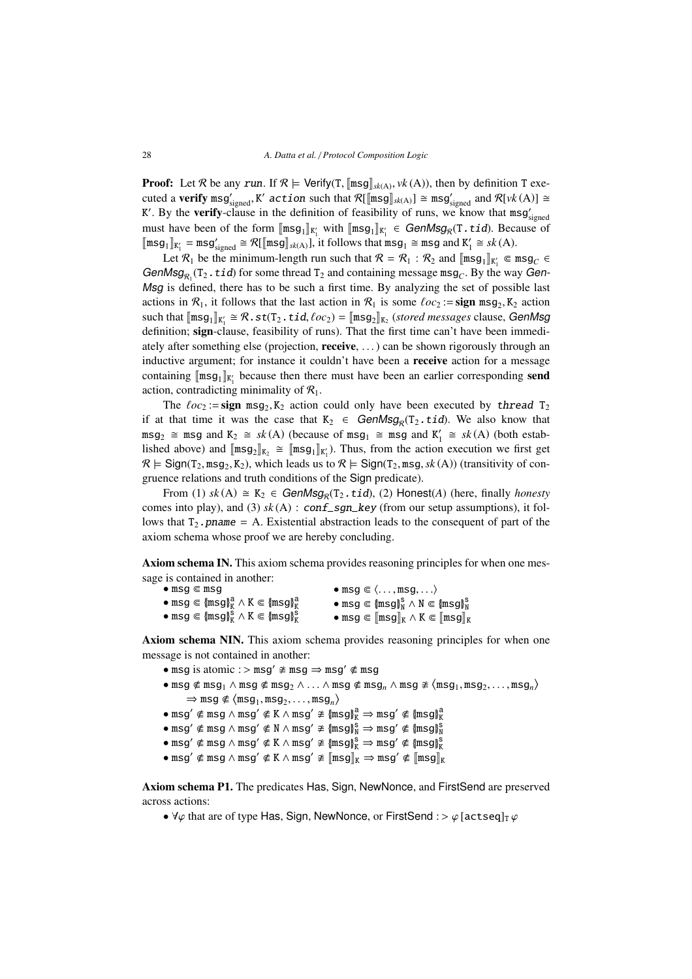**Proof:** Let R be any run. If  $\mathcal{R} \models \text{Verify}(T, [\text{msg}]_{sk(A)}, vk(A))$ , then by definition T exe-<br>cuted a verify  $\text{msg}'$ ,  $K'$  action such that  $\mathcal{P}[\text{msg}]_{s \times l} \approx \text{msg}'$  and  $\mathcal{P}[\text{wk}(A)] \approx$ cuted a **verify**  $\text{msg}_{\text{signed}}'$ , K' action such that  $\mathcal{R}[\text{msg}]_{sk(A)}] \cong \text{msg}_{\text{signed}}'$  and  $\mathcal{R}[vk(A)] \cong$ <br> $\mathcal{R}'$ . By the **verify** clause in the definition of feasibility of runs, we know that  $\text{msg}'$ K'. By the verify-clause in the definition of feasibility of runs, we know that  $\text{msg}_{\text{signed}}'$ must have been of the form  $[\text{msg}_1]_{K'_1}$  with  $[\text{msg}_1]_{K'_1} \in GenMsg_R(T.tid)$ . Because of  $[\text{msg}_1]_{K'_1} = \text{msg}'_{\text{signed}} \cong \mathcal{R}[\text{msg}]_{sk(A)}],$  it follows that  $\text{msg}_1 \cong \text{msg}$  and  $K'_1 \cong sk(A).$ 

Let  $\mathcal{R}_1$  be the minimum-length run such that  $\mathcal{R} = \mathcal{R}_1 : \mathcal{R}_2$  and  $[\text{msg}_1]_{K_1'} \in \text{msg}_C \in \text{Mac}$  (T, tigh for some throad T, and sortaining messes mag. By the way Con. GenMsg<sub>R<sub>1</sub></sub>(T<sub>2</sub> . tid) for some thread T<sub>2</sub> and containing message msg<sub>*C*</sub>. By the way Gen-Msg is defined, there has to be such a first time. By analyzing the set of possible last actions in  $\mathcal{R}_1$ , it follows that the last action in  $\mathcal{R}_1$  is some  $\ell$ *oc*<sub>2</sub> := sign msg<sub>2</sub>, K<sub>2</sub> action<br>such that  $\mathbb{F}_{\text{max}} \mathbb{I}_{\text{max}} \propto \mathcal{R}_{\text{max}}$  at  $\mathbb{T}_{\text{max}} \mathbb{I}_{\text{max}}$  (stared massages along GonMeg such that  $[\text{msg}_1]_{K_1} \cong \mathcal{R}$ .  $st(T_2. \text{tid}, \ell o c_2) = [\text{msg}_2]_{K_2}$  (*stored messages* clause, GenMsg definition; sign-clause, feasibility of runs). That the first time can't have been immediately after something else (projection, **receive**, ...) can be shown rigorously through an inductive argument; for instance it couldn't have been a **receive** action for a message containing  $[\text{msg}_1]_{K'_1}$  because then there must have been an earlier corresponding **send**<br>estion contradicting minimality of  $\mathcal{P}$ action, contradicting minimality of  $\mathcal{R}_1$ .

The  $\ell oc_2$ := sign msg<sub>2</sub>, K<sub>2</sub> action could only have been executed by thread T<sub>2</sub> that time it was the case that K<sub>1</sub>  $\epsilon$  GenMsg (T<sub>2</sub> tid). We also know that if at that time it was the case that  $K_2 \in GenMSg_R(T_2.tid)$ . We also know that  $\text{msg}_2 \cong \text{msg}$  and  $K_2 \cong sk(A)$  (because of  $\text{msg}_1 \cong \text{msg}$  and  $K'_1 \cong sk(A)$  (both established above) and  $[\text{msg}_2]_{K_2} \cong [\text{msg}_1]_{K_1}$ . Thus, from the action execution we first get  $\mathcal{P} \vdash$  Sign(T, mag,  $g(k(\lambda))$ ) (transitivity of son  $R \models$  Sign(T<sub>2</sub>, msg<sub>2</sub>, K<sub>2</sub>), which leads us to  $R \models$  Sign(T<sub>2</sub>, msg, *sk* (A)) (transitivity of con-<br>gruence relations and truth conditions of the Sign predicate) gruence relations and truth conditions of the Sign predicate).

From (1)  $sk(A) \cong K_2 \in GenMsg_R(T_2.tid)$ , (2) Honest(A) (here, finally *honesty* comes into play), and (3)  $sk(A)$ : conf\_sgn\_key (from our setup assumptions), it follows that  $T_2$ . pname = A. Existential abstraction leads to the consequent of part of the axiom schema whose proof we are hereby concluding.

Axiom schema IN. This axiom schema provides reasoning principles for when one message is contained in another:<br>• msg  $\subseteq$  msg

| $\bullet$ msq $\in$ msq                                                   | $\bullet$ msg $\in \langle \ldots, \text{msg}, \ldots \rangle$                                                                  |
|---------------------------------------------------------------------------|---------------------------------------------------------------------------------------------------------------------------------|
| • msg $\in \{msg\}_K^a \wedge K \in \{msg\}_K^a$                          | $\bullet$ msg $\in$ {msg} <sup>S</sup> <sub>N</sub> $\land$ N $\in$ {msg} <sup>S</sup> <sub>N</sub>                             |
| $\bullet$ msg $\in$ {msg} <sub>K</sub> $\land$ K $\in$ {msg} <sub>K</sub> | $\bullet$ msg $\in$ $\lbrack \mathsf{msg} \rbrack_{\mathsf{K}} \wedge \mathsf{K} \in \lbrack \mathsf{msg} \rbrack_{\mathsf{K}}$ |
|                                                                           |                                                                                                                                 |

Axiom schema NIN. This axiom schema provides reasoning principles for when one message is not contained in another:

- msg is atomic : > msg'  $\ncong$  msg  $\Rightarrow$  msg'  $\notin$  msg
- msg  $\notin$  msg<sub>1</sub> ∧ msg  $\notin$  msg<sub>2</sub> ∧ ... ∧ msg  $\notin$  msg<sub>n</sub> ∧ msg  $\notin$   $\langle$ msg<sub>1</sub>, msg<sub>2</sub>, ..., msg<sub>n</sub> $\rangle$ <br>  $\Rightarrow$  msg  $\notin$  (msg<sub>n</sub> msg  $\rangle$  $\Rightarrow \text{msg} \notin \langle \text{msg}_1, \text{msg}_2, \dots, \text{msg}_n \rangle$ <br>  $\Rightarrow' \notin \text{msg} \land \text{msg}' \notin K \land \text{msg}' \times \text{fm}$
- $\bullet$  msg'  $\notin$  msg  $\land$  msg'  $\notin$  K  $\land$  msg'  $\notin$  {|msg|} $\{^a_K \Rightarrow$  msg'  $\notin$  {|msg|} $\{^a_K\}$
- $\bullet$  msg'  $\notin$  msg  $\land$  msg'  $\notin N \land$  msg'  $\not\cong \{\text{msg}_N^s \Rightarrow \text{msg}' \not\in \{\text{msg}_N^s\}$
- $\bullet$  msg'  $\notin$  msg  $\land$  msg'  $\notin$  K  $\land$  msg'  $\notin$  {|msg|} $S_R$   $\Rightarrow$  msg'  $\notin$  {|msg|}
- msg'  $\notin$  msg  $\wedge$  msg'  $\notin$  K  $\wedge$  msg'  $\notin$   $\llbracket \text{msg} \rrbracket_K \Rightarrow$  msg'  $\notin$   $\llbracket \text{msg} \rrbracket_K$

Axiom schema P1. The predicates Has, Sign, NewNonce, and FirstSend are preserved across actions:

•  $\forall \varphi$  that are of type Has, Sign, NewNonce, or FirstSend : >  $\varphi$  [actseq] $_T \varphi$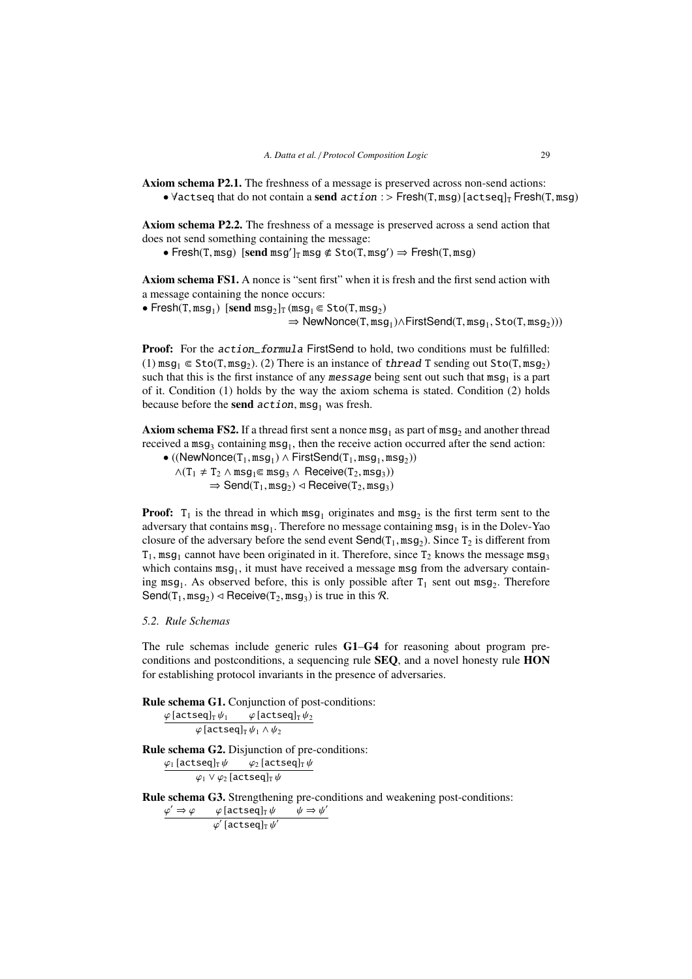Axiom schema P2.1. The freshness of a message is preserved across non-send actions: •  $\forall$  actseq that do not contain a send  $action$  : > Fresh(T, msg) [actseq]<sub>T</sub> Fresh(T, msg)

Axiom schema P2.2. The freshness of a message is preserved across a send action that does not send something containing the message:

• Fresh(T, msg) [send msg']<sub>T</sub> msg  $\notin$  Sto(T, msg')  $\Rightarrow$  Fresh(T, msg)

Axiom schema FS1. A nonce is "sent first" when it is fresh and the first send action with a message containing the nonce occurs:

• Fresh(T, msg<sub>1</sub>) [send msg<sub>2</sub>]<sub>T</sub> (msg<sub>1</sub>  $\in$  Sto(T, msg<sub>2</sub>)<sup>-</sup>  $\Rightarrow$  NewNonce(T msg  $\Rightarrow$  NewNonce $(T, msg_1) \wedge FirstSend(T, msg_1, Sto(T, msg_2)))$ 

Proof: For the action\_formula FirstSend to hold, two conditions must be fulfilled: (1)  $\text{msg}_1 \in \text{Sto}(T, \text{msg}_2)$ . (2) There is an instance of **thread** T sending out Sto(T, msg<sub>2</sub>) such that this is the first instance of any *message* being sent out such that msg. is a part such that this is the first instance of any *message* being sent out such that  $msg_1$  is a part of it. Condition (1) holds by the way the axiom schema is stated. Condition (2) holds because before the send  $\alpha$ ction, msq<sub>1</sub> was fresh.

**Axiom schema FS2.** If a thread first sent a nonce  $\text{msg}_1$  as part of  $\text{msg}_2$  and another thread received a  $msg_3$  containing  $msg_1$ , then the receive action occurred after the send action:

• ((NewNonce(T<sub>1</sub>, msg<sub>1</sub>)  $\land$  FirstSend(T<sub>1</sub>, msg<sub>1</sub>, msg<sub>2</sub>)))<br>  $\land$  (T<sub>i</sub> + T<sub>2</sub>) msg<sub>1</sub> msg<sub>1</sub>  $\land$  Beceive(T<sub>2</sub> msg<sub>1</sub>))  $\wedge (T_1 \neq T_2 \wedge \text{msg}_1 \in \text{msg}_3 \wedge \text{Receive}(T_2, \text{msg}_3))$ <br>  $\rightarrow$  Sand(T, msg<sub>3</sub>)  $\wedge$  Beceive(T<sub>2</sub>, msg<sub>3</sub>)  $\Rightarrow$  Send(T<sub>1</sub>, msg<sub>2</sub>)  $\triangleleft$  Receive(T<sub>2</sub>, msg<sub>3</sub>)

**Proof:**  $T_1$  is the thread in which  $\text{msg}_1$  originates and  $\text{msg}_2$  is the first term sent to the adversary that contains  $msg_1$ . Therefore no message containing  $msg_1$  is in the Dolev-Yao closure of the adversary before the send event  $\text{Send}(T_1, \text{msg}_2)$ . Since  $T_2$  is different from<br>T<sub>1</sub> msg<sub>c</sub> cannot have been originated in it. Therefore, since  $T_2$  knows the message msg.  $T_1$ , msg<sub>1</sub> cannot have been originated in it. Therefore, since  $T_2$  knows the message msg<sub>3</sub> which contains  $msg_1$ , it must have received a message msg from the adversary containing msg<sub>1</sub>. As observed before, this is only possible after  $T_1$  sent out msg<sub>2</sub>. Therefore Send(T<sub>1</sub>, msg<sub>2</sub>)  $\triangleleft$  Receive(T<sub>2</sub>, msg<sub>3</sub>) is true in this R.

# *5.2. Rule Schemas*

The rule schemas include generic rules G1–G4 for reasoning about program preconditions and postconditions, a sequencing rule SEQ, and a novel honesty rule HON for establishing protocol invariants in the presence of adversaries.

Rule schema G1. Conjunction of post-conditions:

 $\varphi$  [actseq]<sub>T</sub> $\psi_1$   $\varphi$  [actseq]<sub>T</sub> $\psi_2$  $\varphi$ [actseq]<sub>T</sub> $\psi_1 \wedge \psi_2$ 

Rule schema G2. Disjunction of pre-conditions:

 $\varphi_1$  [actseq]<sub>T</sub>  $\psi$   $\varphi_2$  [actseq]<sub>T</sub>  $\psi$  $\varphi_1 \vee \varphi_2$  [actseq]<sub>T</sub>  $\psi$ 

Rule schema G3. Strengthening pre-conditions and weakening post-conditions:

 $\psi \Rightarrow \psi'$ 

 $\varphi' \Rightarrow \varphi$   $\varphi$  [actseq]<sub>T</sub>  $\psi$   $\psi \Rightarrow \psi$  $\overline{a}$  $^{\prime}$  [actseq]<sub>T</sub>  $\psi^{\prime}$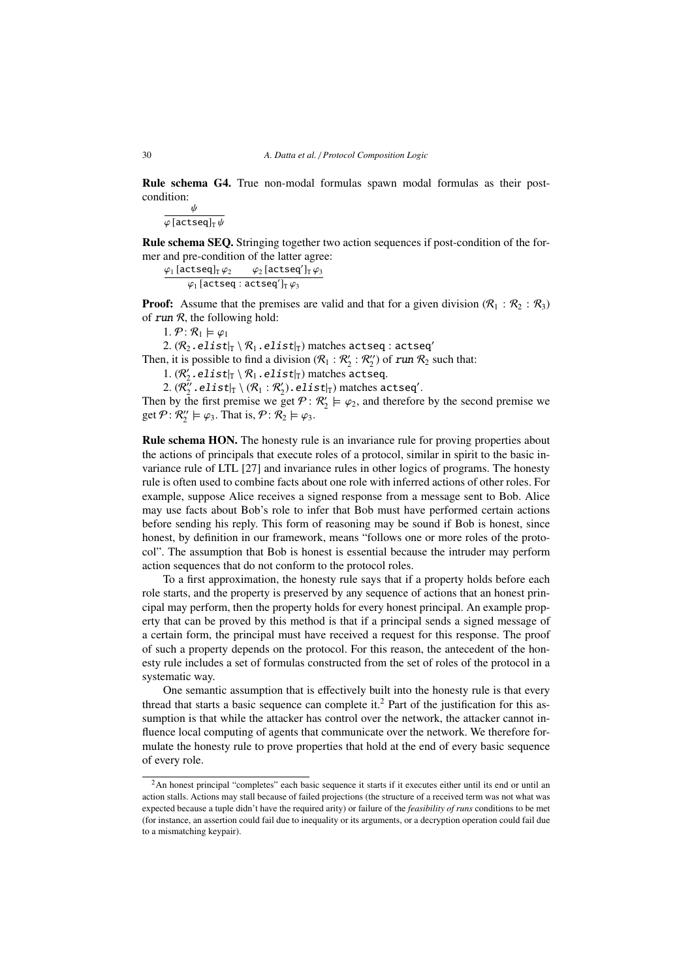Rule schema G4. True non-modal formulas spawn modal formulas as their postcondition:

 $\overline{\varphi$  [actseq]<sub>T</sub>  $\psi$ 

Rule schema SEQ. Stringing together two action sequences if post-condition of the former and pre-condition of the latter agree:

 $\frac{\varphi_1$  [actseq]<sub>T</sub>  $\varphi_2$   $\varphi_2$  [actseq']<sub>T</sub>  $\varphi_3$  $\varphi_1$  [actseq : actseq']<sub>T</sub>  $\varphi_3$ 

**Proof:** Assume that the premises are valid and that for a given division  $(\mathcal{R}_1 : \mathcal{R}_2 : \mathcal{R}_3)$ of run  $R$ , the following hold:

1.  $\mathcal{P}$ :  $\mathcal{R}_1 \models \varphi_1$ 

2.  $(R_2$ .elist $|_T \setminus R_1$ .elist $|_T$ ) matches actseq : actseq'

Then, it is possible to find a division  $(R_1 : R'_2 : R''_2)$  of run  $R_2$  such that:

1.  $(\mathcal{R}_2'.{elist}|_{T} \setminus \mathcal{R}_1.{elist}|_{T})$  matches actseq.

 $2.$   $(\overline{\mathcal{R}_2''}$  .  $elist|_{\text{T}} \setminus (\mathcal{R}_1 : \mathcal{R}_2')$  .  $elist|_{\text{T}})$  matches  $actseq'.$ 

Then by the first premise we get  $P : \mathcal{R}'_2 \models \varphi_2$ , and therefore by the second premise we get  $P : \mathcal{R}'' \models \varphi_2$ . That is  $P : \mathcal{R}_2 \models \varphi_2$ . get  $P: \mathcal{R}_2^{\prime\prime} \models \varphi_3$ . That is,  $\mathcal{P}: \mathcal{R}_2 \models \varphi_3$ .

Rule schema HON. The honesty rule is an invariance rule for proving properties about the actions of principals that execute roles of a protocol, similar in spirit to the basic invariance rule of LTL [27] and invariance rules in other logics of programs. The honesty rule is often used to combine facts about one role with inferred actions of other roles. For example, suppose Alice receives a signed response from a message sent to Bob. Alice may use facts about Bob's role to infer that Bob must have performed certain actions before sending his reply. This form of reasoning may be sound if Bob is honest, since honest, by definition in our framework, means "follows one or more roles of the protocol". The assumption that Bob is honest is essential because the intruder may perform action sequences that do not conform to the protocol roles.

To a first approximation, the honesty rule says that if a property holds before each role starts, and the property is preserved by any sequence of actions that an honest principal may perform, then the property holds for every honest principal. An example property that can be proved by this method is that if a principal sends a signed message of a certain form, the principal must have received a request for this response. The proof of such a property depends on the protocol. For this reason, the antecedent of the honesty rule includes a set of formulas constructed from the set of roles of the protocol in a systematic way.

One semantic assumption that is effectively built into the honesty rule is that every thread that starts a basic sequence can complete it.<sup>2</sup> Part of the justification for this assumption is that while the attacker has control over the network, the attacker cannot influence local computing of agents that communicate over the network. We therefore formulate the honesty rule to prove properties that hold at the end of every basic sequence of every role.

<sup>2</sup>An honest principal "completes" each basic sequence it starts if it executes either until its end or until an action stalls. Actions may stall because of failed projections (the structure of a received term was not what was expected because a tuple didn't have the required arity) or failure of the *feasibility of runs* conditions to be met (for instance, an assertion could fail due to inequality or its arguments, or a decryption operation could fail due to a mismatching keypair).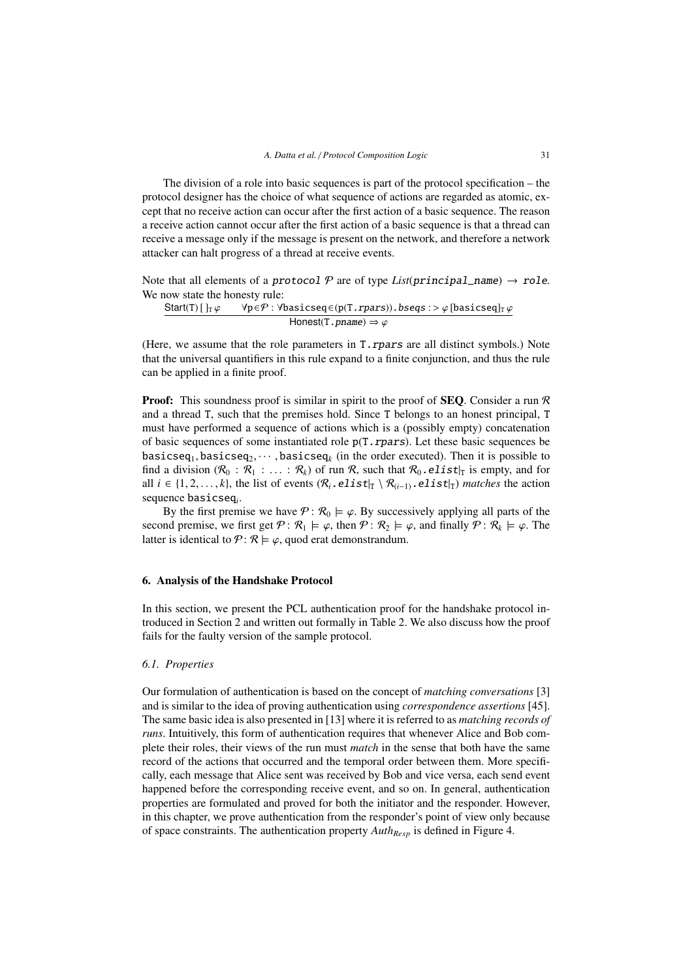The division of a role into basic sequences is part of the protocol specification – the protocol designer has the choice of what sequence of actions are regarded as atomic, except that no receive action can occur after the first action of a basic sequence. The reason a receive action cannot occur after the first action of a basic sequence is that a thread can receive a message only if the message is present on the network, and therefore a network attacker can halt progress of a thread at receive events.

Note that all elements of a protocol  $P$  are of type *List*(principal\_name)  $\rightarrow$  role. We now state the honesty rule:

Start(T)  $[\ ]_{T}\varphi \qquad \forall p \in \mathcal{P} : \forall basiscseq \in (p(T.rparse)) . bseqs : > \varphi$  [basicseq] $_{T}\varphi$ Honest(T.pname)  $\Rightarrow \varphi$ 

(Here, we assume that the role parameters in T.rpars are all distinct symbols.) Note that the universal quantifiers in this rule expand to a finite conjunction, and thus the rule can be applied in a finite proof.

**Proof:** This soundness proof is similar in spirit to the proof of **SEQ**. Consider a run  $\mathcal{R}$ and a thread T, such that the premises hold. Since T belongs to an honest principal, T must have performed a sequence of actions which is a (possibly empty) concatenation of basic sequences of some instantiated role  $p(T.\text{rparse})$ . Let these basic sequences be basicseq<sub>1</sub>, basicseq<sub>2</sub>,  $\cdots$ , basicseq<sub>k</sub> (in the order executed). Then it is possible to find a division  $(R_0 \cdot R_1 \cdot \cdots \cdot R_n)$  of run R such that  $R_0$  alist<sup>1</sup><sub>n</sub> is empty and for find a division ( $\mathcal{R}_0$  :  $\mathcal{R}_1$  : ... :  $\mathcal{R}_k$ ) of run  $\mathcal{R}_k$ , such that  $\mathcal{R}_0$ . elist<sub>l</sub><sub>T</sub> is empty, and for all *i* ∈ {1, 2, . . . , *k*}, the list of events  $(R_i \cdot \text{elist}|_T \setminus R_{(i-1)} \cdot \text{elist}|_T)$  *matches* the action sequence basicseq*<sup>i</sup>* .

By the first premise we have  $\mathcal{P}$ :  $\mathcal{R}_0 \models \varphi$ . By successively applying all parts of the second premise, we first get  $P: \mathcal{R}_1 \models \varphi$ , then  $P: \mathcal{R}_2 \models \varphi$ , and finally  $P: \mathcal{R}_k \models \varphi$ . The latter is identical to  $P: \mathcal{R} \models \varphi$ , quod erat demonstrandum.

#### 6. Analysis of the Handshake Protocol

In this section, we present the PCL authentication proof for the handshake protocol introduced in Section 2 and written out formally in Table 2. We also discuss how the proof fails for the faulty version of the sample protocol.

#### *6.1. Properties*

Our formulation of authentication is based on the concept of *matching conversations* [3] and is similar to the idea of proving authentication using *correspondence assertions* [45]. The same basic idea is also presented in [13] where it is referred to as *matching records of runs*. Intuitively, this form of authentication requires that whenever Alice and Bob complete their roles, their views of the run must *match* in the sense that both have the same record of the actions that occurred and the temporal order between them. More specifically, each message that Alice sent was received by Bob and vice versa, each send event happened before the corresponding receive event, and so on. In general, authentication properties are formulated and proved for both the initiator and the responder. However, in this chapter, we prove authentication from the responder's point of view only because of space constraints. The authentication property *AuthResp* is defined in Figure 4.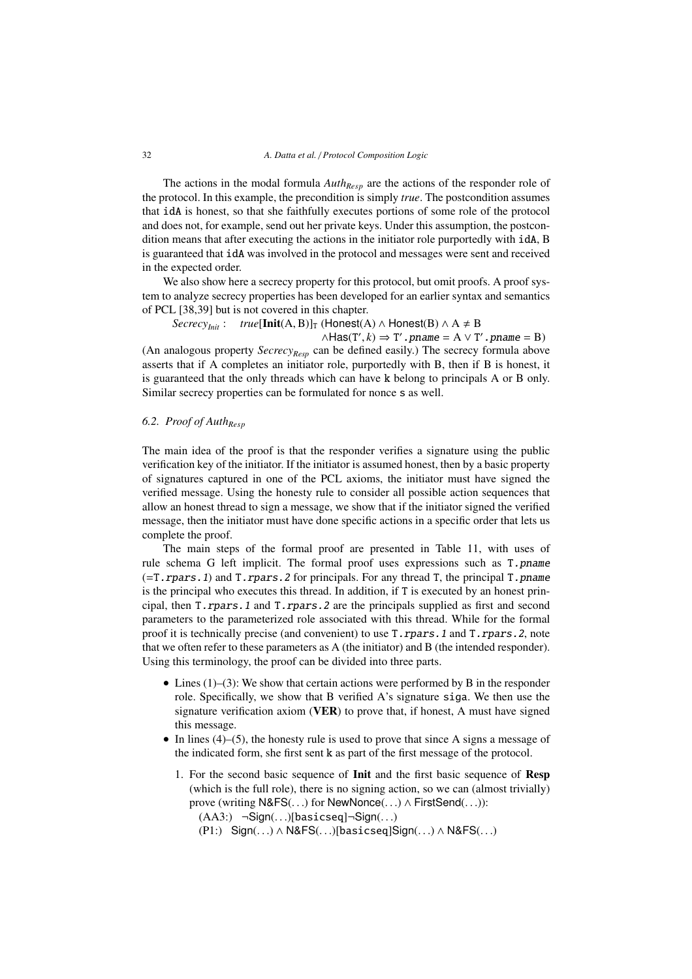The actions in the modal formula *AuthResp* are the actions of the responder role of the protocol. In this example, the precondition is simply *true*. The postcondition assumes that idA is honest, so that she faithfully executes portions of some role of the protocol and does not, for example, send out her private keys. Under this assumption, the postcondition means that after executing the actions in the initiator role purportedly with idA, B is guaranteed that idA was involved in the protocol and messages were sent and received in the expected order.

We also show here a secrecy property for this protocol, but omit proofs. A proof system to analyze secrecy properties has been developed for an earlier syntax and semantics of PCL [38,39] but is not covered in this chapter.

 $\text{Sercecy}_{\text{Init}}$ :  $\text{true}[\text{Init}(A, B)]_T$  (Honest(A) ∧ Honest(B) ∧ A  $\neq$  B<br>  $\land$  Has(T'  $k$ ) → T' nname – A  $\lor$  T'

$$
\land
$$
Has(T', k)  $\Rightarrow$  T', *name* = A  $\lor$  T

 $\wedge$ **Has**(T', *k*)  $\Rightarrow$  T'. pname = A ∨ T  $\Gamma'$ .pname = B) (An analogous property *SecrecyResp* can be defined easily.) The secrecy formula above asserts that if A completes an initiator role, purportedly with B, then if B is honest, it is guaranteed that the only threads which can have k belong to principals A or B only. Similar secrecy properties can be formulated for nonce s as well.

# *6.2. Proof of AuthResp*

The main idea of the proof is that the responder verifies a signature using the public verification key of the initiator. If the initiator is assumed honest, then by a basic property of signatures captured in one of the PCL axioms, the initiator must have signed the verified message. Using the honesty rule to consider all possible action sequences that allow an honest thread to sign a message, we show that if the initiator signed the verified message, then the initiator must have done specific actions in a specific order that lets us complete the proof.

The main steps of the formal proof are presented in Table 11, with uses of rule schema G left implicit. The formal proof uses expressions such as T.pname  $(=T.rpars.1)$  and T. rpars. 2 for principals. For any thread T, the principal T. pname is the principal who executes this thread. In addition, if T is executed by an honest principal, then T.rpars.1 and T.rpars.2 are the principals supplied as first and second parameters to the parameterized role associated with this thread. While for the formal proof it is technically precise (and convenient) to use T.rpars.1 and T.rpars.2, note that we often refer to these parameters as A (the initiator) and B (the intended responder). Using this terminology, the proof can be divided into three parts.

- Lines  $(1)$ – $(3)$ : We show that certain actions were performed by B in the responder role. Specifically, we show that B verified A's signature siga. We then use the signature verification axiom (VER) to prove that, if honest, A must have signed this message.
- In lines  $(4)$ –(5), the honesty rule is used to prove that since A signs a message of the indicated form, she first sent k as part of the first message of the protocol.
	- 1. For the second basic sequence of Init and the first basic sequence of Resp (which is the full role), there is no signing action, so we can (almost trivially) prove (writing N&FS(. . .) for NewNonce(. . .) <sup>∧</sup> FirstSend(. . .)):  $(AA3: ) \neg Sign( ...)$ [basicseq] $\neg Sign( ...)$  $(P1:)$  Sign $(...) \wedge \text{N&FS}(...)$ [basicseq]Sign $(...) \wedge \text{N&FS}(...)$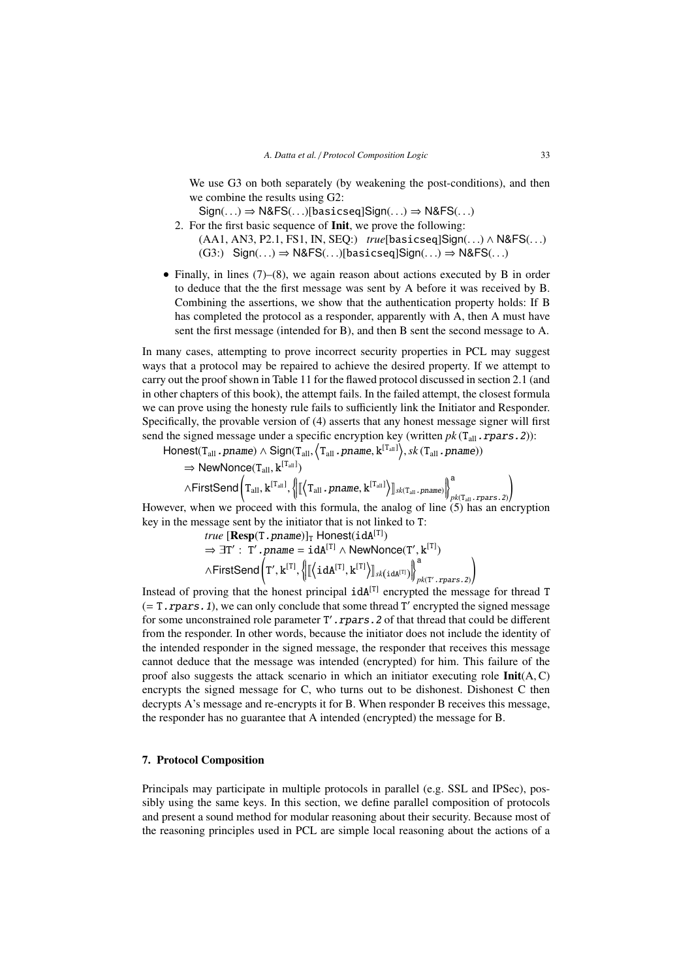We use G3 on both separately (by weakening the post-conditions), and then we combine the results using G2:

 $Sign(...) \Rightarrow N&FS(...)$ [basicseq] $Sign(...) \Rightarrow N&FS(...)$ 

- 2. For the first basic sequence of Init, we prove the following: (AA1, AN3, P2.1, FS1, IN, SEQ:) *true*[basicseq]Sign(. . .) <sup>∧</sup> N&FS(. . .)
	- (G3:)  $Sign(...) \Rightarrow N&FS(...)$ [basicseq]Sign(...)  $\Rightarrow N&FS(...)$
- Finally, in lines (7)–(8), we again reason about actions executed by B in order to deduce that the the first message was sent by A before it was received by B. Combining the assertions, we show that the authentication property holds: If B has completed the protocol as a responder, apparently with A, then A must have sent the first message (intended for B), and then B sent the second message to A.

In many cases, attempting to prove incorrect security properties in PCL may suggest ways that a protocol may be repaired to achieve the desired property. If we attempt to carry out the proof shown in Table 11 for the flawed protocol discussed in section 2.1 (and in other chapters of this book), the attempt fails. In the failed attempt, the closest formula we can prove using the honesty rule fails to sufficiently link the Initiator and Responder. Specifically, the provable version of (4) asserts that any honest message signer will first send the signed message under a specific encryption key (written  $pk(T_{all}$ .rpars.2)):

Honest(T<sub>all</sub>.pname) ∧ Sign(T<sub>all</sub>,  $\langle T_{all}$ .pname, k<sup>[T<sub>al</sub>]</sup> $\rangle$ , *sk* (T<sub>all</sub>.pname))

$$
\Rightarrow
$$
 NewNone( $T_{all}$ ,  $\mathbf{k}^{[T_{all}]}$ )

$$
\wedge \text{FirstSend}\left(\textbf{T}_{\text{all}}, \mathbf{k}^{[T_{\text{all}}]}, \left\{\!\!\left[\!\!\left[\left\langle T_{\text{all}}\text{ . }\textit{pname}, \mathbf{k}^{[T_{\text{all}}]}\right\rangle\!\right]\!\!\right]_{\text{sk}(T_{\text{all}}\text{ .}\textit{pname})}\right\}\!\!\right)_{\text{pk}(T_{\text{all}}\text{ .}\textit{rparse.2)}}^a
$$

However, when we proceed with this formula, the analog of line (5) has an encryption key in the message sent by the initiator that is not linked to T:

$$
true [\textbf{Resp}(T.\textit{pname})]_T \text{ Honest}(\textit{idA}^{[T]})
$$
\n
$$
\Rightarrow \exists T': T'.\textit{pname} = \textit{idA}^{[T]} \land \text{NewNone}(T', k^{[T]})
$$
\n
$$
\land \text{FirstSend} \left(T', k^{[T]}, \left\{ \left[ \left( \textit{idA}^{[T]}, k^{[T]} \right) \right] \right\}_{sk(\textit{idA}^{[T]})} \right\}_{pk(T'.\textit{rparse.2})}^a
$$

Instead of proving that the honest principal  $idA^{[T]}$  encrypted the message for thread T  $(= T. rparse. 1)$ , we can only conclude that some thread  $T'$  encrypted the signed message for some unconstrained role parameter T'. rpars. 2 of that thread that could be different from the responder. In other words, because the initiator does not include the identity of the intended responder in the signed message, the responder that receives this message cannot deduce that the message was intended (encrypted) for him. This failure of the proof also suggests the attack scenario in which an initiator executing role  $Init(A, C)$ encrypts the signed message for C, who turns out to be dishonest. Dishonest C then decrypts A's message and re-encrypts it for B. When responder B receives this message, the responder has no guarantee that A intended (encrypted) the message for B.

#### 7. Protocol Composition

Principals may participate in multiple protocols in parallel (e.g. SSL and IPSec), possibly using the same keys. In this section, we define parallel composition of protocols and present a sound method for modular reasoning about their security. Because most of the reasoning principles used in PCL are simple local reasoning about the actions of a

!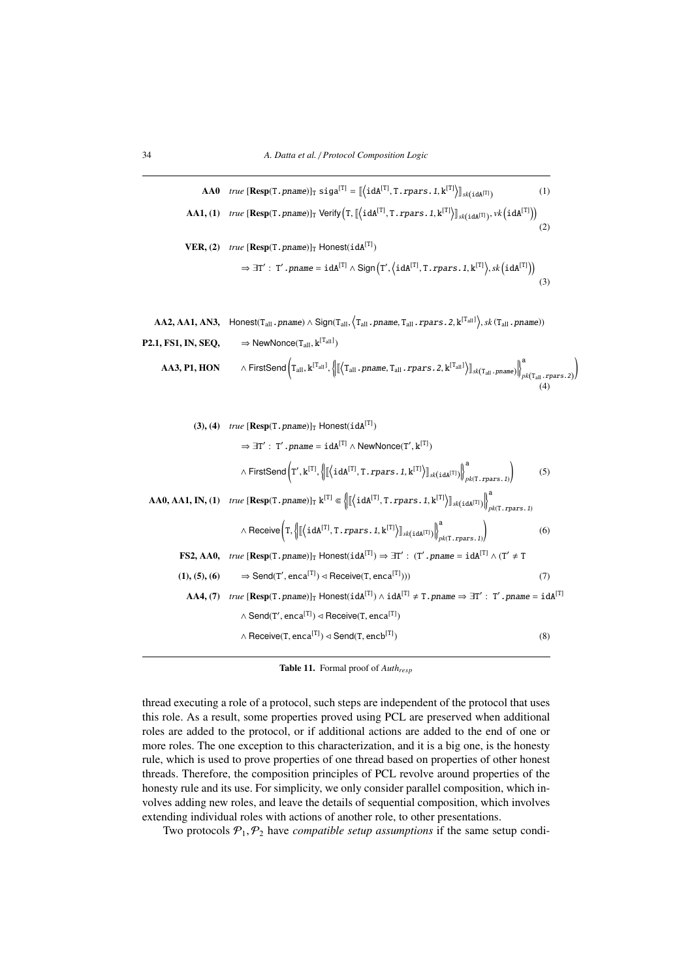**AA0** true [Resp(T.pname)]<sub>T</sub> siga<sup>[T]</sup> = 
$$
[[\langle \text{idA}^{[T]}, T.\text{rpars.1}, k^{[T]} \rangle]]_{sk(\text{idA}^{[T]})}
$$
 (1)  
\n**AA1**, (1) true [Resp(T.pname)]<sub>T</sub> Verify (T,  $[[\langle \text{idA}^{[T]}, T.\text{rpars.1}, k^{[T]} \rangle]]_{sk(\text{idA}^{[T]})}$ ,  $\nu k(\text{idA}^{[T]})$ )  
\n $\Rightarrow$  True [Resp(T.pname)]<sub>T</sub> Honest( $\text{idA}^{[T]}$ )  
\n $\Rightarrow$  3T' : T', prame =  $\text{idA}^{[T]} \wedge \text{Sign}(T', \langle \text{idA}^{[T]}, T.\text{rpars.1}, k^{[T]} \rangle, sk(\text{idA}^{[T]}))$  (3)

**AA2, AA1, AN3, Honest**(T<sub>all</sub>.*pname*) 
$$
\wedge
$$
 Sign(T<sub>all</sub>.*pname*, T<sub>all</sub>.*rparse*, 2, k<sup>[T<sub>all</sub>]</sup>), sk (T<sub>all</sub>.*pname*))

\n**P2.1, F51, IN, SEQ,**  $\Rightarrow$  NewNone(CT<sub>all</sub>, k<sup>[T<sub>all</sub>]</sup>)

\n**AA3, P1, HON**  $\wedge$  FirstSend $\left(T_{all}, k^{[T_{all}]}\right)$ ,  $\left\| \left[T_{all}, \text{pname}, T_{all} \ldots \text{pars.2}, k^{[T_{all}]}\right] \right\|_{sk(T_{all}.\text{pname})} \right\|_{pk(T_{all}.\text{pars.2})}^a$ 

\n(4)

!

$$
(3), (4) \ \ \text{true } [\text{Resp}(T.\text{pname})]_T \ \text{Honest}(\text{idA}^{[T]})
$$
\n
$$
\Rightarrow \exists T' : T'.\text{pname} = \text{idA}^{[T]} \land \text{NewNone}(T', k^{[T]})
$$
\n
$$
\land \text{FirstSend}\left(T', k^{[T]}, \left\{\left[\left(\text{idA}^{[T]}, T.\text{rpars.1}, k^{[T]}\right)\right]_{sk(\text{idA}^{[T]})}\right\}_{sk(\text{idA}^{[T]})}\right\}_{pk(T.\text{rpars.1})}^{a}
$$
\n
$$
(5)
$$
\n
$$
\text{AA0}, \text{AA1}, \text{IN}, (1) \quad \text{true } [\text{Resp}(T.\text{pname})]_T \ k^{[T]} \in \left\{\left[\left(\text{idA}^{[T]}, T.\text{rpars.1}, k^{[T]}\right)\right]_{sk(\text{idA}^{[T]})}\right\}_{pk(T.\text{rpars.1})}^{a}
$$
\n
$$
\land \text{Receive}\left(T, \left\{\left[\left(\text{idA}^{[T]}, T.\text{rpars.1}, k^{[T]}\right)\right]_{sk(\text{idA}^{[T]})}\right\}_{pk(T.\text{rpars.1})}^{a}
$$
\n
$$
(6)
$$
\n
$$
\text{FS2}, \text{AA0}, \quad \text{true } [\text{Resp}(T.\text{pname})]_T \ \text{Honest}(\text{idA}^{[T]}) \Rightarrow \exists T' : (T'.\text{pname} = \text{idA}^{[T]} \land (T' \neq T))
$$
\n
$$
(7)
$$
\n
$$
\text{AA4}, (7) \quad \text{true } [\text{Resp}(T.\text{pname})]_T \ \text{Honest}(\text{idA}^{[T]}) \land \text{idA}^{[T]} \neq T.\text{pname} \Rightarrow \exists T' : T'.\text{pname} = \text{idA}^{[T]}
$$
\n
$$
\land \text{Send}(T', \text{enca}^{[T]}) \triangleleft \text{Recive}(T, \text{enca}^{[T]})
$$
\n
$$
\land \text{Recive}(T, \text{enca}^{[T]}) \Rightarrow \text{Send}(T, \text{encb}^{[T]})
$$

#### Table 11. Formal proof of *Authresp*

thread executing a role of a protocol, such steps are independent of the protocol that uses this role. As a result, some properties proved using PCL are preserved when additional roles are added to the protocol, or if additional actions are added to the end of one or more roles. The one exception to this characterization, and it is a big one, is the honesty rule, which is used to prove properties of one thread based on properties of other honest threads. Therefore, the composition principles of PCL revolve around properties of the honesty rule and its use. For simplicity, we only consider parallel composition, which involves adding new roles, and leave the details of sequential composition, which involves extending individual roles with actions of another role, to other presentations.

Two protocols  $P_1$ ,  $P_2$  have *compatible setup assumptions* if the same setup condi-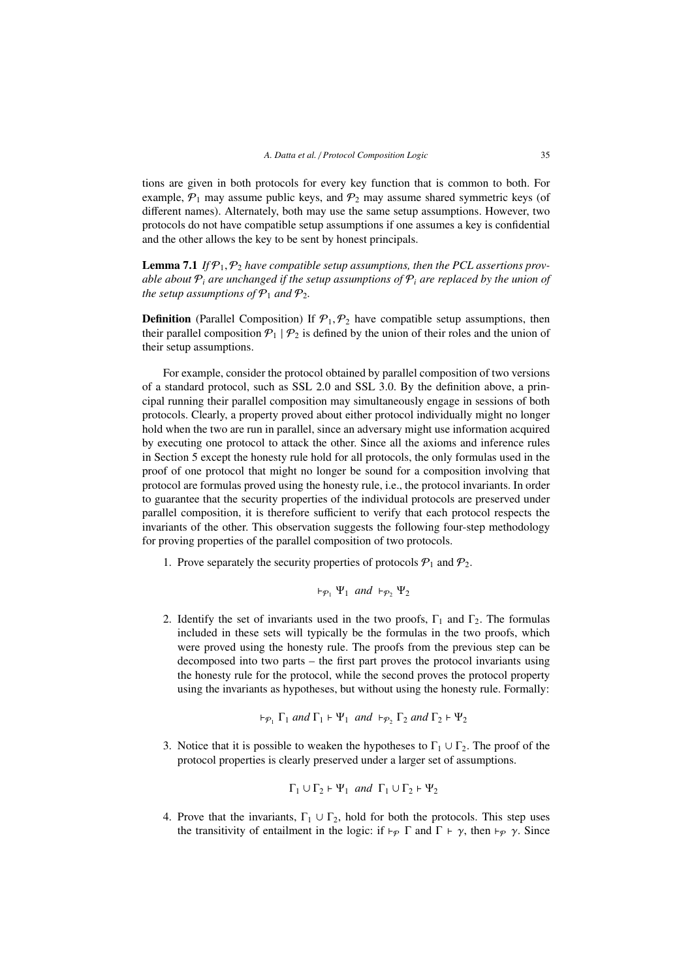tions are given in both protocols for every key function that is common to both. For example,  $P_1$  may assume public keys, and  $P_2$  may assume shared symmetric keys (of different names). Alternately, both may use the same setup assumptions. However, two protocols do not have compatible setup assumptions if one assumes a key is confidential and the other allows the key to be sent by honest principals.

**Lemma 7.1** If  $\mathcal{P}_1$ ,  $\mathcal{P}_2$  have compatible setup assumptions, then the PCL assertions prov*able about*  $P_i$  *are unchanged if the setup assumptions of*  $P_i$  *are replaced by the union of the setup assumptions of*  $P_1$  *and*  $P_2$ *.* 

**Definition** (Parallel Composition) If  $\mathcal{P}_1, \mathcal{P}_2$  have compatible setup assumptions, then their parallel composition  $P_1 | P_2$  is defined by the union of their roles and the union of their setup assumptions.

For example, consider the protocol obtained by parallel composition of two versions of a standard protocol, such as SSL 2.0 and SSL 3.0. By the definition above, a principal running their parallel composition may simultaneously engage in sessions of both protocols. Clearly, a property proved about either protocol individually might no longer hold when the two are run in parallel, since an adversary might use information acquired by executing one protocol to attack the other. Since all the axioms and inference rules in Section 5 except the honesty rule hold for all protocols, the only formulas used in the proof of one protocol that might no longer be sound for a composition involving that protocol are formulas proved using the honesty rule, i.e., the protocol invariants. In order to guarantee that the security properties of the individual protocols are preserved under parallel composition, it is therefore sufficient to verify that each protocol respects the invariants of the other. This observation suggests the following four-step methodology for proving properties of the parallel composition of two protocols.

1. Prove separately the security properties of protocols  $P_1$  and  $P_2$ .

$$
\vdash_{\mathcal{P}_1} \Psi_1 \text{ and } \vdash_{\mathcal{P}_2} \Psi_2
$$

2. Identify the set of invariants used in the two proofs,  $\Gamma_1$  and  $\Gamma_2$ . The formulas included in these sets will typically be the formulas in the two proofs, which were proved using the honesty rule. The proofs from the previous step can be decomposed into two parts – the first part proves the protocol invariants using the honesty rule for the protocol, while the second proves the protocol property using the invariants as hypotheses, but without using the honesty rule. Formally:

$$
\vdash_{\mathcal{P}_1} \Gamma_1 \text{ and } \Gamma_1 \vdash \Psi_1 \text{ and } \vdash_{\mathcal{P}_2} \Gamma_2 \text{ and } \Gamma_2 \vdash \Psi_2
$$

3. Notice that it is possible to weaken the hypotheses to  $\Gamma_1 \cup \Gamma_2$ . The proof of the protocol properties is clearly preserved under a larger set of assumptions.

$$
\Gamma_1 \cup \Gamma_2 \vdash \Psi_1
$$
 and  $\Gamma_1 \cup \Gamma_2 \vdash \Psi_2$ 

4. Prove that the invariants,  $\Gamma_1 \cup \Gamma_2$ , hold for both the protocols. This step uses the transitivity of entailment in the logic: if  $\models \varphi \Gamma$  and  $\Gamma \vdash \gamma$ , then  $\models \varphi \gamma$ . Since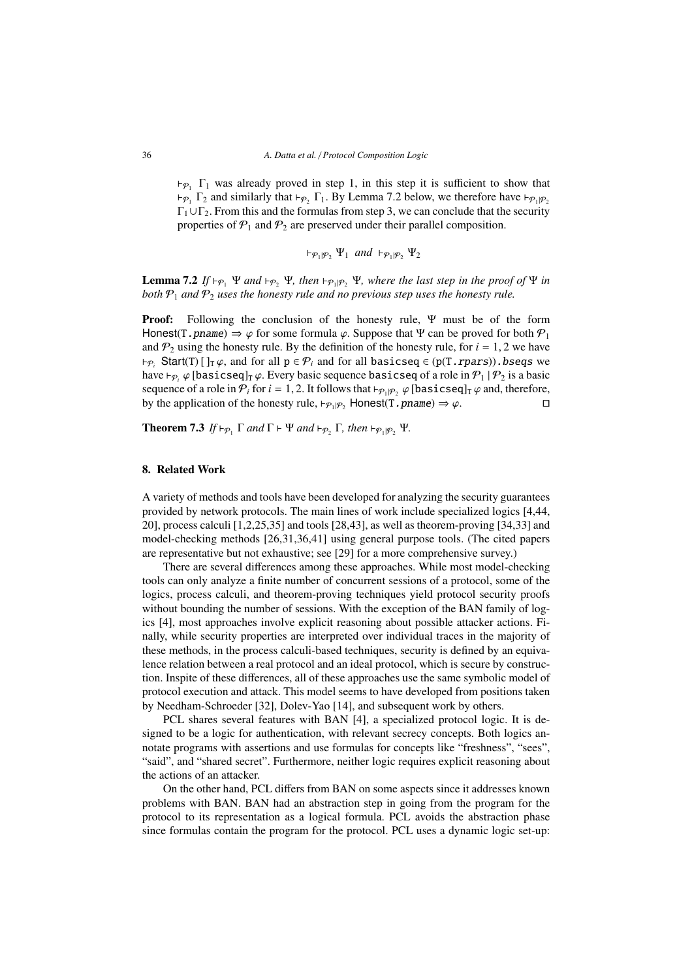$\models p_1$   $\Gamma_1$  was already proved in step 1, in this step it is sufficient to show that  $\models p_1$   $\Gamma_2$  and similarly that  $\models p_2$ ,  $\Gamma_1$ . By Lemma 7.2 below, we therefore have  $\models p_1|p_2$  $\Gamma_1 \cup \Gamma_2$ . From this and the formulas from step 3, we can conclude that the security properties of  $\mathcal{P}_1$  and  $\mathcal{P}_2$  are preserved under their parallel composition.

$$
\vdash_{\mathcal{P}_1|\mathcal{P}_2} \Psi_1 \text{ and } \vdash_{\mathcal{P}_1|\mathcal{P}_2} \Psi_2
$$

**Lemma 7.2** *If*  $\models p_1 \Psi$  *and*  $\models p_2 \Psi$ *, then*  $\models p_1|p_2 \Psi$ *, where the last step in the proof of*  $\Psi$  *in both*  $P_1$  *and*  $P_2$  *uses the honesty rule and no previous step uses the honesty rule.* 

**Proof:** Following the conclusion of the honesty rule,  $\Psi$  must be of the form Honest(T.pname)  $\Rightarrow \varphi$  for some formula  $\varphi$ . Suppose that Ψ can be proved for both  $\mathcal{P}_1$ and  $P_2$  using the honesty rule. By the definition of the honesty rule, for  $i = 1, 2$  we have  $\models \varphi$ , Start(T) [ ]<sub>T</sub>  $\varphi$ , and for all  $p \in \varphi$ <sub>*i*</sub> and for all basicseq  $\in (p(T.rparse))$ . bseqs we have  $\nvdash_{\mathcal{P}_i} \varphi$  [basicseq]<sub>T</sub>  $\varphi$ . Every basic sequence basicseq of a role in  $\mathcal{P}_1 | \mathcal{P}_2$  is a basic sequence of a role in  $\mathcal{P}_i$  for  $i = 1, 2$ . It follows that  $\vdash_{\mathcal{P}_1|\mathcal{P}_2} \varphi$  [basicseq]<sub>T</sub>  $\varphi$  and, therefore, by the application of the honesty rule.  $\vdash_{\mathcal{P}_1|\mathcal{P}_2}$  Honest(T, *pname*)  $\Rightarrow \varphi$ . by the application of the honesty rule,  $\vdash_{\mathcal{P}_1|\mathcal{P}_2}$  Honest(T.pname)  $\Rightarrow \varphi$ .

**Theorem 7.3** *If*  $\models \varphi_1$   $\Gamma$  *and*  $\Gamma \vdash \Psi$  *and*  $\models \varphi_2$   $\Gamma$ *, then*  $\models \varphi_1 | \varphi_2$   $\Psi$ *.* 

#### 8. Related Work

A variety of methods and tools have been developed for analyzing the security guarantees provided by network protocols. The main lines of work include specialized logics [4,44, 20], process calculi [1,2,25,35] and tools [28,43], as well as theorem-proving [34,33] and model-checking methods [26,31,36,41] using general purpose tools. (The cited papers are representative but not exhaustive; see [29] for a more comprehensive survey.)

There are several differences among these approaches. While most model-checking tools can only analyze a finite number of concurrent sessions of a protocol, some of the logics, process calculi, and theorem-proving techniques yield protocol security proofs without bounding the number of sessions. With the exception of the BAN family of logics [4], most approaches involve explicit reasoning about possible attacker actions. Finally, while security properties are interpreted over individual traces in the majority of these methods, in the process calculi-based techniques, security is defined by an equivalence relation between a real protocol and an ideal protocol, which is secure by construction. Inspite of these differences, all of these approaches use the same symbolic model of protocol execution and attack. This model seems to have developed from positions taken by Needham-Schroeder [32], Dolev-Yao [14], and subsequent work by others.

PCL shares several features with BAN [4], a specialized protocol logic. It is designed to be a logic for authentication, with relevant secrecy concepts. Both logics annotate programs with assertions and use formulas for concepts like "freshness", "sees", "said", and "shared secret". Furthermore, neither logic requires explicit reasoning about the actions of an attacker.

On the other hand, PCL differs from BAN on some aspects since it addresses known problems with BAN. BAN had an abstraction step in going from the program for the protocol to its representation as a logical formula. PCL avoids the abstraction phase since formulas contain the program for the protocol. PCL uses a dynamic logic set-up: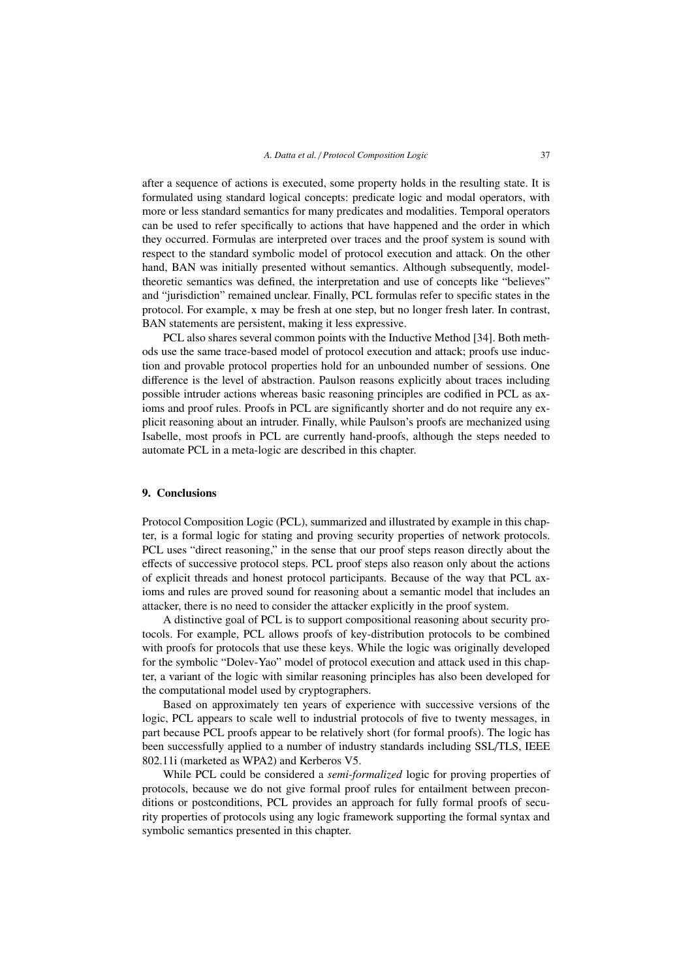after a sequence of actions is executed, some property holds in the resulting state. It is formulated using standard logical concepts: predicate logic and modal operators, with more or less standard semantics for many predicates and modalities. Temporal operators can be used to refer specifically to actions that have happened and the order in which they occurred. Formulas are interpreted over traces and the proof system is sound with respect to the standard symbolic model of protocol execution and attack. On the other hand, BAN was initially presented without semantics. Although subsequently, modeltheoretic semantics was defined, the interpretation and use of concepts like "believes" and "jurisdiction" remained unclear. Finally, PCL formulas refer to specific states in the protocol. For example, x may be fresh at one step, but no longer fresh later. In contrast, BAN statements are persistent, making it less expressive.

PCL also shares several common points with the Inductive Method [34]. Both methods use the same trace-based model of protocol execution and attack; proofs use induction and provable protocol properties hold for an unbounded number of sessions. One difference is the level of abstraction. Paulson reasons explicitly about traces including possible intruder actions whereas basic reasoning principles are codified in PCL as axioms and proof rules. Proofs in PCL are significantly shorter and do not require any explicit reasoning about an intruder. Finally, while Paulson's proofs are mechanized using Isabelle, most proofs in PCL are currently hand-proofs, although the steps needed to automate PCL in a meta-logic are described in this chapter.

# 9. Conclusions

Protocol Composition Logic (PCL), summarized and illustrated by example in this chapter, is a formal logic for stating and proving security properties of network protocols. PCL uses "direct reasoning," in the sense that our proof steps reason directly about the effects of successive protocol steps. PCL proof steps also reason only about the actions of explicit threads and honest protocol participants. Because of the way that PCL axioms and rules are proved sound for reasoning about a semantic model that includes an attacker, there is no need to consider the attacker explicitly in the proof system.

A distinctive goal of PCL is to support compositional reasoning about security protocols. For example, PCL allows proofs of key-distribution protocols to be combined with proofs for protocols that use these keys. While the logic was originally developed for the symbolic "Dolev-Yao" model of protocol execution and attack used in this chapter, a variant of the logic with similar reasoning principles has also been developed for the computational model used by cryptographers.

Based on approximately ten years of experience with successive versions of the logic, PCL appears to scale well to industrial protocols of five to twenty messages, in part because PCL proofs appear to be relatively short (for formal proofs). The logic has been successfully applied to a number of industry standards including SSL/TLS, IEEE 802.11i (marketed as WPA2) and Kerberos V5.

While PCL could be considered a *semi-formalized* logic for proving properties of protocols, because we do not give formal proof rules for entailment between preconditions or postconditions, PCL provides an approach for fully formal proofs of security properties of protocols using any logic framework supporting the formal syntax and symbolic semantics presented in this chapter.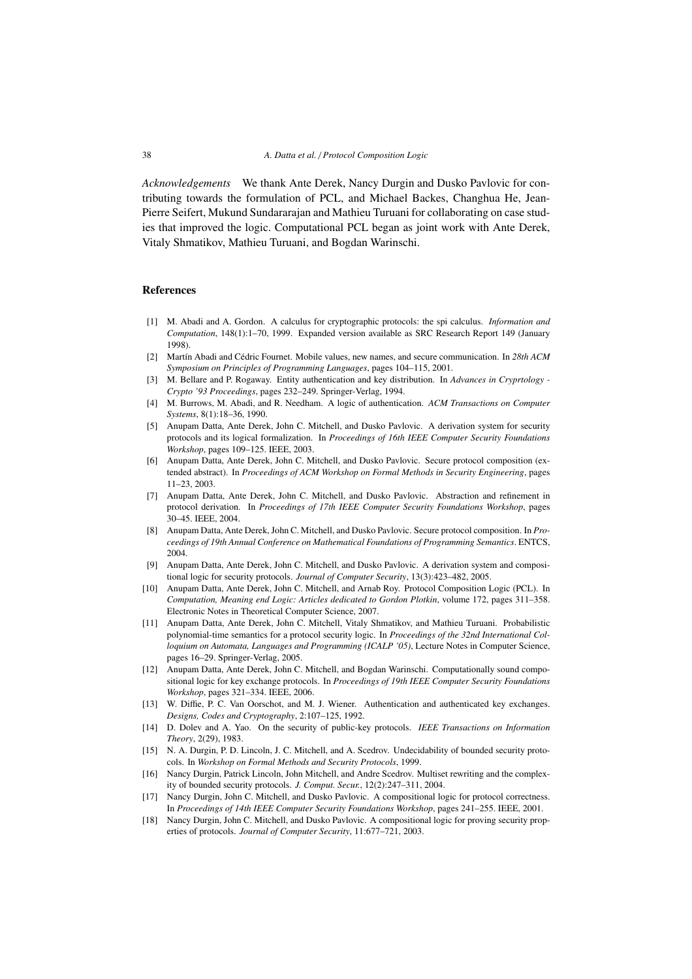*Acknowledgements* We thank Ante Derek, Nancy Durgin and Dusko Pavlovic for contributing towards the formulation of PCL, and Michael Backes, Changhua He, Jean-Pierre Seifert, Mukund Sundararajan and Mathieu Turuani for collaborating on case studies that improved the logic. Computational PCL began as joint work with Ante Derek, Vitaly Shmatikov, Mathieu Turuani, and Bogdan Warinschi.

## References

- [1] M. Abadi and A. Gordon. A calculus for cryptographic protocols: the spi calculus. *Information and Computation*, 148(1):1–70, 1999. Expanded version available as SRC Research Report 149 (January 1998).
- [2] Martín Abadi and Cédric Fournet. Mobile values, new names, and secure communication. In *28th ACM Symposium on Principles of Programming Languages*, pages 104–115, 2001.
- [3] M. Bellare and P. Rogaway. Entity authentication and key distribution. In *Advances in Cryprtology - Crypto '93 Proceedings*, pages 232–249. Springer-Verlag, 1994.
- [4] M. Burrows, M. Abadi, and R. Needham. A logic of authentication. *ACM Transactions on Computer Systems*, 8(1):18–36, 1990.
- [5] Anupam Datta, Ante Derek, John C. Mitchell, and Dusko Pavlovic. A derivation system for security protocols and its logical formalization. In *Proceedings of 16th IEEE Computer Security Foundations Workshop*, pages 109–125. IEEE, 2003.
- [6] Anupam Datta, Ante Derek, John C. Mitchell, and Dusko Pavlovic. Secure protocol composition (extended abstract). In *Proceedings of ACM Workshop on Formal Methods in Security Engineering*, pages 11–23, 2003.
- [7] Anupam Datta, Ante Derek, John C. Mitchell, and Dusko Pavlovic. Abstraction and refinement in protocol derivation. In *Proceedings of 17th IEEE Computer Security Foundations Workshop*, pages 30–45. IEEE, 2004.
- [8] Anupam Datta, Ante Derek, John C. Mitchell, and Dusko Pavlovic. Secure protocol composition. In *Proceedings of 19th Annual Conference on Mathematical Foundations of Programming Semantics*. ENTCS, 2004.
- [9] Anupam Datta, Ante Derek, John C. Mitchell, and Dusko Pavlovic. A derivation system and compositional logic for security protocols. *Journal of Computer Security*, 13(3):423–482, 2005.
- [10] Anupam Datta, Ante Derek, John C. Mitchell, and Arnab Roy. Protocol Composition Logic (PCL). In *Computation, Meaning end Logic: Articles dedicated to Gordon Plotkin*, volume 172, pages 311–358. Electronic Notes in Theoretical Computer Science, 2007.
- [11] Anupam Datta, Ante Derek, John C. Mitchell, Vitaly Shmatikov, and Mathieu Turuani. Probabilistic polynomial-time semantics for a protocol security logic. In *Proceedings of the 32nd International Colloquium on Automata, Languages and Programming (ICALP '05)*, Lecture Notes in Computer Science, pages 16–29. Springer-Verlag, 2005.
- [12] Anupam Datta, Ante Derek, John C. Mitchell, and Bogdan Warinschi. Computationally sound compositional logic for key exchange protocols. In *Proceedings of 19th IEEE Computer Security Foundations Workshop*, pages 321–334. IEEE, 2006.
- [13] W. Diffie, P. C. Van Oorschot, and M. J. Wiener. Authentication and authenticated key exchanges. *Designs, Codes and Cryptography*, 2:107–125, 1992.
- [14] D. Dolev and A. Yao. On the security of public-key protocols. *IEEE Transactions on Information Theory*, 2(29), 1983.
- [15] N. A. Durgin, P. D. Lincoln, J. C. Mitchell, and A. Scedrov. Undecidability of bounded security protocols. In *Workshop on Formal Methods and Security Protocols*, 1999.
- [16] Nancy Durgin, Patrick Lincoln, John Mitchell, and Andre Scedrov. Multiset rewriting and the complexity of bounded security protocols. *J. Comput. Secur.*, 12(2):247–311, 2004.
- [17] Nancy Durgin, John C. Mitchell, and Dusko Pavlovic. A compositional logic for protocol correctness. In *Proceedings of 14th IEEE Computer Security Foundations Workshop*, pages 241–255. IEEE, 2001.
- [18] Nancy Durgin, John C. Mitchell, and Dusko Pavlovic. A compositional logic for proving security properties of protocols. *Journal of Computer Security*, 11:677–721, 2003.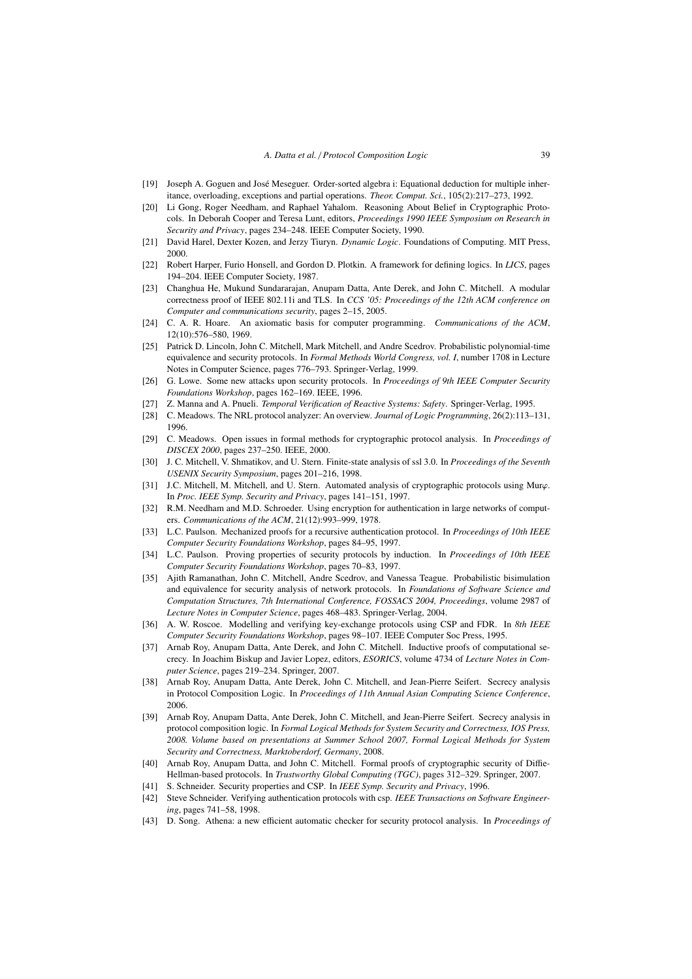- [19] Joseph A. Goguen and José Meseguer. Order-sorted algebra i: Equational deduction for multiple inheritance, overloading, exceptions and partial operations. *Theor. Comput. Sci.*, 105(2):217–273, 1992.
- [20] Li Gong, Roger Needham, and Raphael Yahalom. Reasoning About Belief in Cryptographic Protocols. In Deborah Cooper and Teresa Lunt, editors, *Proceedings 1990 IEEE Symposium on Research in Security and Privacy*, pages 234–248. IEEE Computer Society, 1990.
- [21] David Harel, Dexter Kozen, and Jerzy Tiuryn. *Dynamic Logic*. Foundations of Computing. MIT Press, 2000.
- [22] Robert Harper, Furio Honsell, and Gordon D. Plotkin. A framework for defining logics. In *LICS*, pages 194–204. IEEE Computer Society, 1987.
- [23] Changhua He, Mukund Sundararajan, Anupam Datta, Ante Derek, and John C. Mitchell. A modular correctness proof of IEEE 802.11i and TLS. In *CCS '05: Proceedings of the 12th ACM conference on Computer and communications security*, pages 2–15, 2005.
- [24] C. A. R. Hoare. An axiomatic basis for computer programming. *Communications of the ACM*, 12(10):576–580, 1969.
- [25] Patrick D. Lincoln, John C. Mitchell, Mark Mitchell, and Andre Scedrov. Probabilistic polynomial-time equivalence and security protocols. In *Formal Methods World Congress, vol. I*, number 1708 in Lecture Notes in Computer Science, pages 776–793. Springer-Verlag, 1999.
- [26] G. Lowe. Some new attacks upon security protocols. In *Proceedings of 9th IEEE Computer Security Foundations Workshop*, pages 162–169. IEEE, 1996.
- [27] Z. Manna and A. Pnueli. *Temporal Verification of Reactive Systems: Safety*. Springer-Verlag, 1995.
- [28] C. Meadows. The NRL protocol analyzer: An overview. *Journal of Logic Programming*, 26(2):113–131, 1996.
- [29] C. Meadows. Open issues in formal methods for cryptographic protocol analysis. In *Proceedings of DISCEX 2000*, pages 237–250. IEEE, 2000.
- [30] J. C. Mitchell, V. Shmatikov, and U. Stern. Finite-state analysis of ssl 3.0. In *Proceedings of the Seventh USENIX Security Symposium*, pages 201–216, 1998.
- [31] J.C. Mitchell, M. Mitchell, and U. Stern. Automated analysis of cryptographic protocols using Mur $\varphi$ . In *Proc. IEEE Symp. Security and Privacy*, pages 141–151, 1997.
- [32] R.M. Needham and M.D. Schroeder. Using encryption for authentication in large networks of computers. *Communications of the ACM*, 21(12):993–999, 1978.
- [33] L.C. Paulson. Mechanized proofs for a recursive authentication protocol. In *Proceedings of 10th IEEE Computer Security Foundations Workshop*, pages 84–95, 1997.
- [34] L.C. Paulson. Proving properties of security protocols by induction. In *Proceedings of 10th IEEE Computer Security Foundations Workshop*, pages 70–83, 1997.
- [35] Ajith Ramanathan, John C. Mitchell, Andre Scedrov, and Vanessa Teague. Probabilistic bisimulation and equivalence for security analysis of network protocols. In *Foundations of Software Science and Computation Structures, 7th International Conference, FOSSACS 2004, Proceedings*, volume 2987 of *Lecture Notes in Computer Science*, pages 468–483. Springer-Verlag, 2004.
- [36] A. W. Roscoe. Modelling and verifying key-exchange protocols using CSP and FDR. In *8th IEEE Computer Security Foundations Workshop*, pages 98–107. IEEE Computer Soc Press, 1995.
- [37] Arnab Roy, Anupam Datta, Ante Derek, and John C. Mitchell. Inductive proofs of computational secrecy. In Joachim Biskup and Javier Lopez, editors, *ESORICS*, volume 4734 of *Lecture Notes in Computer Science*, pages 219–234. Springer, 2007.
- [38] Arnab Roy, Anupam Datta, Ante Derek, John C. Mitchell, and Jean-Pierre Seifert. Secrecy analysis in Protocol Composition Logic. In *Proceedings of 11th Annual Asian Computing Science Conference*, 2006.
- [39] Arnab Roy, Anupam Datta, Ante Derek, John C. Mitchell, and Jean-Pierre Seifert. Secrecy analysis in protocol composition logic. In *Formal Logical Methods for System Security and Correctness, IOS Press, 2008. Volume based on presentations at Summer School 2007, Formal Logical Methods for System Security and Correctness, Marktoberdorf, Germany*, 2008.
- [40] Arnab Roy, Anupam Datta, and John C. Mitchell. Formal proofs of cryptographic security of Diffie-Hellman-based protocols. In *Trustworthy Global Computing (TGC)*, pages 312–329. Springer, 2007.
- [41] S. Schneider. Security properties and CSP. In *IEEE Symp. Security and Privacy*, 1996.
- [42] Steve Schneider. Verifying authentication protocols with csp. *IEEE Transactions on Software Engineering*, pages 741–58, 1998.
- [43] D. Song. Athena: a new efficient automatic checker for security protocol analysis. In *Proceedings of*